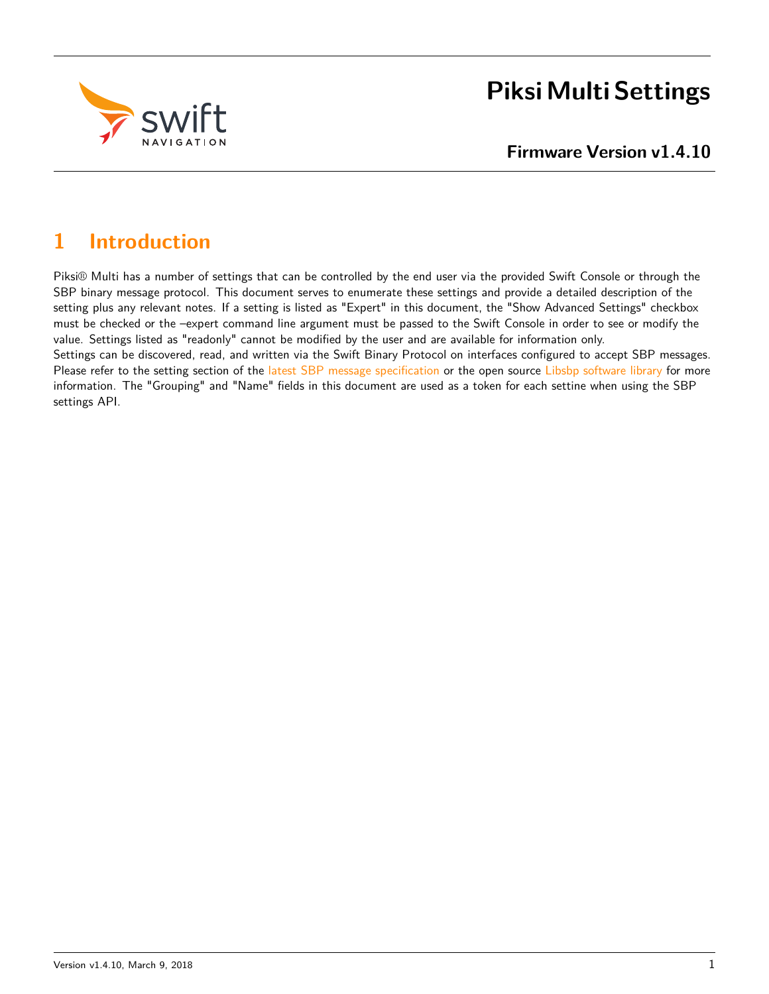

# **Piksi Multi Settings**

# **1 Introduction**

Piksi® Multi has a number of settings that can be controlled by the end user via the provided Swift Console or through the SBP binary message protocol. This document serves to enumerate these settings and provide a detailed description of the setting plus any relevant notes. If a setting is listed as "Expert" in this document, the "Show Advanced Settings" checkbox must be checked or the –expert command line argument must be passed to the Swift Console in order to see or modify the value. Settings listed as "readonly" cannot be modified by the user and are available for information only. Settings can be discovered, read, and written via the Swift Binary Protocol on interfaces configured to accept SBP messages. Please refer to the setting section of the [latest SBP message specification](http://swiftnav.com/latest/sbp-specification) or the open source [Libsbp software library](https://github.com/swift-nav/libsbp.git) for more information. The "Grouping" and "Name" fields in this document are used as a token for each settine when using the SBP settings API.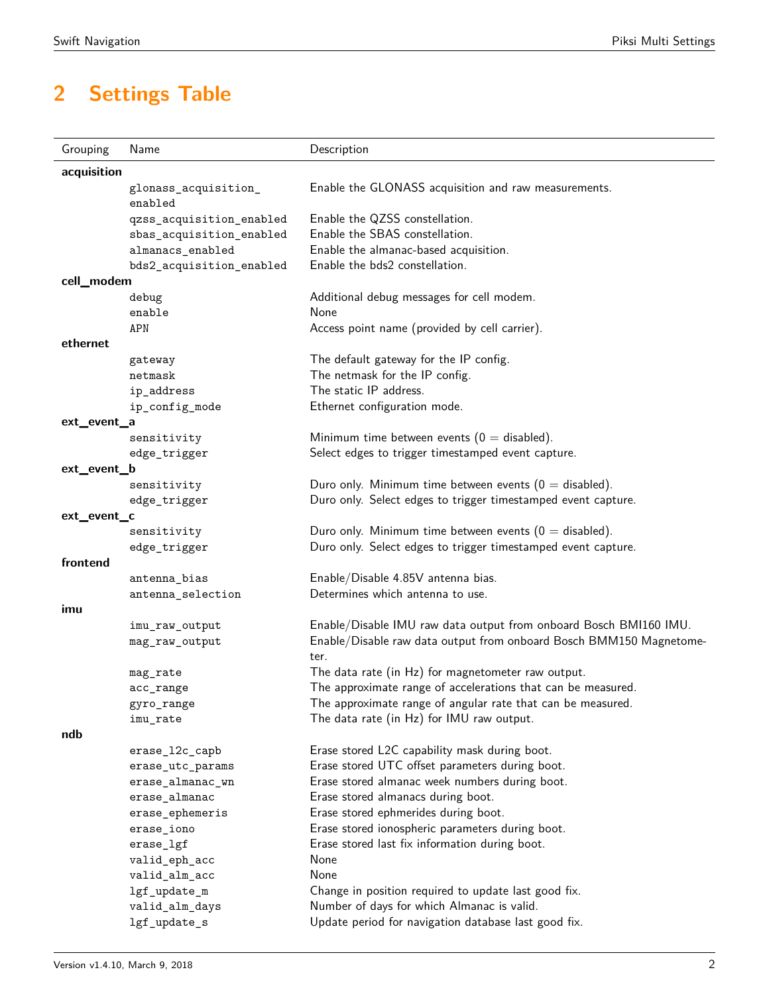# **2 Settings Table**

| Grouping    | Name                            | Description                                                                 |
|-------------|---------------------------------|-----------------------------------------------------------------------------|
| acquisition |                                 |                                                                             |
|             | glonass_acquisition_<br>enabled | Enable the GLONASS acquisition and raw measurements.                        |
|             | qzss_acquisition_enabled        | Enable the QZSS constellation.                                              |
|             | sbas_acquisition_enabled        | Enable the SBAS constellation.                                              |
|             | almanacs_enabled                | Enable the almanac-based acquisition.                                       |
|             | bds2_acquisition_enabled        | Enable the bds2 constellation.                                              |
| cell_modem  |                                 |                                                                             |
|             | debug                           | Additional debug messages for cell modem.                                   |
|             | enable                          | None                                                                        |
|             | APN                             | Access point name (provided by cell carrier).                               |
| ethernet    |                                 |                                                                             |
|             | gateway                         | The default gateway for the IP config.                                      |
|             | netmask                         | The netmask for the IP config.                                              |
|             | ip_address                      | The static IP address.                                                      |
|             | ip_config_mode                  | Ethernet configuration mode.                                                |
| ext_event_a |                                 |                                                                             |
|             | sensitivity                     | Minimum time between events ( $0 =$ disabled).                              |
|             | edge_trigger                    | Select edges to trigger timestamped event capture.                          |
| ext_event_b |                                 |                                                                             |
|             | sensitivity                     | Duro only. Minimum time between events ( $0 =$ disabled).                   |
|             | edge_trigger                    | Duro only. Select edges to trigger timestamped event capture.               |
| ext_event_c |                                 |                                                                             |
|             | sensitivity                     | Duro only. Minimum time between events ( $0 =$ disabled).                   |
|             | edge_trigger                    | Duro only. Select edges to trigger timestamped event capture.               |
| frontend    |                                 |                                                                             |
|             | antenna_bias                    | Enable/Disable 4.85V antenna bias.                                          |
|             | antenna_selection               | Determines which antenna to use.                                            |
| imu         |                                 |                                                                             |
|             | imu_raw_output                  | Enable/Disable IMU raw data output from onboard Bosch BMI160 IMU.           |
|             | mag_raw_output                  | Enable/Disable raw data output from onboard Bosch BMM150 Magnetome-<br>ter. |
|             | mag_rate                        | The data rate (in Hz) for magnetometer raw output.                          |
|             | acc_range                       | The approximate range of accelerations that can be measured.                |
|             | gyro_range                      | The approximate range of angular rate that can be measured.                 |
|             | imu_rate                        | The data rate (in Hz) for IMU raw output.                                   |
| ndb         |                                 |                                                                             |
|             | erase_12c_capb                  | Erase stored L2C capability mask during boot.                               |
|             | erase_utc_params                | Erase stored UTC offset parameters during boot.                             |
|             | erase_almanac_wn                | Erase stored almanac week numbers during boot.                              |
|             | erase_almanac                   | Erase stored almanacs during boot.                                          |
|             | erase_ephemeris                 | Erase stored ephmerides during boot.                                        |
|             | erase_iono                      | Erase stored ionospheric parameters during boot.                            |
|             | erase_lgf                       | Erase stored last fix information during boot.                              |
|             | valid_eph_acc                   | None                                                                        |
|             | valid_alm_acc                   | None                                                                        |
|             | lgf_update_m                    | Change in position required to update last good fix.                        |
|             | valid_alm_days                  | Number of days for which Almanac is valid.                                  |
|             | lgf_update_s                    | Update period for navigation database last good fix.                        |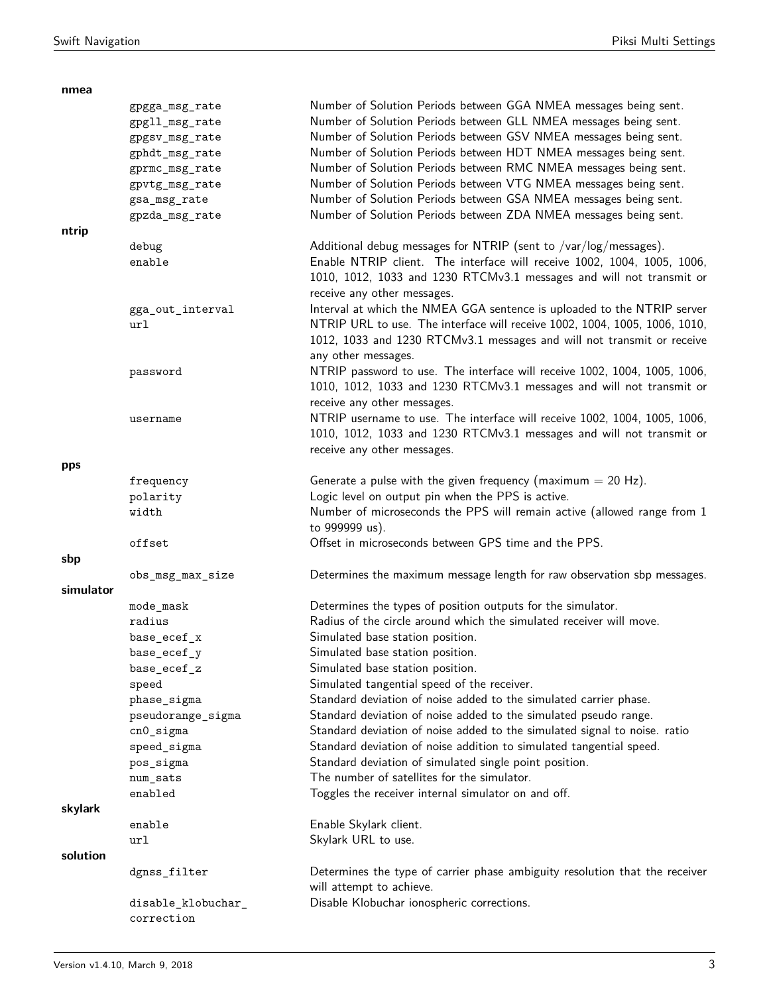| nmea      |                        |                                                                             |
|-----------|------------------------|-----------------------------------------------------------------------------|
|           | gpgga_msg_rate         | Number of Solution Periods between GGA NMEA messages being sent.            |
|           | gpgll_msg_rate         | Number of Solution Periods between GLL NMEA messages being sent.            |
|           | gpgsv_msg_rate         | Number of Solution Periods between GSV NMEA messages being sent.            |
|           | gphdt_msg_rate         | Number of Solution Periods between HDT NMEA messages being sent.            |
|           | gprmc_msg_rate         | Number of Solution Periods between RMC NMEA messages being sent.            |
|           | gpvtg_msg_rate         | Number of Solution Periods between VTG NMEA messages being sent.            |
|           | gsa_msg_rate           | Number of Solution Periods between GSA NMEA messages being sent.            |
|           | gpzda_msg_rate         | Number of Solution Periods between ZDA NMEA messages being sent.            |
| ntrip     |                        |                                                                             |
|           | debug                  | Additional debug messages for NTRIP (sent to /var/log/messages).            |
|           | enable                 | Enable NTRIP client. The interface will receive 1002, 1004, 1005, 1006,     |
|           |                        | 1010, 1012, 1033 and 1230 RTCMv3.1 messages and will not transmit or        |
|           |                        | receive any other messages.                                                 |
|           |                        | Interval at which the NMEA GGA sentence is uploaded to the NTRIP server     |
|           | gga_out_interval       |                                                                             |
|           | ur1                    | NTRIP URL to use. The interface will receive 1002, 1004, 1005, 1006, 1010,  |
|           |                        | 1012, 1033 and 1230 RTCMv3.1 messages and will not transmit or receive      |
|           |                        | any other messages.                                                         |
|           | password               | NTRIP password to use. The interface will receive 1002, 1004, 1005, 1006,   |
|           |                        | 1010, 1012, 1033 and 1230 RTCMv3.1 messages and will not transmit or        |
|           |                        | receive any other messages.                                                 |
|           | username               | NTRIP username to use. The interface will receive 1002, 1004, 1005, 1006,   |
|           |                        | 1010, 1012, 1033 and 1230 RTCMv3.1 messages and will not transmit or        |
|           |                        | receive any other messages.                                                 |
| pps       |                        |                                                                             |
|           | frequency              | Generate a pulse with the given frequency (maximum $= 20$ Hz).              |
|           | polarity               | Logic level on output pin when the PPS is active.                           |
|           | width                  | Number of microseconds the PPS will remain active (allowed range from 1     |
|           |                        | to 999999 us).                                                              |
|           | offset                 | Offset in microseconds between GPS time and the PPS.                        |
| sbp       |                        |                                                                             |
|           | obs_msg_max_size       | Determines the maximum message length for raw observation sbp messages.     |
| simulator |                        |                                                                             |
|           | $\verb mode_max $      | Determines the types of position outputs for the simulator.                 |
|           | radius                 | Radius of the circle around which the simulated receiver will move.         |
|           | base_ecef_x            | Simulated base station position.                                            |
|           | base_ecef_y            | Simulated base station position.                                            |
|           | base_ecef_z            | Simulated base station position.                                            |
|           | speed                  | Simulated tangential speed of the receiver.                                 |
|           | phase_sigma            | Standard deviation of noise added to the simulated carrier phase.           |
|           | pseudorange_sigma      | Standard deviation of noise added to the simulated pseudo range.            |
|           | $cn0$ _sigma           | Standard deviation of noise added to the simulated signal to noise. ratio   |
|           | speed_sigma            | Standard deviation of noise addition to simulated tangential speed.         |
|           |                        | Standard deviation of simulated single point position.                      |
|           | pos_sigma              | The number of satellites for the simulator.                                 |
|           | $num\_sats$<br>enabled |                                                                             |
|           |                        | Toggles the receiver internal simulator on and off.                         |
| skylark   |                        |                                                                             |
|           | enable                 | Enable Skylark client.                                                      |
|           | ur1                    | Skylark URL to use.                                                         |
| solution  |                        |                                                                             |
|           | dgnss_filter           | Determines the type of carrier phase ambiguity resolution that the receiver |
|           |                        | will attempt to achieve.                                                    |
|           | disable_klobuchar_     | Disable Klobuchar ionospheric corrections.                                  |
|           | correction             |                                                                             |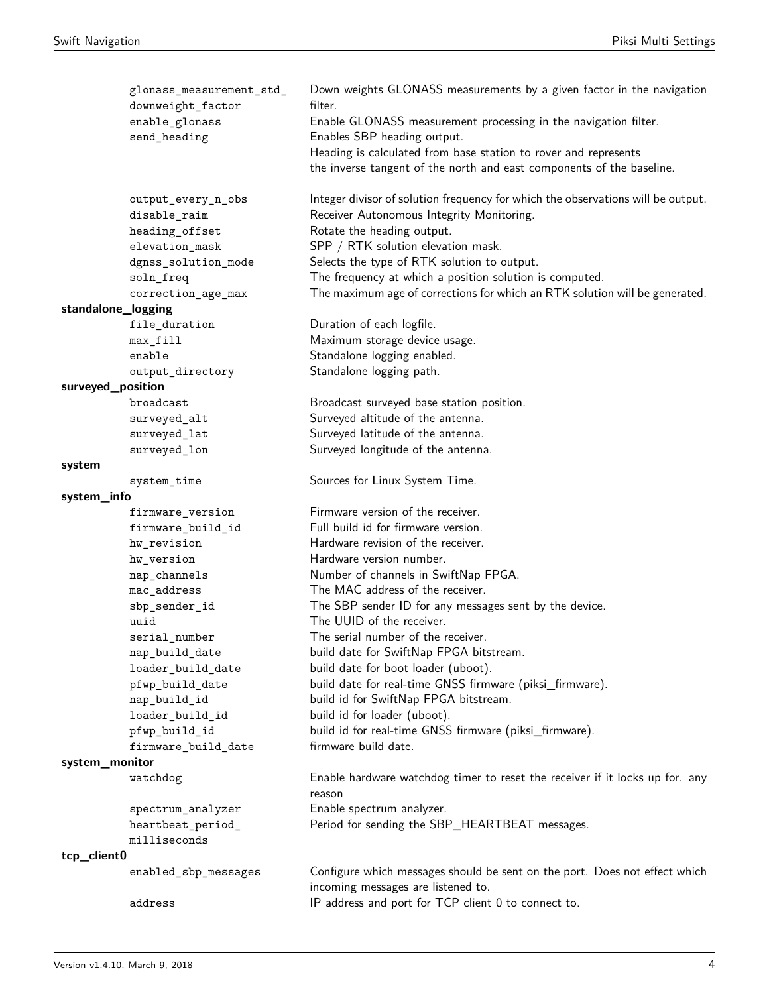|                    | glonass_measurement_std_<br>downweight_factor | Down weights GLONASS measurements by a given factor in the navigation<br>filter.                                 |
|--------------------|-----------------------------------------------|------------------------------------------------------------------------------------------------------------------|
|                    | enable_glonass<br>send_heading                | Enable GLONASS measurement processing in the navigation filter.<br>Enables SBP heading output.                   |
|                    |                                               | Heading is calculated from base station to rover and represents                                                  |
|                    |                                               | the inverse tangent of the north and east components of the baseline.                                            |
|                    | output_every_n_obs                            | Integer divisor of solution frequency for which the observations will be output.                                 |
|                    | disable_raim                                  | Receiver Autonomous Integrity Monitoring.                                                                        |
|                    | heading_offset                                | Rotate the heading output.                                                                                       |
|                    | elevation_mask                                | SPP / RTK solution elevation mask.                                                                               |
|                    | dgnss_solution_mode                           | Selects the type of RTK solution to output.                                                                      |
|                    | soln_freq                                     | The frequency at which a position solution is computed.                                                          |
|                    | correction_age_max                            | The maximum age of corrections for which an RTK solution will be generated.                                      |
| standalone_logging |                                               |                                                                                                                  |
|                    | file_duration                                 | Duration of each logfile.                                                                                        |
|                    | max_fill                                      | Maximum storage device usage.                                                                                    |
|                    | enable                                        | Standalone logging enabled.                                                                                      |
|                    | output_directory                              | Standalone logging path.                                                                                         |
| surveyed_position  |                                               |                                                                                                                  |
|                    | broadcast                                     | Broadcast surveyed base station position.                                                                        |
|                    | surveyed_alt                                  | Surveyed altitude of the antenna.                                                                                |
|                    | surveyed_lat                                  | Surveyed latitude of the antenna.                                                                                |
|                    | surveyed_lon                                  | Surveyed longitude of the antenna.                                                                               |
| system             |                                               |                                                                                                                  |
|                    | system_time                                   | Sources for Linux System Time.                                                                                   |
| system_info        |                                               |                                                                                                                  |
|                    | firmware_version                              | Firmware version of the receiver.                                                                                |
|                    | firmware_build_id                             | Full build id for firmware version.                                                                              |
|                    | hw_revision                                   | Hardware revision of the receiver.                                                                               |
|                    | hw_version                                    | Hardware version number.                                                                                         |
|                    | nap_channels                                  | Number of channels in SwiftNap FPGA.                                                                             |
|                    | mac_address                                   | The MAC address of the receiver.                                                                                 |
|                    | ${\tt sbp\_sender\_id}$                       | The SBP sender ID for any messages sent by the device.                                                           |
|                    | uuid                                          | The UUID of the receiver.                                                                                        |
|                    | serial number                                 | The serial number of the receiver.                                                                               |
|                    | nap_build_date                                | build date for SwiftNap FPGA bitstream.                                                                          |
|                    | loader_build_date                             | build date for boot loader (uboot).                                                                              |
|                    | pfwp_build_date                               | build date for real-time GNSS firmware (piksi_firmware).                                                         |
|                    | nap_build_id                                  | build id for SwiftNap FPGA bitstream.                                                                            |
|                    | loader_build_id                               | build id for loader (uboot).                                                                                     |
|                    | pfwp_build_id                                 | build id for real-time GNSS firmware (piksi_firmware).                                                           |
|                    | firmware_build_date                           | firmware build date.                                                                                             |
| system_monitor     |                                               |                                                                                                                  |
|                    | watchdog                                      | Enable hardware watchdog timer to reset the receiver if it locks up for. any<br>reason                           |
|                    | spectrum_analyzer                             | Enable spectrum analyzer.                                                                                        |
|                    | heartbeat_period_                             | Period for sending the SBP_HEARTBEAT messages.                                                                   |
|                    | milliseconds                                  |                                                                                                                  |
| tcp_client0        |                                               |                                                                                                                  |
|                    | enabled_sbp_messages                          | Configure which messages should be sent on the port. Does not effect which<br>incoming messages are listened to. |
|                    | address                                       | IP address and port for TCP client 0 to connect to.                                                              |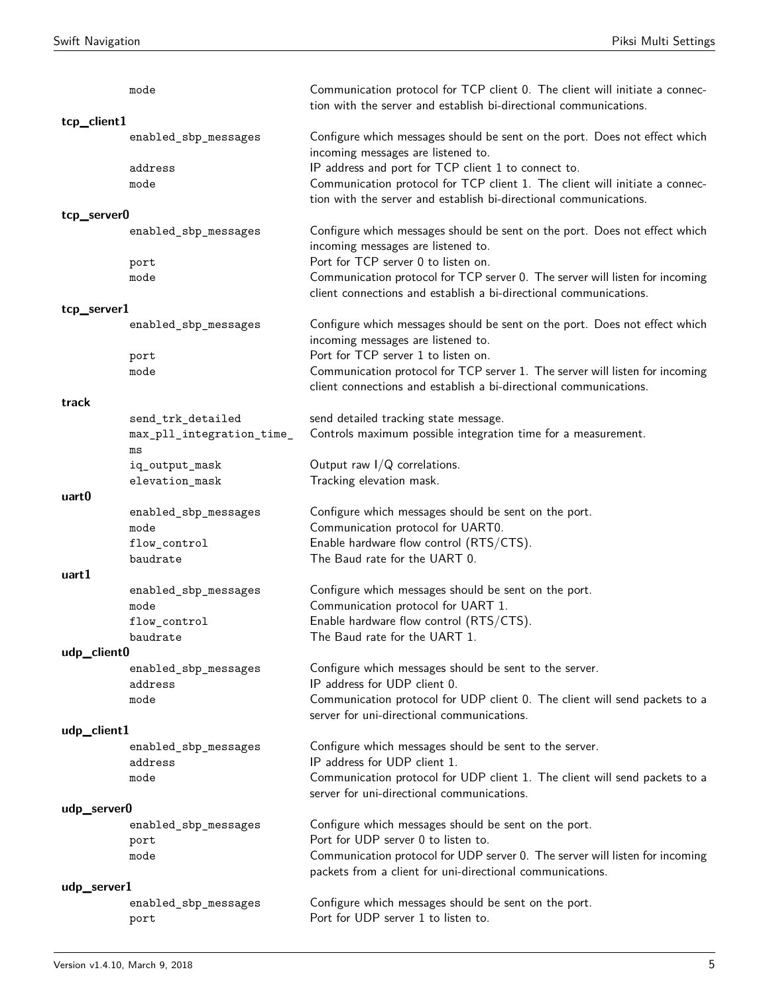|             | mode                            | Communication protocol for TCP client 0. The client will initiate a connec-<br>tion with the server and establish bi-directional communications.  |
|-------------|---------------------------------|---------------------------------------------------------------------------------------------------------------------------------------------------|
| tcp_client1 |                                 |                                                                                                                                                   |
|             | enabled_sbp_messages            | Configure which messages should be sent on the port. Does not effect which<br>incoming messages are listened to.                                  |
|             | address                         | IP address and port for TCP client 1 to connect to.                                                                                               |
|             | mode                            | Communication protocol for TCP client 1. The client will initiate a connec-                                                                       |
|             |                                 | tion with the server and establish bi-directional communications.                                                                                 |
| tcp_server0 |                                 |                                                                                                                                                   |
|             | enabled_sbp_messages            | Configure which messages should be sent on the port. Does not effect which<br>incoming messages are listened to.                                  |
|             | port                            | Port for TCP server 0 to listen on.                                                                                                               |
|             | mode                            | Communication protocol for TCP server 0. The server will listen for incoming<br>client connections and establish a bi-directional communications. |
| tcp_server1 |                                 |                                                                                                                                                   |
|             | enabled_sbp_messages            | Configure which messages should be sent on the port. Does not effect which<br>incoming messages are listened to.                                  |
|             | port                            | Port for TCP server 1 to listen on.                                                                                                               |
|             | mode                            | Communication protocol for TCP server 1. The server will listen for incoming<br>client connections and establish a bi-directional communications. |
| track       |                                 |                                                                                                                                                   |
|             | send_trk_detailed               | send detailed tracking state message.                                                                                                             |
|             | max_pll_integration_time_<br>ms | Controls maximum possible integration time for a measurement.                                                                                     |
|             | iq_output_mask                  | Output raw $I/Q$ correlations.                                                                                                                    |
|             | ${\tt elevation\_mask}$         | Tracking elevation mask.                                                                                                                          |
| uart0       |                                 |                                                                                                                                                   |
|             | enabled_sbp_messages            | Configure which messages should be sent on the port.                                                                                              |
|             | mode                            | Communication protocol for UART0.                                                                                                                 |
|             | flow_control                    | Enable hardware flow control (RTS/CTS).                                                                                                           |
|             | baudrate                        | The Baud rate for the UART 0.                                                                                                                     |
| uart1       |                                 |                                                                                                                                                   |
|             | enabled_sbp_messages            | Configure which messages should be sent on the port.                                                                                              |
|             | mode                            | Communication protocol for UART 1.                                                                                                                |
|             | flow_control                    | Enable hardware flow control (RTS/CTS).                                                                                                           |
|             | baudrate                        | The Baud rate for the UART 1.                                                                                                                     |
| udp_client0 |                                 |                                                                                                                                                   |
|             | enabled_sbp_messages            | Configure which messages should be sent to the server.                                                                                            |
|             | address                         | IP address for UDP client 0.                                                                                                                      |
|             | mode                            | Communication protocol for UDP client 0. The client will send packets to a<br>server for uni-directional communications.                          |
| udp_client1 |                                 |                                                                                                                                                   |
|             | enabled_sbp_messages            | Configure which messages should be sent to the server.                                                                                            |
|             | address                         | IP address for UDP client 1.                                                                                                                      |
|             | mode                            | Communication protocol for UDP client 1. The client will send packets to a<br>server for uni-directional communications.                          |
| udp_server0 |                                 |                                                                                                                                                   |
|             | enabled_sbp_messages            | Configure which messages should be sent on the port.                                                                                              |
|             | port                            | Port for UDP server 0 to listen to.                                                                                                               |
|             | mode                            | Communication protocol for UDP server 0. The server will listen for incoming<br>packets from a client for uni-directional communications.         |
| udp_server1 |                                 |                                                                                                                                                   |
|             | enabled_sbp_messages<br>port    | Configure which messages should be sent on the port.<br>Port for UDP server 1 to listen to.                                                       |
|             |                                 |                                                                                                                                                   |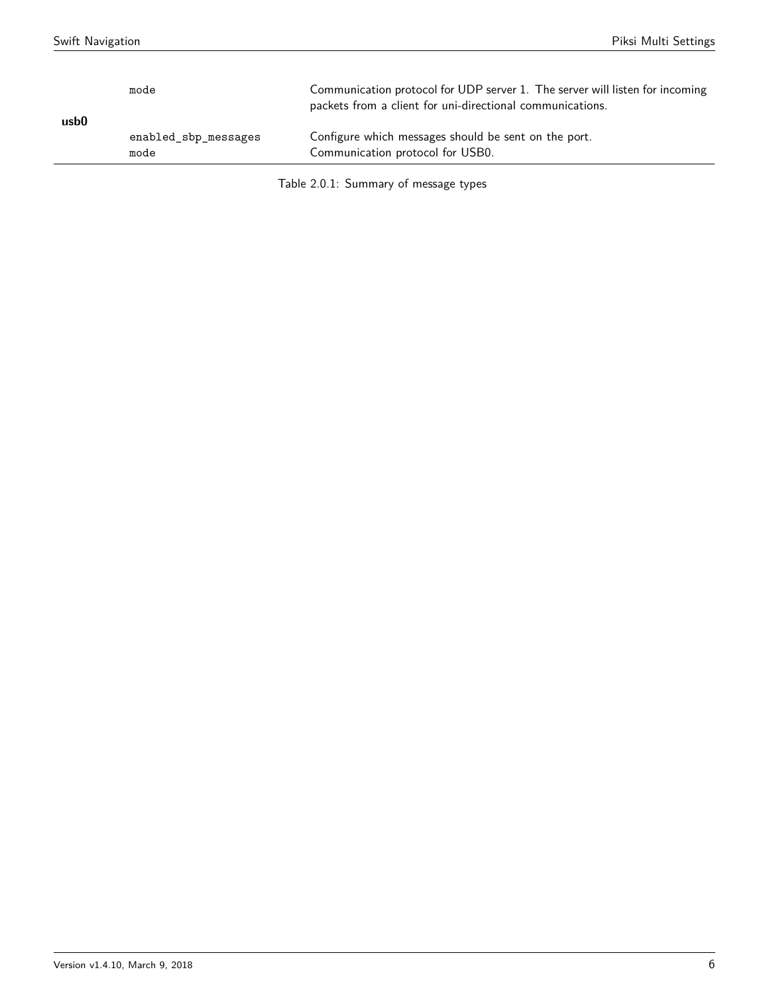| usb0 | mode                         | Communication protocol for UDP server 1. The server will listen for incoming<br>packets from a client for uni-directional communications. |
|------|------------------------------|-------------------------------------------------------------------------------------------------------------------------------------------|
|      | enabled sbp messages<br>mode | Configure which messages should be sent on the port.<br>Communication protocol for USB0.                                                  |

Table 2.0.1: Summary of message types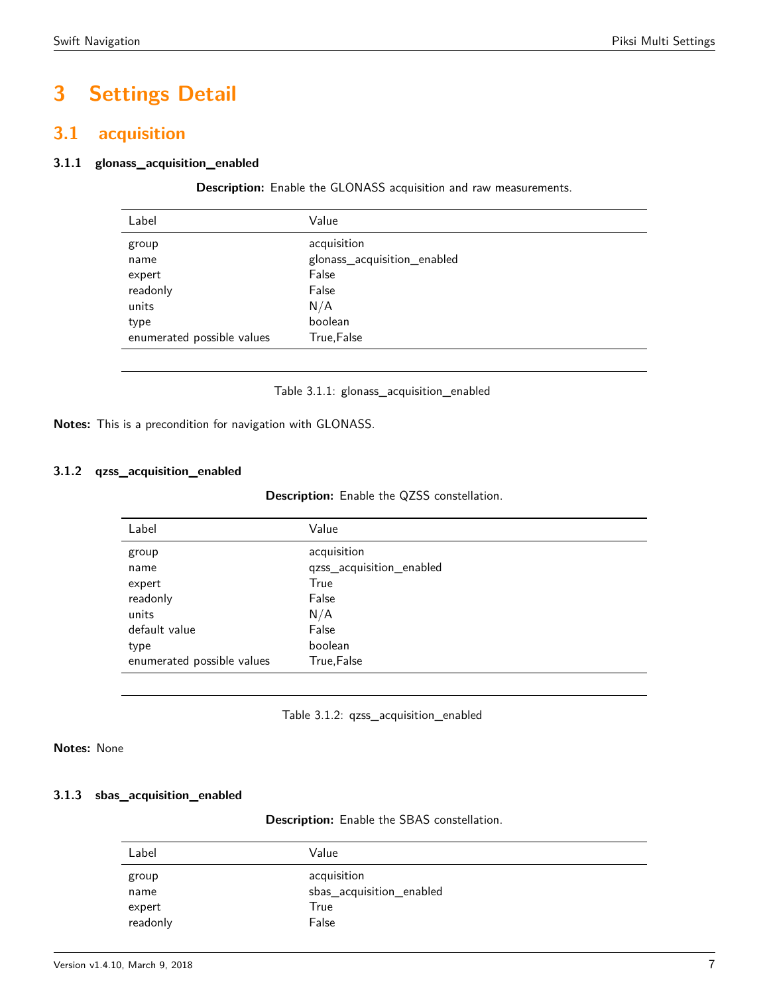# **3 Settings Detail**

# <span id="page-6-0"></span>**3.1 acquisition**

# <span id="page-6-1"></span>**3.1.1 glonass\_acquisition\_enabled**

**Description:** Enable the GLONASS acquisition and raw measurements.

| Label                      | Value                       |
|----------------------------|-----------------------------|
| group                      | acquisition                 |
| name                       | glonass_acquisition_enabled |
| expert                     | False                       |
| readonly                   | False                       |
| units                      | N/A                         |
| type                       | boolean                     |
| enumerated possible values | True, False                 |
|                            |                             |

Table 3.1.1: glonass\_acquisition\_enabled

**Notes:** This is a precondition for navigation with GLONASS.

# <span id="page-6-2"></span>**3.1.2 qzss\_acquisition\_enabled**

**Description:** Enable the QZSS constellation.

| Value                    |
|--------------------------|
| acquisition              |
| qzss_acquisition_enabled |
| True                     |
| False                    |
| N/A                      |
| False                    |
| boolean                  |
| True, False              |
|                          |

Table 3.1.2: qzss\_acquisition\_enabled

**Notes:** None

### <span id="page-6-3"></span>**3.1.3 sbas\_acquisition\_enabled**

**Description:** Enable the SBAS constellation.

| Label    | Value                    |
|----------|--------------------------|
| group    | acquisition              |
| name     | sbas_acquisition_enabled |
| expert   | True                     |
| readonly | False                    |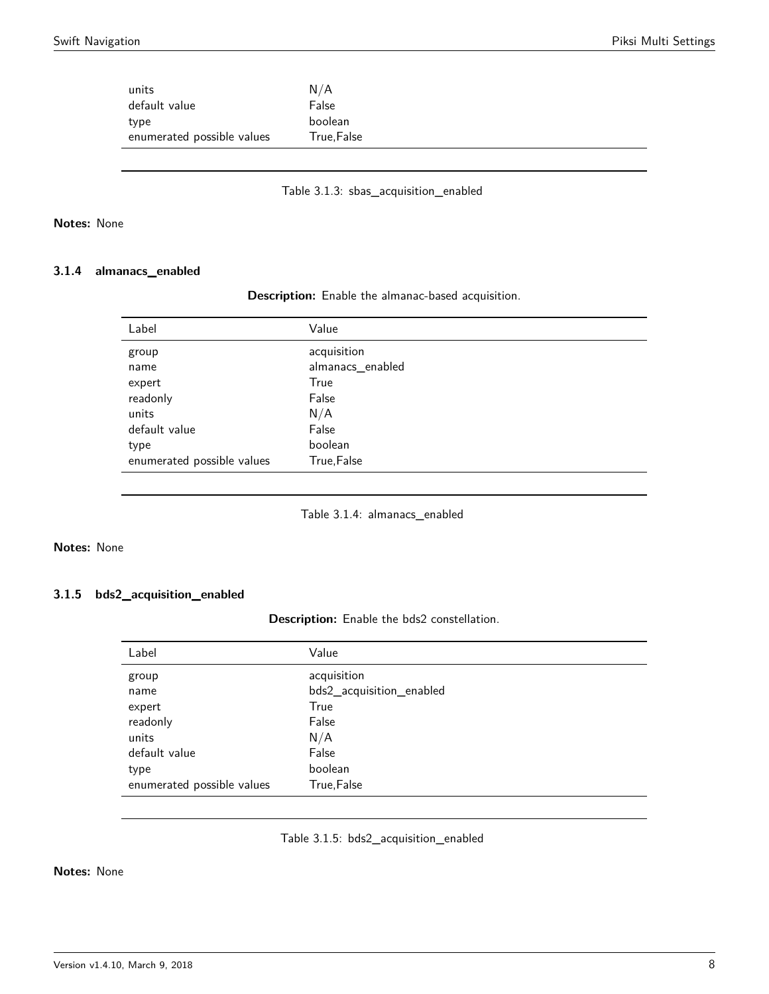| units                      | N/A        |
|----------------------------|------------|
| default value              | False      |
| type                       | boolean    |
| enumerated possible values | True,False |
|                            |            |

Table 3.1.3: sbas\_acquisition\_enabled

# **Notes:** None

# <span id="page-7-0"></span>**3.1.4 almanacs\_enabled**

|  |  | Description: Enable the almanac-based acquisition. |  |
|--|--|----------------------------------------------------|--|
|--|--|----------------------------------------------------|--|

| Label                      | Value            |
|----------------------------|------------------|
| group                      | acquisition      |
| name                       | almanacs_enabled |
| expert                     | True             |
| readonly                   | False            |
| units                      | N/A              |
| default value              | False            |
| type                       | boolean          |
| enumerated possible values | True, False      |

Table 3.1.4: almanacs\_enabled

# **Notes:** None

# **3.1.5 bds2\_acquisition\_enabled**

**Description:** Enable the bds2 constellation.

| Label                      | Value                    |
|----------------------------|--------------------------|
| group                      | acquisition              |
| name                       | bds2_acquisition_enabled |
| expert                     | True                     |
| readonly                   | False                    |
| units                      | N/A                      |
| default value              | False                    |
| type                       | boolean                  |
| enumerated possible values | True, False              |
|                            |                          |

# Table 3.1.5: bds2\_acquisition\_enabled

### <span id="page-7-1"></span>**Notes:** None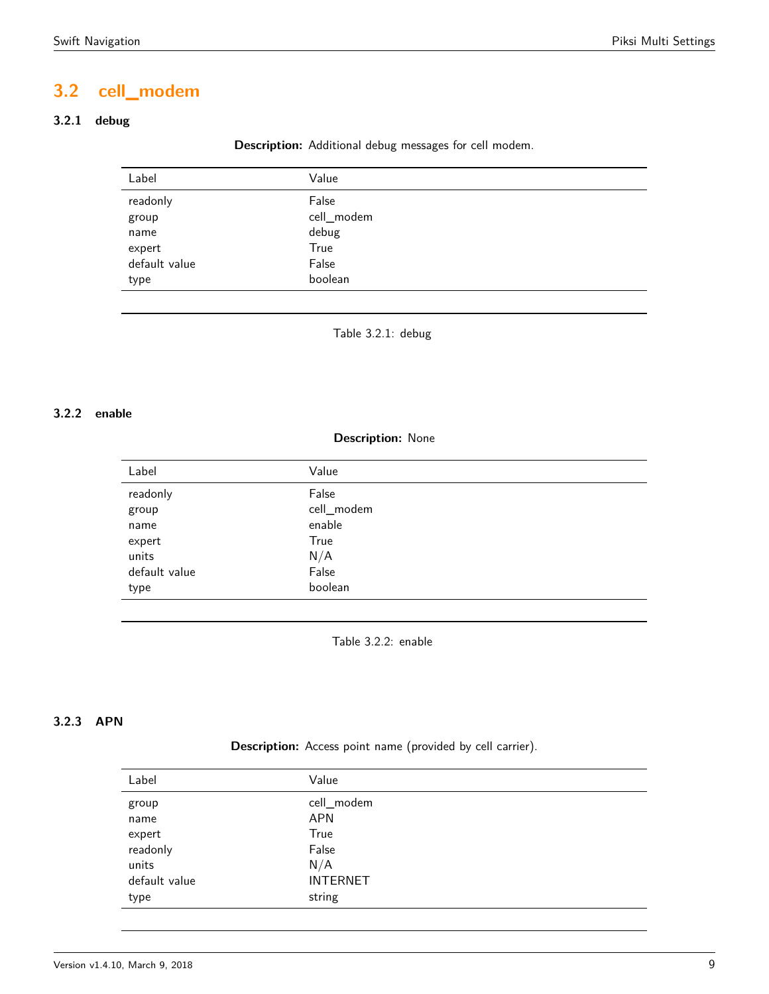# **3.2 cell\_modem**

# <span id="page-8-0"></span>**3.2.1 debug**

#### **Description:** Additional debug messages for cell modem.

| Label         | Value      |  |
|---------------|------------|--|
| readonly      | False      |  |
| group         | cell_modem |  |
| name          | debug      |  |
| expert        | True       |  |
| default value | False      |  |
| type          | boolean    |  |

Table 3.2.1: debug

# <span id="page-8-1"></span>**3.2.2 enable**

#### **Description:** None

| Label         | Value      |
|---------------|------------|
| readonly      | False      |
| group         | cell_modem |
| name          | enable     |
| expert        | True       |
| units         | N/A        |
| default value | False      |
| type          | boolean    |
|               |            |

Table 3.2.2: enable

# **3.2.3 APN**

# **Description:** Access point name (provided by cell carrier).

| Label         | Value           |
|---------------|-----------------|
| group         | cell_modem      |
| name          | <b>APN</b>      |
| expert        | True            |
| readonly      | False           |
| units         | N/A             |
| default value | <b>INTERNET</b> |
| type          | string          |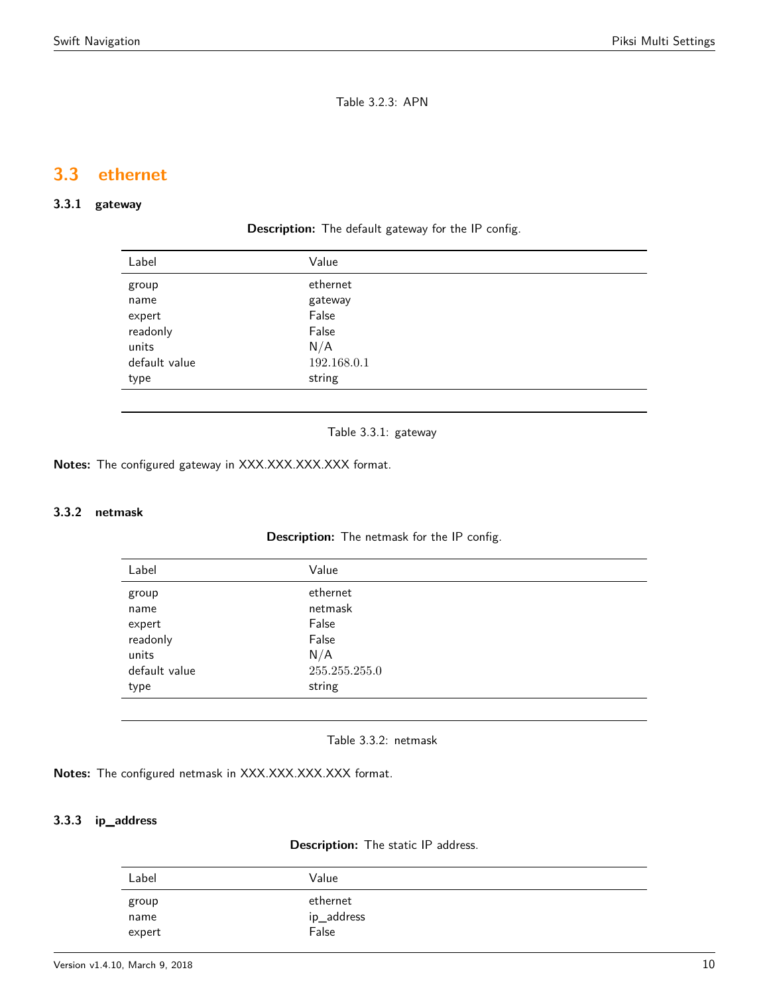Table 3.2.3: APN

# <span id="page-9-0"></span>**3.3 ethernet**

# <span id="page-9-1"></span>**3.3.1 gateway**

**Description:** The default gateway for the IP config.

| Label         | Value       |
|---------------|-------------|
| group         | ethernet    |
| name          | gateway     |
| expert        | False       |
| readonly      | False       |
| units         | N/A         |
| default value | 192.168.0.1 |
| type          | string      |
|               |             |

Table 3.3.1: gateway

**Notes:** The configured gateway in XXX.XXX.XXX.XXX format.

# <span id="page-9-2"></span>**3.3.2 netmask**

**Description:** The netmask for the IP config.

| Label         | Value         |
|---------------|---------------|
| group         | ethernet      |
| name          | netmask       |
| expert        | False         |
| readonly      | False         |
| units         | N/A           |
| default value | 255.255.255.0 |
| type          | string        |
|               |               |

Table 3.3.2: netmask

**Notes:** The configured netmask in XXX.XXX.XXX.XXX format.

### <span id="page-9-3"></span>**3.3.3 ip\_address**

**Description:** The static IP address.

| Label  | Value      |
|--------|------------|
| group  | ethernet   |
| name   | ip_address |
| expert | False      |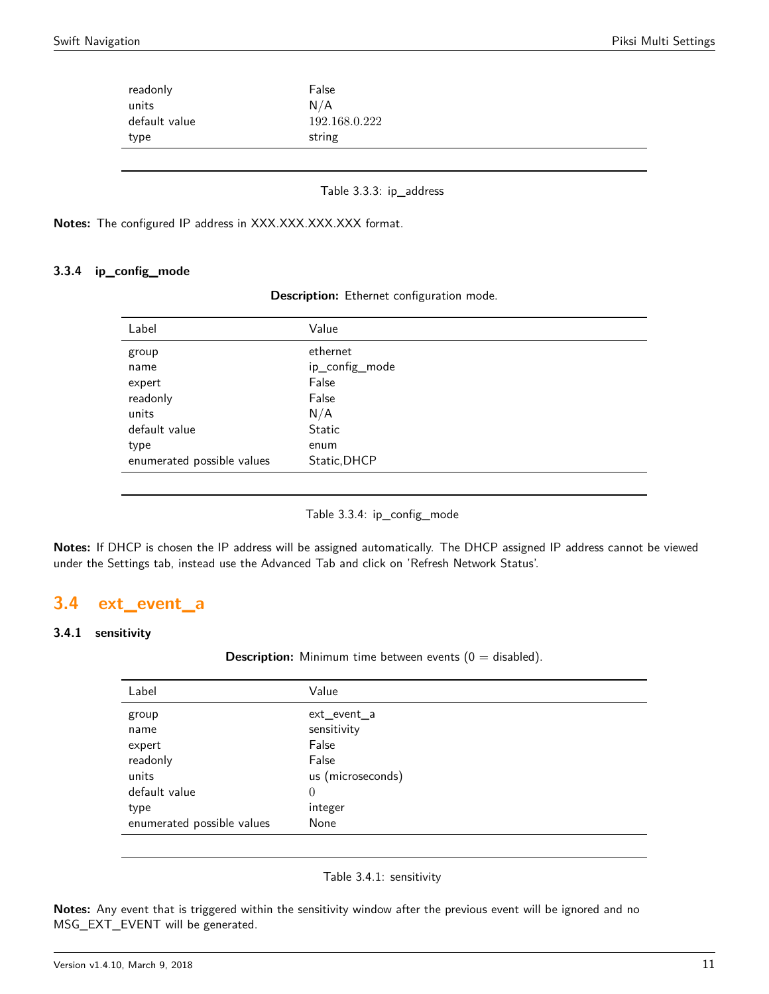| readonly<br>units | False<br>N/A  |
|-------------------|---------------|
| default value     | 192.168.0.222 |
| type              | string        |
|                   |               |

Table 3.3.3: ip\_address

**Notes:** The configured IP address in XXX.XXX.XXX.XXX format.

### **3.3.4 ip\_config\_mode**

| Description: Ethernet configuration mode. |  |  |  |
|-------------------------------------------|--|--|--|
|-------------------------------------------|--|--|--|

| Label                      | Value          |
|----------------------------|----------------|
| group                      | ethernet       |
| name                       | ip_config_mode |
| expert                     | False          |
| readonly                   | False          |
| units                      | N/A            |
| default value              | <b>Static</b>  |
| type                       | enum           |
| enumerated possible values | Static, DHCP   |
|                            |                |

Table 3.3.4: ip\_config\_mode

**Notes:** If DHCP is chosen the IP address will be assigned automatically. The DHCP assigned IP address cannot be viewed under the Settings tab, instead use the Advanced Tab and click on 'Refresh Network Status'.

# <span id="page-10-0"></span>**3.4 ext\_event\_a**

#### <span id="page-10-1"></span>**3.4.1 sensitivity**

**Description:** Minimum time between events  $(0 = \text{disabled})$ .

| Label                      | Value             |
|----------------------------|-------------------|
| group                      | ext_event_a       |
| name                       | sensitivity       |
| expert                     | False             |
| readonly                   | False             |
| units                      | us (microseconds) |
| default value              | $\theta$          |
| type                       | integer           |
| enumerated possible values | None              |
|                            |                   |

Table 3.4.1: sensitivity

**Notes:** Any event that is triggered within the sensitivity window after the previous event will be ignored and no MSG\_EXT\_EVENT will be generated.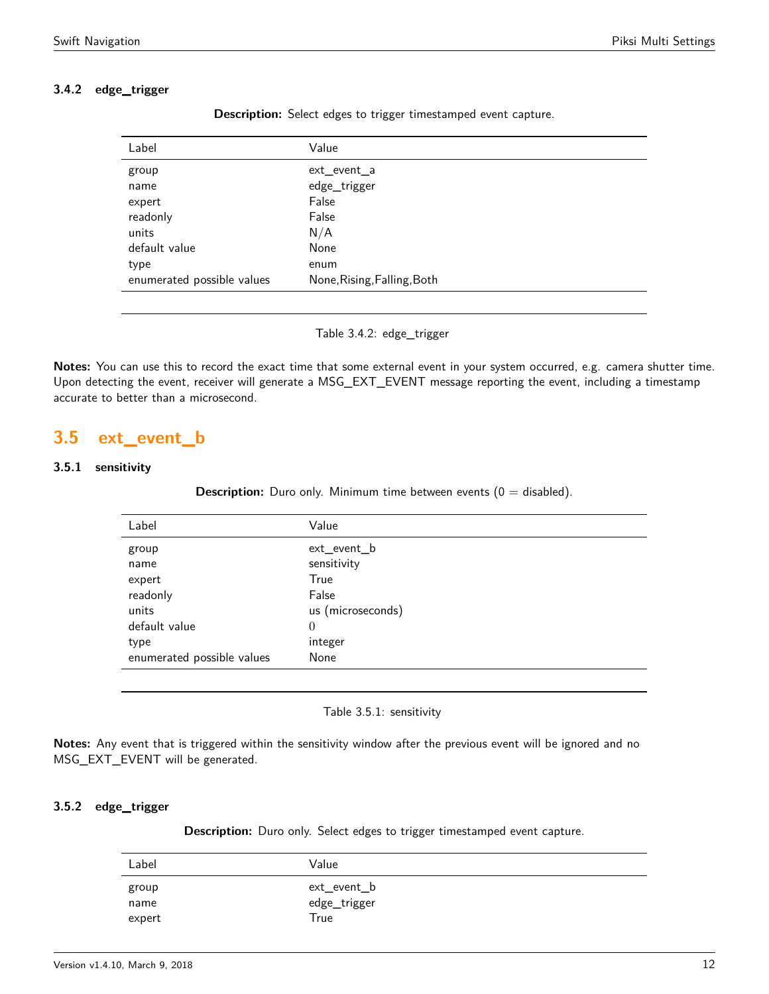# **3.4.2 edge\_trigger**

**Description:** Select edges to trigger timestamped event capture.

Table 3.4.2: edge\_trigger

**Notes:** You can use this to record the exact time that some external event in your system occurred, e.g. camera shutter time. Upon detecting the event, receiver will generate a MSG\_EXT\_EVENT message reporting the event, including a timestamp accurate to better than a microsecond.

# <span id="page-11-0"></span>**3.5 ext\_event\_b**

### <span id="page-11-1"></span>**3.5.1 sensitivity**

**Description:** Duro only. Minimum time between events  $(0 = \text{disabled})$ .

| Label                      | Value             |
|----------------------------|-------------------|
| group                      | ext_event_b       |
| name                       | sensitivity       |
| expert                     | True              |
| readonly                   | False             |
| units                      | us (microseconds) |
| default value              | $\theta$          |
| type                       | integer           |
| enumerated possible values | None              |
|                            |                   |

Table 3.5.1: sensitivity

**Notes:** Any event that is triggered within the sensitivity window after the previous event will be ignored and no MSG\_EXT\_EVENT will be generated.

### **3.5.2 edge\_trigger**

**Description:** Duro only. Select edges to trigger timestamped event capture.

| Label  | Value        |
|--------|--------------|
| group  | ext_event_b  |
| name   | edge_trigger |
| expert | True         |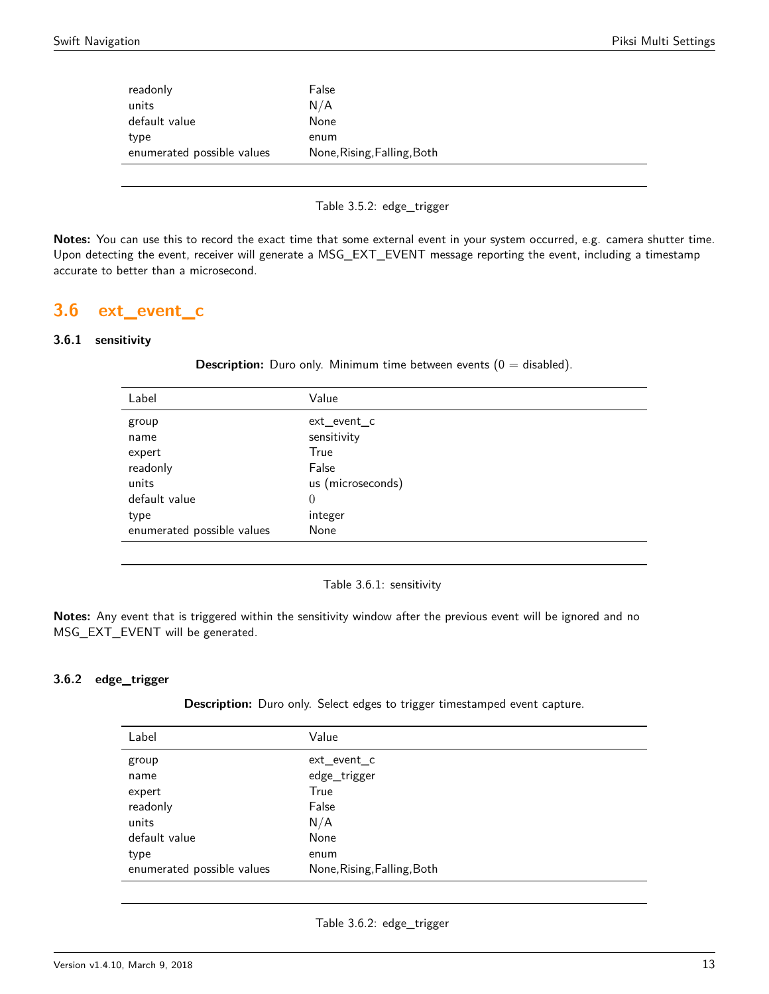| readonly                   | False                       |
|----------------------------|-----------------------------|
| units                      | N/A                         |
| default value              | None                        |
| type                       | enum                        |
| enumerated possible values | None, Rising, Falling, Both |
|                            |                             |

Table 3.5.2: edge\_trigger

**Notes:** You can use this to record the exact time that some external event in your system occurred, e.g. camera shutter time. Upon detecting the event, receiver will generate a MSG\_EXT\_EVENT message reporting the event, including a timestamp accurate to better than a microsecond.

# <span id="page-12-0"></span>**3.6 ext\_event\_c**

### <span id="page-12-1"></span>**3.6.1 sensitivity**

**Description:** Duro only. Minimum time between events (0 = disabled).

| Label                      | Value             |
|----------------------------|-------------------|
| group                      | ext_event_c       |
| name                       | sensitivity       |
| expert                     | True              |
| readonly                   | False             |
| units                      | us (microseconds) |
| default value              | $\overline{0}$    |
| type                       | integer           |
| enumerated possible values | None              |

Table 3.6.1: sensitivity

**Notes:** Any event that is triggered within the sensitivity window after the previous event will be ignored and no MSG\_EXT\_EVENT will be generated.

# **3.6.2 edge\_trigger**

**Description:** Duro only. Select edges to trigger timestamped event capture.

| Label                      | Value                       |
|----------------------------|-----------------------------|
| group                      | ext_event_c                 |
| name                       | edge_trigger                |
| expert                     | True                        |
| readonly                   | False                       |
| units                      | N/A                         |
| default value              | None                        |
| type                       | enum                        |
| enumerated possible values | None, Rising, Falling, Both |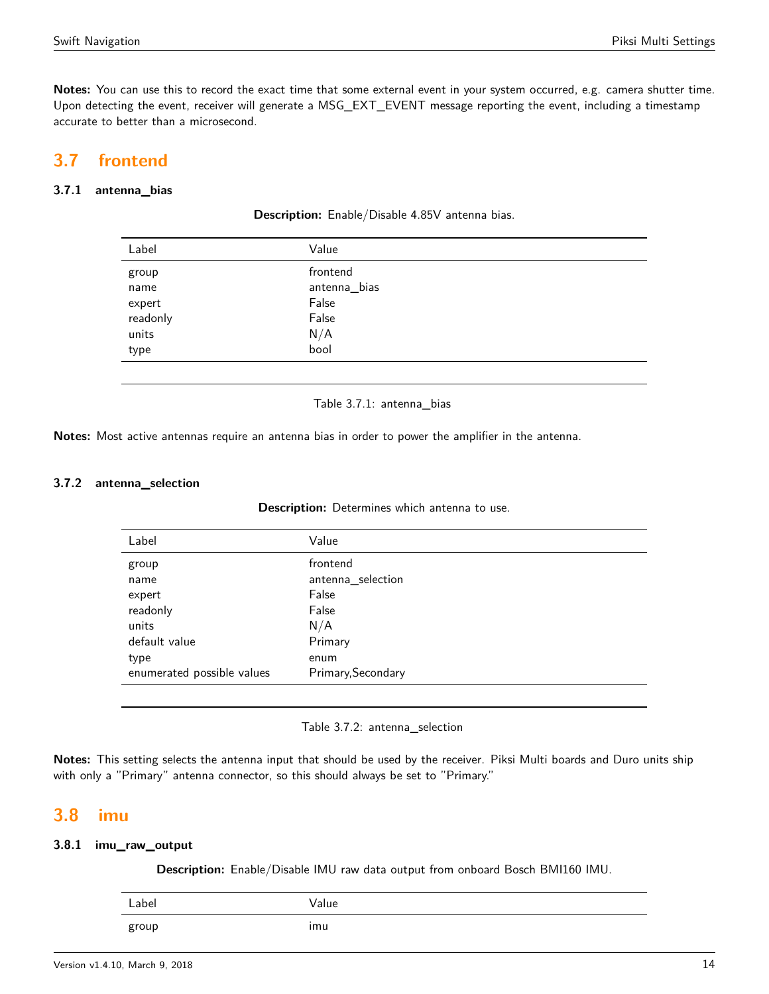**Notes:** You can use this to record the exact time that some external event in your system occurred, e.g. camera shutter time. Upon detecting the event, receiver will generate a MSG\_EXT\_EVENT message reporting the event, including a timestamp accurate to better than a microsecond.

# <span id="page-13-0"></span>**3.7 frontend**

# <span id="page-13-1"></span>**3.7.1 antenna\_bias**

| Label    | Value        |
|----------|--------------|
| group    | frontend     |
| name     | antenna_bias |
| expert   | False        |
| readonly | False        |
| units    | N/A          |
| type     | bool         |
|          |              |

**Description:** Enable/Disable 4.85V antenna bias.

#### Table 3.7.1: antenna\_bias

**Notes:** Most active antennas require an antenna bias in order to power the amplifier in the antenna.

#### **3.7.2 antenna\_selection**

| Description: Determines which antenna to use. |  |  |  |  |  |
|-----------------------------------------------|--|--|--|--|--|
|-----------------------------------------------|--|--|--|--|--|

| Label                      | Value              |
|----------------------------|--------------------|
| group                      | frontend           |
| name                       | antenna_selection  |
| expert                     | False              |
| readonly                   | False              |
| units                      | N/A                |
| default value              | Primary            |
| type                       | enum               |
| enumerated possible values | Primary, Secondary |
|                            |                    |

#### Table 3.7.2: antenna\_selection

**Notes:** This setting selects the antenna input that should be used by the receiver. Piksi Multi boards and Duro units ship with only a "Primary" antenna connector, so this should always be set to "Primary."

# <span id="page-13-2"></span>**3.8 imu**

### <span id="page-13-3"></span>**3.8.1 imu\_raw\_output**

**Description:** Enable/Disable IMU raw data output from onboard Bosch BMI160 IMU.

| Label | Value          |
|-------|----------------|
| group | $\cdot$<br>imu |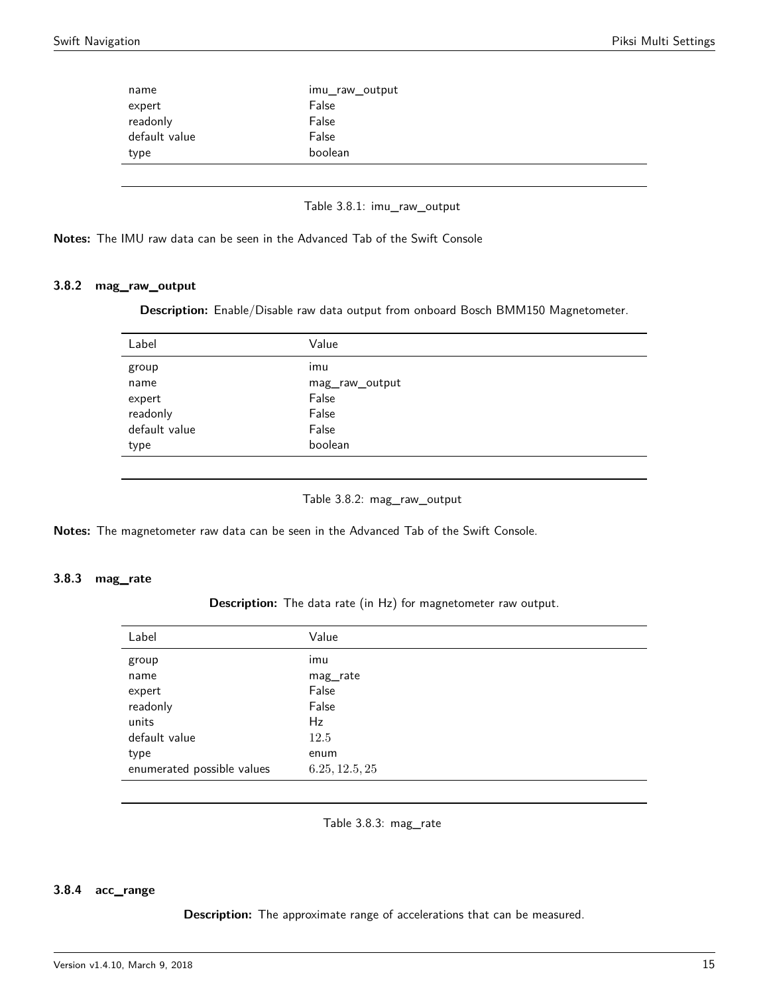| name          | imu_raw_output |
|---------------|----------------|
| expert        | False          |
| readonly      | False          |
| default value | False          |
| type          | boolean        |
|               |                |

| Table 3.8.1: imu_raw_output |  |  |  |
|-----------------------------|--|--|--|
|-----------------------------|--|--|--|

**Notes:** The IMU raw data can be seen in the Advanced Tab of the Swift Console

### <span id="page-14-0"></span>**3.8.2 mag\_raw\_output**

**Description:** Enable/Disable raw data output from onboard Bosch BMM150 Magnetometer.

| Label         | Value          |
|---------------|----------------|
| group         | . .<br>imu     |
| name          | mag_raw_output |
| expert        | False          |
| readonly      | False          |
| default value | False          |
| type          | boolean        |
|               |                |

Table 3.8.2: mag\_raw\_output

**Notes:** The magnetometer raw data can be seen in the Advanced Tab of the Swift Console.

#### <span id="page-14-1"></span>**3.8.3 mag\_rate**

**Description:** The data rate (in Hz) for magnetometer raw output.

| Label                      | Value          |
|----------------------------|----------------|
| group                      | imu            |
| name                       | mag_rate       |
| expert                     | False          |
| readonly                   | False          |
| units                      | Hz             |
| default value              | 12.5           |
| type                       | enum           |
| enumerated possible values | 6.25, 12.5, 25 |

Table 3.8.3: mag\_rate

#### <span id="page-14-2"></span>**3.8.4 acc\_range**

**Description:** The approximate range of accelerations that can be measured.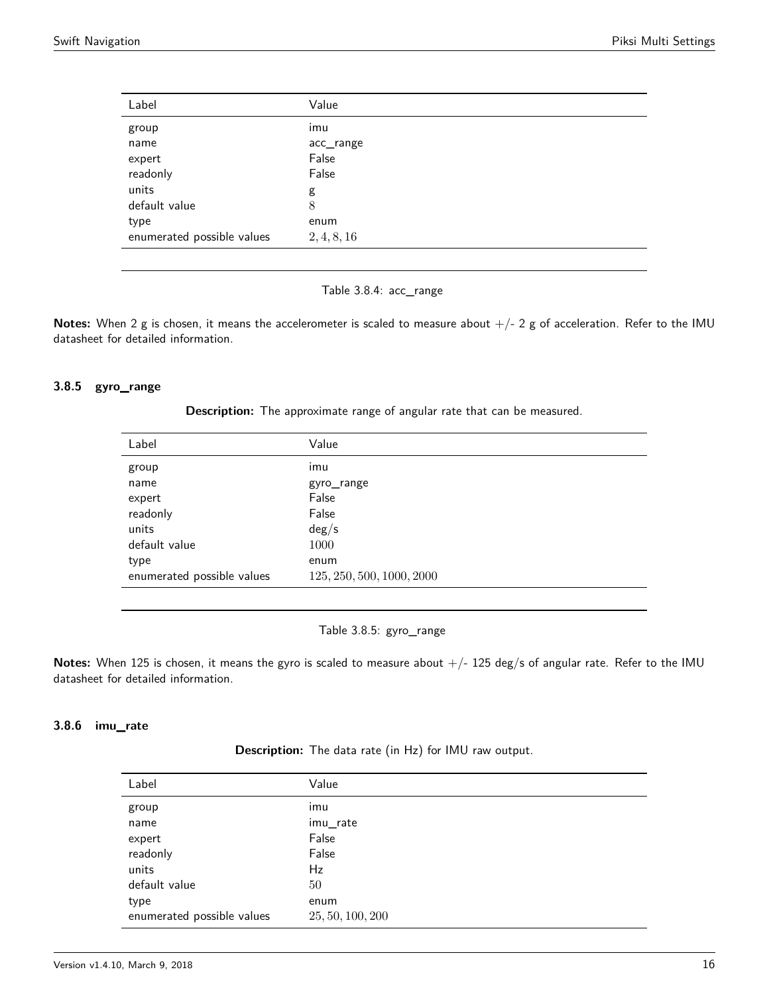| Label                      | Value       |
|----------------------------|-------------|
| group                      | imu         |
| name                       | acc_range   |
| expert                     | False       |
| readonly                   | False       |
| units                      | g           |
| default value              | 8           |
| type                       | enum        |
| enumerated possible values | 2, 4, 8, 16 |

Table 3.8.4: acc\_range

Notes: When 2 g is chosen, it means the accelerometer is scaled to measure about  $+/- 2$  g of acceleration. Refer to the IMU datasheet for detailed information.

### <span id="page-15-0"></span>**3.8.5 gyro\_range**

**Description:** The approximate range of angular rate that can be measured.

| Value                     |
|---------------------------|
| imu                       |
| gyro_range                |
| False                     |
| False                     |
| deg/s                     |
| 1000                      |
| enum                      |
| 125, 250, 500, 1000, 2000 |
|                           |

Table 3.8.5: gyro\_range

Notes: When 125 is chosen, it means the gyro is scaled to measure about  $+/- 125$  deg/s of angular rate. Refer to the IMU datasheet for detailed information.

### **3.8.6 imu\_rate**

**Description:** The data rate (in Hz) for IMU raw output.

| Label                      | Value            |
|----------------------------|------------------|
| group                      | imu              |
| name                       | imu_rate         |
| expert                     | False            |
| readonly                   | False            |
| units                      | Hz               |
| default value              | 50               |
| type                       | enum             |
| enumerated possible values | 25, 50, 100, 200 |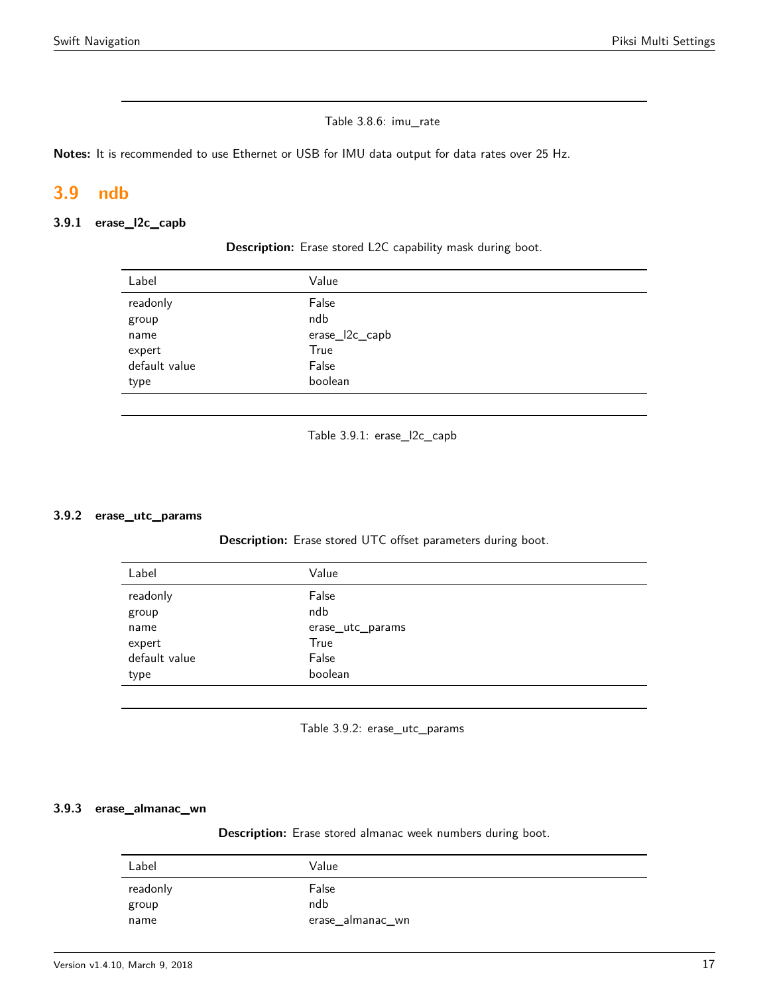### Table 3.8.6: imu\_rate

**Notes:** It is recommended to use Ethernet or USB for IMU data output for data rates over 25 Hz.

# <span id="page-16-0"></span>**3.9 ndb**

#### <span id="page-16-1"></span>**3.9.1 erase\_l2c\_capb**

| Label         | Value          |
|---------------|----------------|
| readonly      | False          |
| group         | ndb            |
| name          | erase_l2c_capb |
| expert        | True           |
| default value | False          |
| type          | boolean        |

**Description:** Erase stored L2C capability mask during boot.

Table 3.9.1: erase\_l2c\_capb

#### <span id="page-16-2"></span>**3.9.2 erase\_utc\_params**

**Description:** Erase stored UTC offset parameters during boot.

| Label         | Value            |
|---------------|------------------|
| readonly      | False            |
| group         | ndb              |
| name          | erase_utc_params |
| expert        | True             |
| default value | False            |
| type          | boolean          |
|               |                  |

Table 3.9.2: erase\_utc\_params

### <span id="page-16-3"></span>**3.9.3 erase\_almanac\_wn**

**Description:** Erase stored almanac week numbers during boot.

| Label    | Value            |
|----------|------------------|
| readonly | False            |
| group    | ndb              |
| name     | erase_almanac_wn |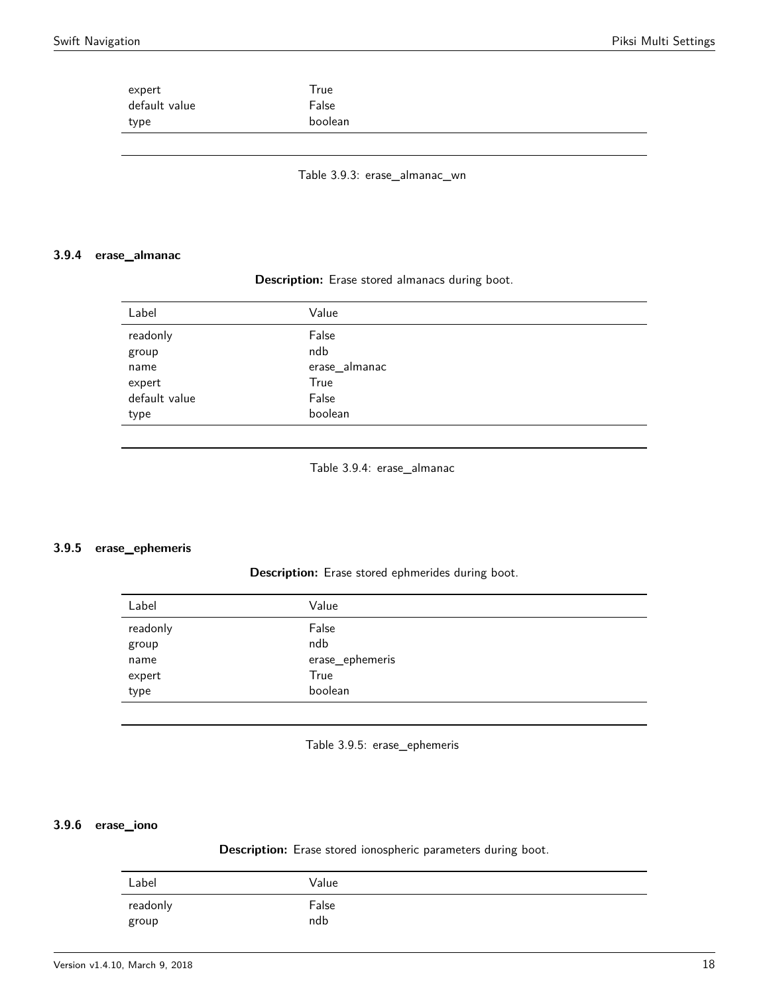| expert        | True    |  |
|---------------|---------|--|
| default value | False   |  |
| type          | boolean |  |
|               |         |  |

Table 3.9.3: erase\_almanac\_wn

#### <span id="page-17-0"></span>**3.9.4 erase\_almanac**

#### **Description:** Erase stored almanacs during boot.

| Label         | Value         |
|---------------|---------------|
| readonly      | False         |
| group         | ndb           |
| name          | erase_almanac |
| expert        | True          |
| default value | False         |
| type          | boolean       |
|               |               |

Table 3.9.4: erase\_almanac

#### <span id="page-17-1"></span>**3.9.5 erase\_ephemeris**

#### **Description:** Erase stored ephmerides during boot.

| Label             | Value           |
|-------------------|-----------------|
| readonly<br>group | False<br>ndb    |
| name              | erase_ephemeris |
| expert            | True            |
| type              | boolean         |
|                   |                 |

Table 3.9.5: erase\_ephemeris

#### <span id="page-17-2"></span>**3.9.6 erase\_iono**

**Description:** Erase stored ionospheric parameters during boot.

| Label    | Value |
|----------|-------|
| readonly | False |
| group    | ndb   |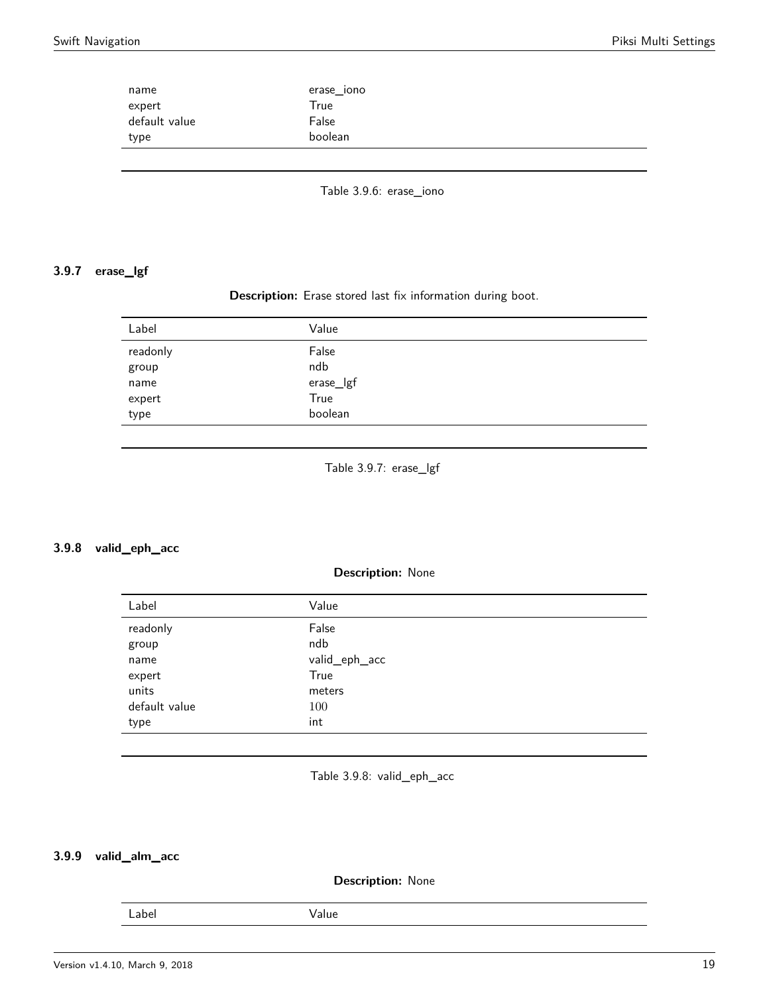| name          | erase_iono |  |
|---------------|------------|--|
| expert        | True       |  |
| default value | False      |  |
| type          | boolean    |  |

Table 3.9.6: erase\_iono

# <span id="page-18-0"></span>**3.9.7 erase\_lgf**

# **Description:** Erase stored last fix information during boot.

| Label    | Value     |
|----------|-----------|
| readonly | False     |
| group    | ndb       |
| name     | erase_lgf |
| expert   | True      |
| type     | boolean   |

Table 3.9.7: erase\_lgf

#### <span id="page-18-1"></span>**3.9.8 valid\_eph\_acc**

#### **Description:** None

| Label         | Value         |
|---------------|---------------|
| readonly      | False         |
| group         | ndb           |
| name          | valid_eph_acc |
| expert        | True          |
| units         | meters        |
| default value | 100           |
| type          | int           |

Table 3.9.8: valid\_eph\_acc

# <span id="page-18-2"></span>**3.9.9 valid\_alm\_acc**

#### **Description:** None

Label Value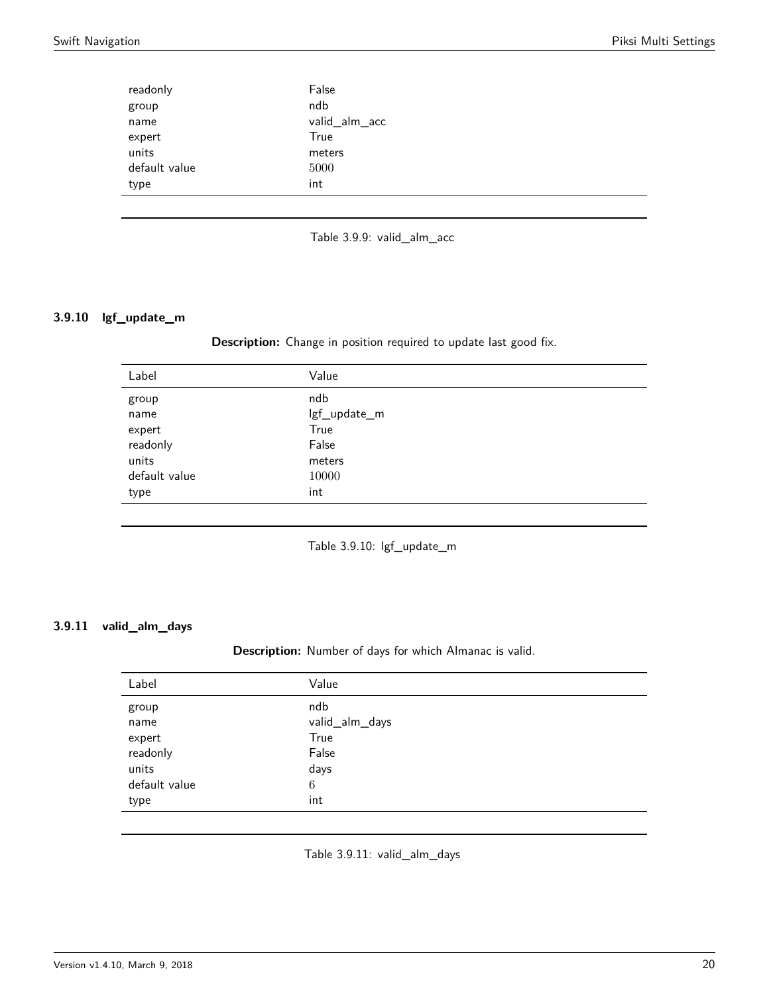| readonly      | False         |
|---------------|---------------|
| group         | ndb           |
| name          | valid_alm_acc |
| expert        | True          |
| units         | meters        |
| default value | 5000          |
| type          | int           |

Table 3.9.9: valid\_alm\_acc

# <span id="page-19-0"></span>**3.9.10 lgf\_update\_m**

**Description:** Change in position required to update last good fix.

| Label         | Value        |
|---------------|--------------|
| group         | ndb          |
| name          | lgf_update_m |
| expert        | True         |
| readonly      | False        |
| units         | meters       |
| default value | 10000        |
| type          | int          |
|               |              |

Table 3.9.10: lgf\_update\_m

# <span id="page-19-1"></span>**3.9.11 valid\_alm\_days**

**Description:** Number of days for which Almanac is valid.

| Label                               | Value                                  |
|-------------------------------------|----------------------------------------|
| group<br>name<br>expert<br>readonly | ndb<br>valid_alm_days<br>True<br>False |
| units<br>default value<br>type      | days<br>6<br>int                       |
|                                     |                                        |

Table 3.9.11: valid\_alm\_days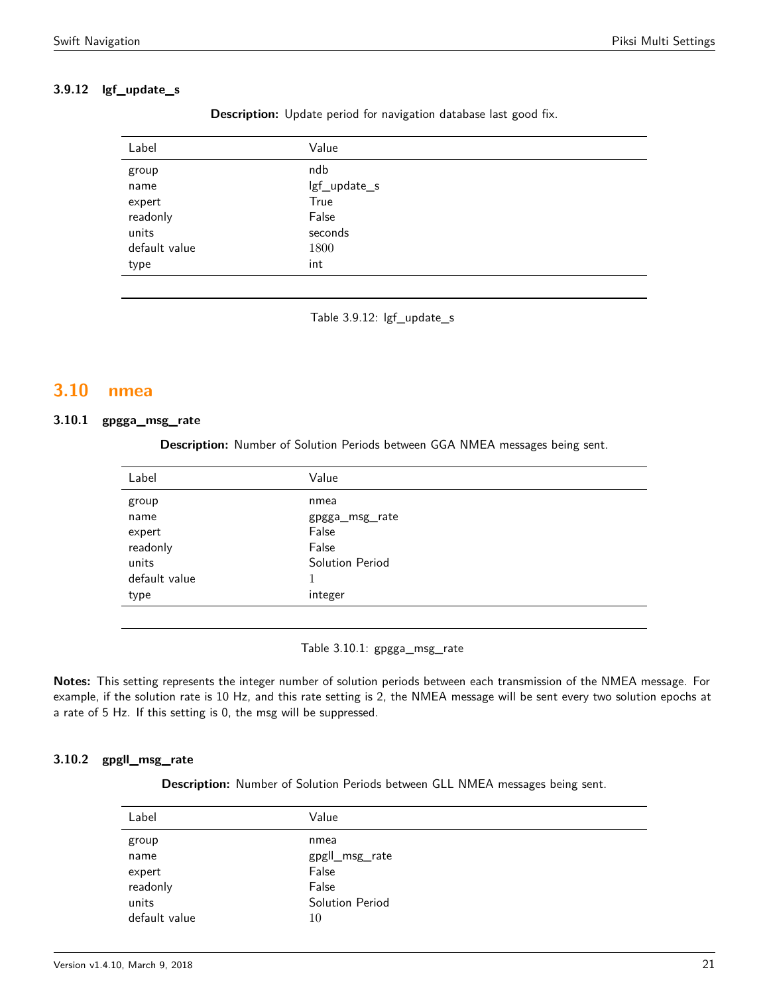# **3.9.12 lgf\_update\_s**

| Value        |
|--------------|
| ndb          |
| lgf_update_s |
| True         |
| False        |
| seconds      |
| 1800         |
| int          |
|              |

**Description:** Update period for navigation database last good fix.

Table 3.9.12: lgf\_update\_s

# <span id="page-20-0"></span>**3.10 nmea**

# <span id="page-20-1"></span>**3.10.1 gpgga\_msg\_rate**

**Description:** Number of Solution Periods between GGA NMEA messages being sent.

| Label         | Value           |
|---------------|-----------------|
| group         | nmea            |
| name          | gpgga_msg_rate  |
| expert        | False           |
| readonly      | False           |
| units         | Solution Period |
| default value |                 |
| type          | integer         |
|               |                 |

Table 3.10.1: gpgga\_msg\_rate

**Notes:** This setting represents the integer number of solution periods between each transmission of the NMEA message. For example, if the solution rate is 10 Hz, and this rate setting is 2, the NMEA message will be sent every two solution epochs at a rate of 5 Hz. If this setting is 0, the msg will be suppressed.

# <span id="page-20-2"></span>**3.10.2 gpgll\_msg\_rate**

**Description:** Number of Solution Periods between GLL NMEA messages being sent.

| Label         | Value           |
|---------------|-----------------|
| group         | nmea            |
| name          | gpgll_msg_rate  |
| expert        | False           |
| readonly      | False           |
| units         | Solution Period |
| default value | 10              |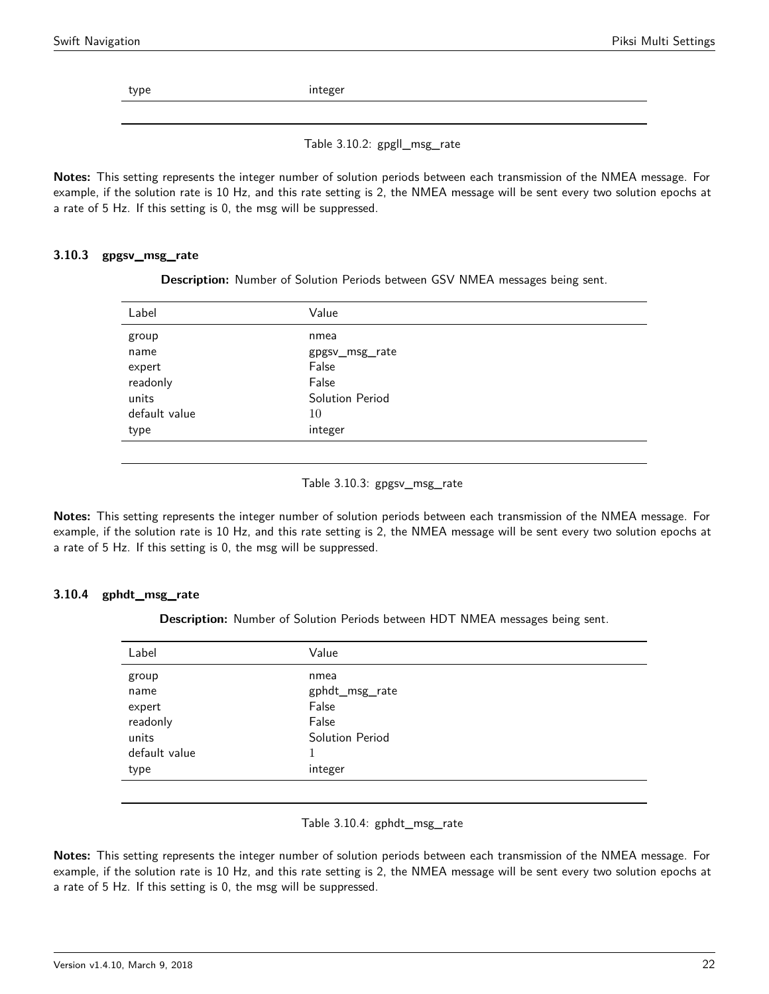type integer

Table 3.10.2: gpgll\_msg\_rate

**Notes:** This setting represents the integer number of solution periods between each transmission of the NMEA message. For example, if the solution rate is 10 Hz, and this rate setting is 2, the NMEA message will be sent every two solution epochs at a rate of 5 Hz. If this setting is 0, the msg will be suppressed.

### <span id="page-21-0"></span>**3.10.3 gpgsv\_msg\_rate**

**Description:** Number of Solution Periods between GSV NMEA messages being sent.

| Label         | Value           |
|---------------|-----------------|
| group         | nmea            |
| name          | gpgsv_msg_rate  |
| expert        | False           |
| readonly      | False           |
| units         | Solution Period |
| default value | 10              |
| type          | integer         |
|               |                 |

#### Table 3.10.3: gpgsv\_msg\_rate

**Notes:** This setting represents the integer number of solution periods between each transmission of the NMEA message. For example, if the solution rate is 10 Hz, and this rate setting is 2, the NMEA message will be sent every two solution epochs at a rate of 5 Hz. If this setting is 0, the msg will be suppressed.

#### <span id="page-21-1"></span>**3.10.4 gphdt\_msg\_rate**

**Description:** Number of Solution Periods between HDT NMEA messages being sent.

| Label         | Value           |
|---------------|-----------------|
| group         | nmea            |
| name          | gphdt_msg_rate  |
| expert        | False           |
| readonly      | False           |
| units         | Solution Period |
| default value |                 |
| type          | integer         |
|               |                 |

#### Table 3.10.4: gphdt\_msg\_rate

**Notes:** This setting represents the integer number of solution periods between each transmission of the NMEA message. For example, if the solution rate is 10 Hz, and this rate setting is 2, the NMEA message will be sent every two solution epochs at a rate of 5 Hz. If this setting is 0, the msg will be suppressed.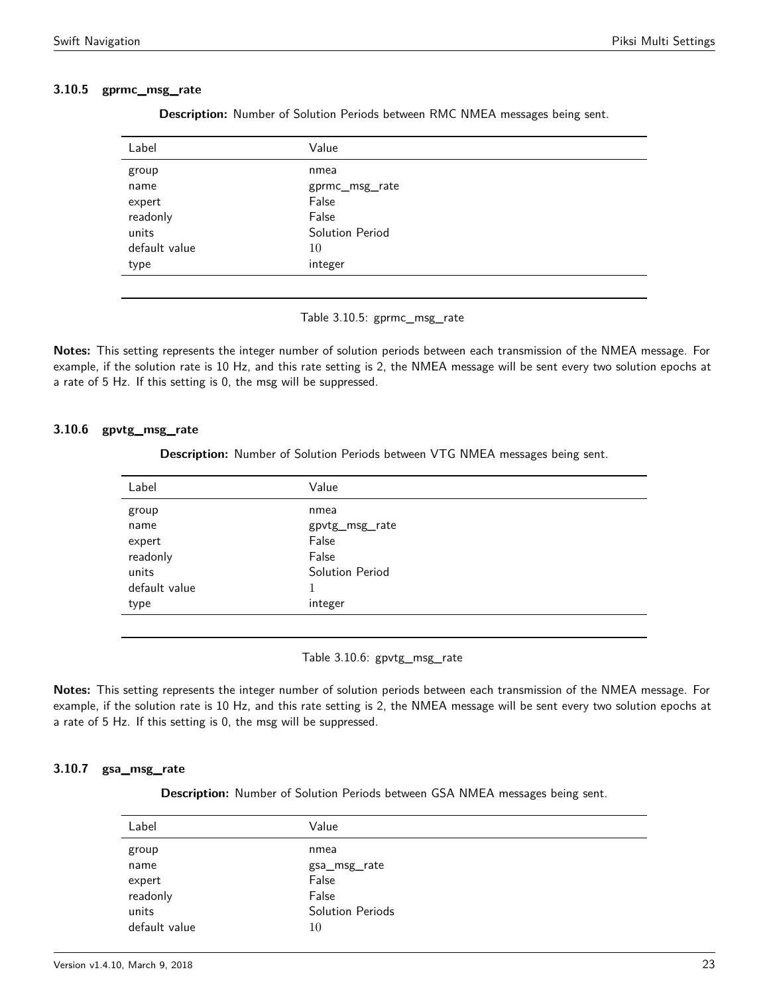#### <span id="page-22-0"></span>**3.10.5 gprmc\_msg\_rate**

| Description: Number of Solution Periods between RMC NMEA messages being sent. |  |  |  |  |  |  |  |  |
|-------------------------------------------------------------------------------|--|--|--|--|--|--|--|--|
|-------------------------------------------------------------------------------|--|--|--|--|--|--|--|--|

| Label         | Value           |
|---------------|-----------------|
| group         | nmea            |
| name          | gprmc_msg_rate  |
| expert        | False           |
| readonly      | False           |
| units         | Solution Period |
| default value | 10              |
| type          | integer         |
|               |                 |

Table 3.10.5: gprmc\_msg\_rate

**Notes:** This setting represents the integer number of solution periods between each transmission of the NMEA message. For example, if the solution rate is 10 Hz, and this rate setting is 2, the NMEA message will be sent every two solution epochs at a rate of 5 Hz. If this setting is 0, the msg will be suppressed.

#### <span id="page-22-1"></span>**3.10.6 gpvtg\_msg\_rate**

**Description:** Number of Solution Periods between VTG NMEA messages being sent.

| Label         | Value           |
|---------------|-----------------|
| group         | nmea            |
| name          | gpvtg_msg_rate  |
| expert        | False           |
| readonly      | False           |
| units         | Solution Period |
| default value | $\mathbf{1}$    |
| type          | integer         |
|               |                 |

Table 3.10.6: gpvtg\_msg\_rate

**Notes:** This setting represents the integer number of solution periods between each transmission of the NMEA message. For example, if the solution rate is 10 Hz, and this rate setting is 2, the NMEA message will be sent every two solution epochs at a rate of 5 Hz. If this setting is 0, the msg will be suppressed.

# <span id="page-22-2"></span>**3.10.7 gsa\_msg\_rate**

**Description:** Number of Solution Periods between GSA NMEA messages being sent.

| Label         | Value            |
|---------------|------------------|
| group         | nmea             |
| name          | gsa_msg_rate     |
| expert        | False            |
| readonly      | False            |
| units         | Solution Periods |
| default value | 10               |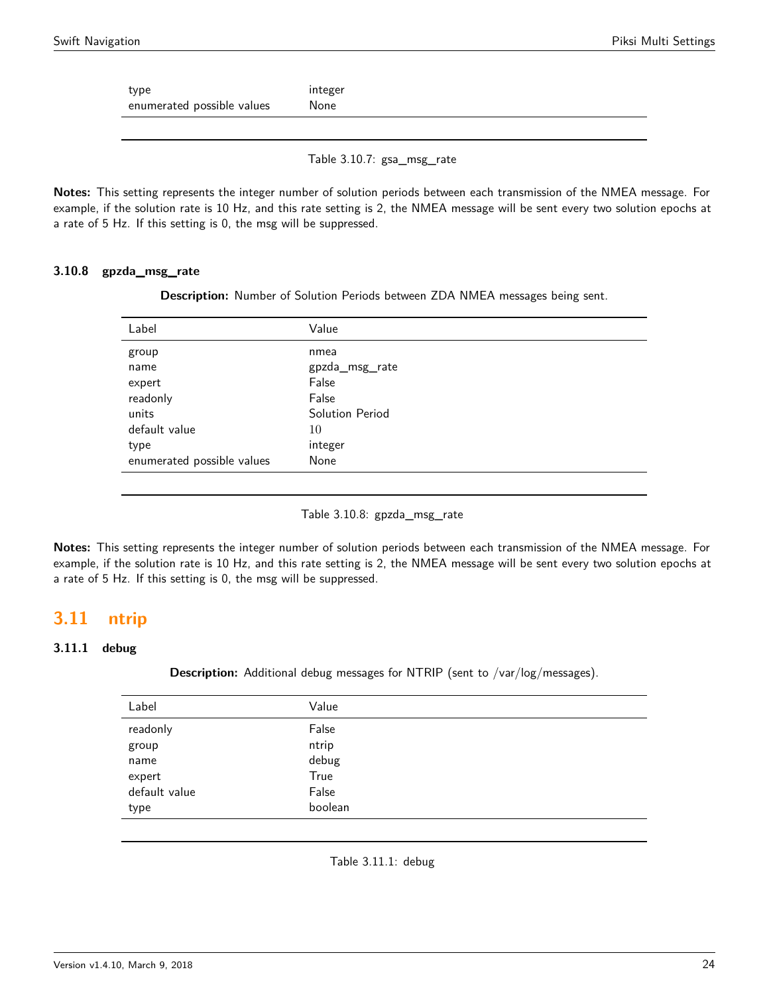type integer enumerated possible values Mone

Table 3.10.7: gsa\_msg\_rate

**Notes:** This setting represents the integer number of solution periods between each transmission of the NMEA message. For example, if the solution rate is 10 Hz, and this rate setting is 2, the NMEA message will be sent every two solution epochs at a rate of 5 Hz. If this setting is 0, the msg will be suppressed.

#### **3.10.8 gpzda\_msg\_rate**

**Description:** Number of Solution Periods between ZDA NMEA messages being sent.

| Label                      | Value           |
|----------------------------|-----------------|
| group                      | nmea            |
| name                       | gpzda_msg_rate  |
| expert                     | False           |
| readonly                   | False           |
| units                      | Solution Period |
| default value              | 10              |
| type                       | integer         |
| enumerated possible values | None            |
|                            |                 |

Table 3.10.8: gpzda\_msg\_rate

**Notes:** This setting represents the integer number of solution periods between each transmission of the NMEA message. For example, if the solution rate is 10 Hz, and this rate setting is 2, the NMEA message will be sent every two solution epochs at a rate of 5 Hz. If this setting is 0, the msg will be suppressed.

# <span id="page-23-0"></span>**3.11 ntrip**

### <span id="page-23-1"></span>**3.11.1 debug**

**Description:** Additional debug messages for NTRIP (sent to /var/log/messages).

| Label         | Value   |  |
|---------------|---------|--|
| readonly      | False   |  |
| group         | ntrip   |  |
| name          | debug   |  |
| expert        | True    |  |
| default value | False   |  |
| type          | boolean |  |
|               |         |  |

Table 3.11.1: debug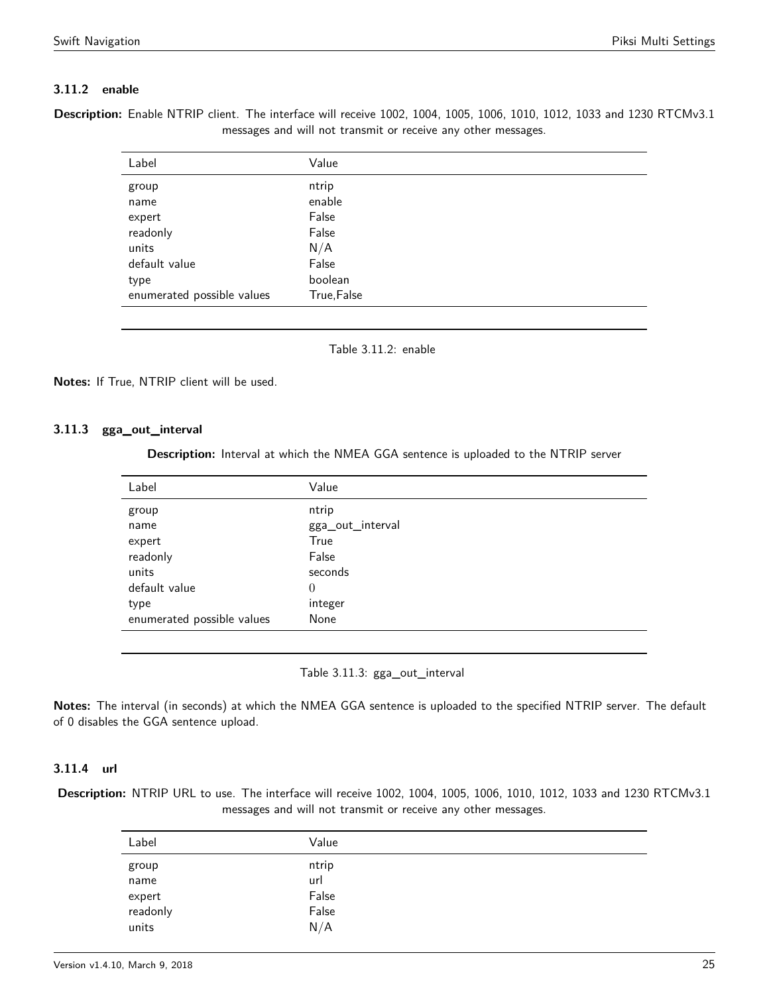# **3.11.2 enable**

<span id="page-24-0"></span>**Description:** Enable NTRIP client. The interface will receive 1002, 1004, 1005, 1006, 1010, 1012, 1033 and 1230 RTCMv3.1 messages and will not transmit or receive any other messages.

| Label                      | Value       |
|----------------------------|-------------|
| group                      | ntrip       |
| name                       | enable      |
| expert                     | False       |
| readonly                   | False       |
| units                      | N/A         |
| default value              | False       |
| type                       | boolean     |
| enumerated possible values | True, False |

Table 3.11.2: enable

**Notes:** If True, NTRIP client will be used.

### <span id="page-24-1"></span>**3.11.3 gga\_out\_interval**

**Description:** Interval at which the NMEA GGA sentence is uploaded to the NTRIP server

| Label                      | Value            |
|----------------------------|------------------|
| group                      | ntrip            |
| name                       | gga_out_interval |
| expert                     | True             |
| readonly                   | False            |
| units                      | seconds          |
| default value              | $\theta$         |
| type                       | integer          |
| enumerated possible values | None             |
|                            |                  |

Table 3.11.3: gga\_out\_interval

**Notes:** The interval (in seconds) at which the NMEA GGA sentence is uploaded to the specified NTRIP server. The default of 0 disables the GGA sentence upload.

### **3.11.4 url**

<span id="page-24-2"></span>**Description:** NTRIP URL to use. The interface will receive 1002, 1004, 1005, 1006, 1010, 1012, 1033 and 1230 RTCMv3.1 messages and will not transmit or receive any other messages.

| Label              | Value |  |
|--------------------|-------|--|
| group              | ntrip |  |
| name               | url   |  |
|                    | False |  |
| expert<br>readonly | False |  |
| units              | N/A   |  |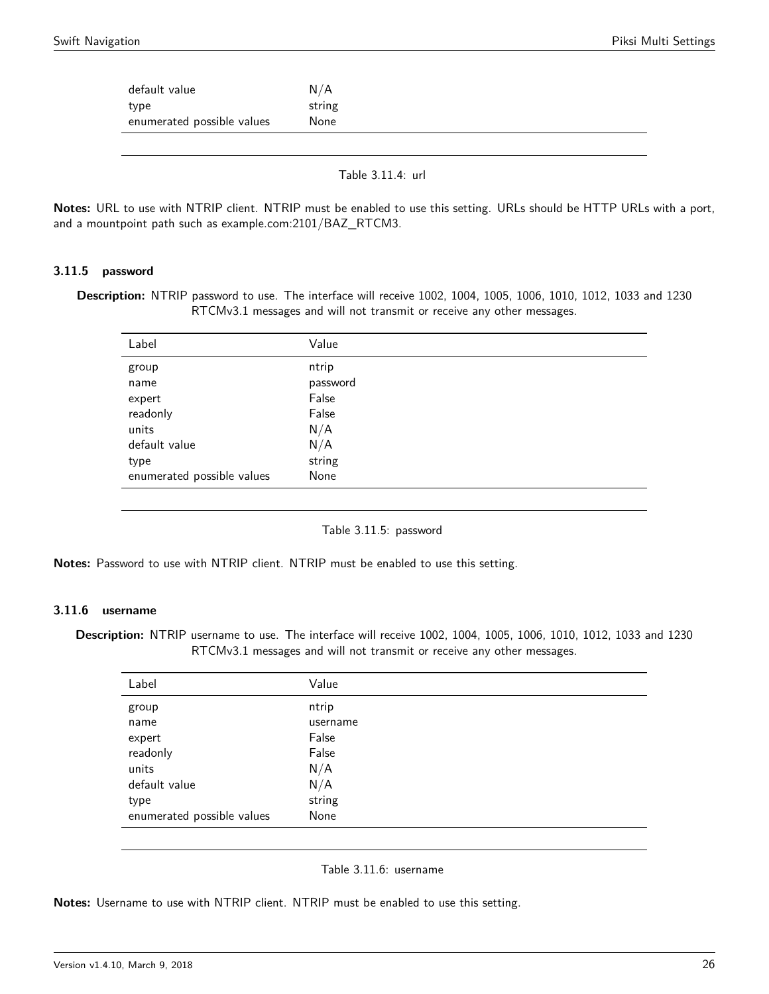| default value                      | N/A            |  |  |
|------------------------------------|----------------|--|--|
| type<br>enumerated possible values | string<br>None |  |  |
|                                    |                |  |  |

Table 3.11.4: url

**Notes:** URL to use with NTRIP client. NTRIP must be enabled to use this setting. URLs should be HTTP URLs with a port, and a mountpoint path such as example.com:2101/BAZ\_RTCM3.

#### **3.11.5 password**

<span id="page-25-0"></span>**Description:** NTRIP password to use. The interface will receive 1002, 1004, 1005, 1006, 1010, 1012, 1033 and 1230 RTCMv3.1 messages and will not transmit or receive any other messages.

| Label                      | Value    |
|----------------------------|----------|
| group                      | ntrip    |
| name                       | password |
| expert                     | False    |
| readonly                   | False    |
| units                      | N/A      |
| default value              | N/A      |
| type                       | string   |
| enumerated possible values | None     |
|                            |          |

Table 3.11.5: password

**Notes:** Password to use with NTRIP client. NTRIP must be enabled to use this setting.

# **3.11.6 username**

**Description:** NTRIP username to use. The interface will receive 1002, 1004, 1005, 1006, 1010, 1012, 1033 and 1230 RTCMv3.1 messages and will not transmit or receive any other messages.

| Label                      | Value    |
|----------------------------|----------|
| group                      | ntrip    |
| name                       | username |
| expert                     | False    |
| readonly                   | False    |
| units                      | N/A      |
| default value              | N/A      |
| type                       | string   |
| enumerated possible values | None     |

#### Table 3.11.6: username

<span id="page-25-1"></span>**Notes:** Username to use with NTRIP client. NTRIP must be enabled to use this setting.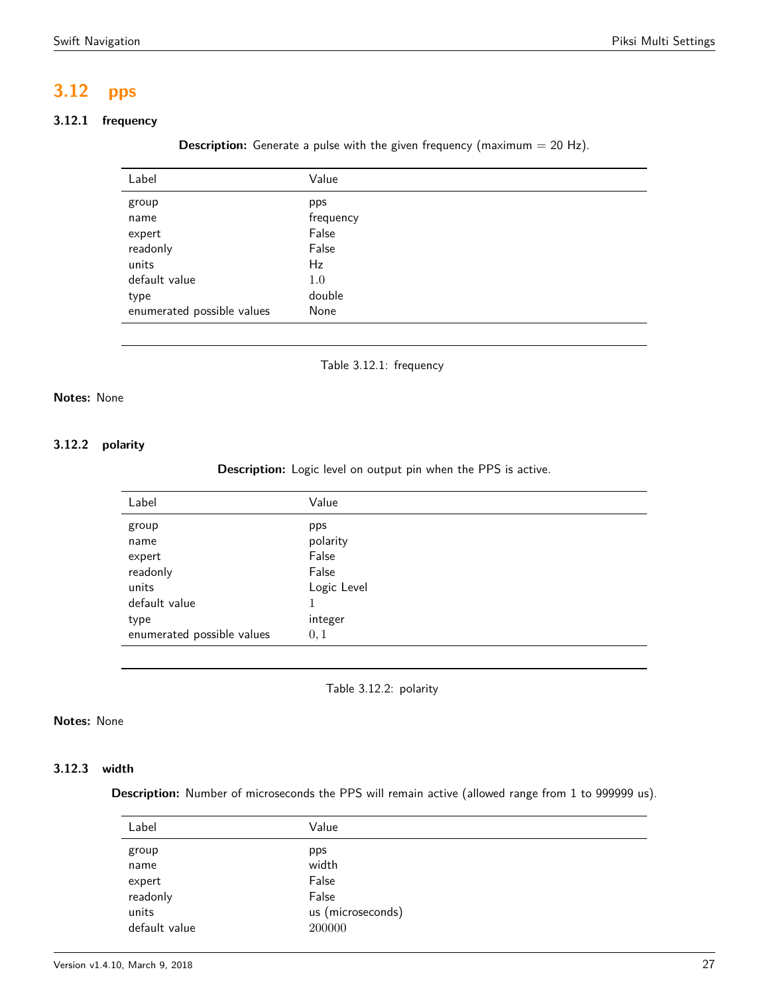# **3.12 pps**

# <span id="page-26-0"></span>**3.12.1 frequency**

**Description:** Generate a pulse with the given frequency (maximum = 20 Hz).

| Label                      | Value     |
|----------------------------|-----------|
| group                      | pps       |
| name                       | frequency |
| expert                     | False     |
| readonly                   | False     |
| units                      | Hz        |
| default value              | 1.0       |
| type                       | double    |
| enumerated possible values | None      |
|                            |           |



### **Notes:** None

### <span id="page-26-1"></span>**3.12.2 polarity**

**Description:** Logic level on output pin when the PPS is active.

| Label                      | Value       |
|----------------------------|-------------|
| group                      | pps         |
| name                       | polarity    |
| expert                     | False       |
| readonly                   | False       |
| units                      | Logic Level |
| default value              | 1           |
| type                       | integer     |
| enumerated possible values | 0, 1        |
|                            |             |

Table 3.12.2: polarity

# **Notes:** None

# <span id="page-26-2"></span>**3.12.3 width**

**Description:** Number of microseconds the PPS will remain active (allowed range from 1 to 999999 us).

| Label         | Value             |  |
|---------------|-------------------|--|
| group         | pps               |  |
| name          | width             |  |
| expert        | False             |  |
| readonly      | False             |  |
| units         | us (microseconds) |  |
| default value | 200000            |  |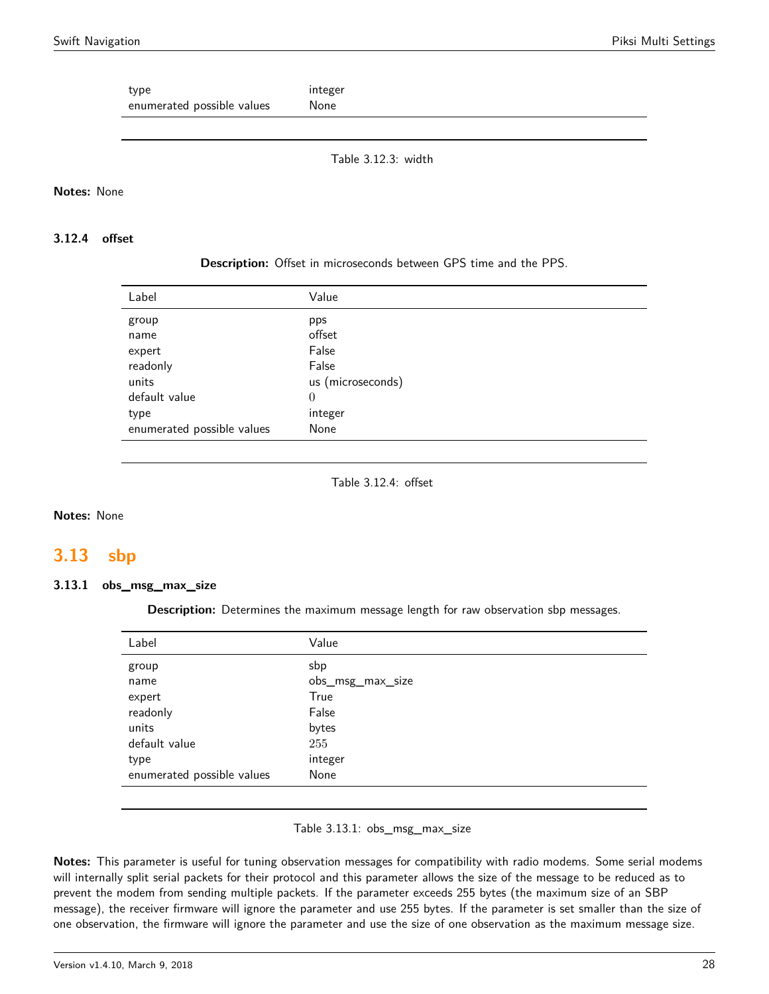type integer enumerated possible values Mone

Table 3.12.3: width

#### **Notes:** None

#### **3.12.4 offset**

#### **Description:** Offset in microseconds between GPS time and the PPS.

| Label                      | Value             |
|----------------------------|-------------------|
| group                      | pps               |
| name                       | offset            |
| expert                     | False             |
| readonly                   | False             |
| units                      | us (microseconds) |
| default value              | $\theta$          |
| type                       | integer           |
| enumerated possible values | None              |

Table 3.12.4: offset

#### **Notes:** None

# <span id="page-27-0"></span>**3.13 sbp**

### **3.13.1 obs\_msg\_max\_size**

**Description:** Determines the maximum message length for raw observation sbp messages.

| Label                      | Value            |
|----------------------------|------------------|
| group                      | sbp              |
| name                       | obs_msg_max_size |
| expert                     | True             |
| readonly                   | False            |
| units                      | bytes            |
| default value              | 255              |
| type                       | integer          |
| enumerated possible values | None             |
|                            |                  |

#### Table 3.13.1: obs\_msg\_max\_size

**Notes:** This parameter is useful for tuning observation messages for compatibility with radio modems. Some serial modems will internally split serial packets for their protocol and this parameter allows the size of the message to be reduced as to prevent the modem from sending multiple packets. If the parameter exceeds 255 bytes (the maximum size of an SBP message), the receiver firmware will ignore the parameter and use 255 bytes. If the parameter is set smaller than the size of one observation, the firmware will ignore the parameter and use the size of one observation as the maximum message size.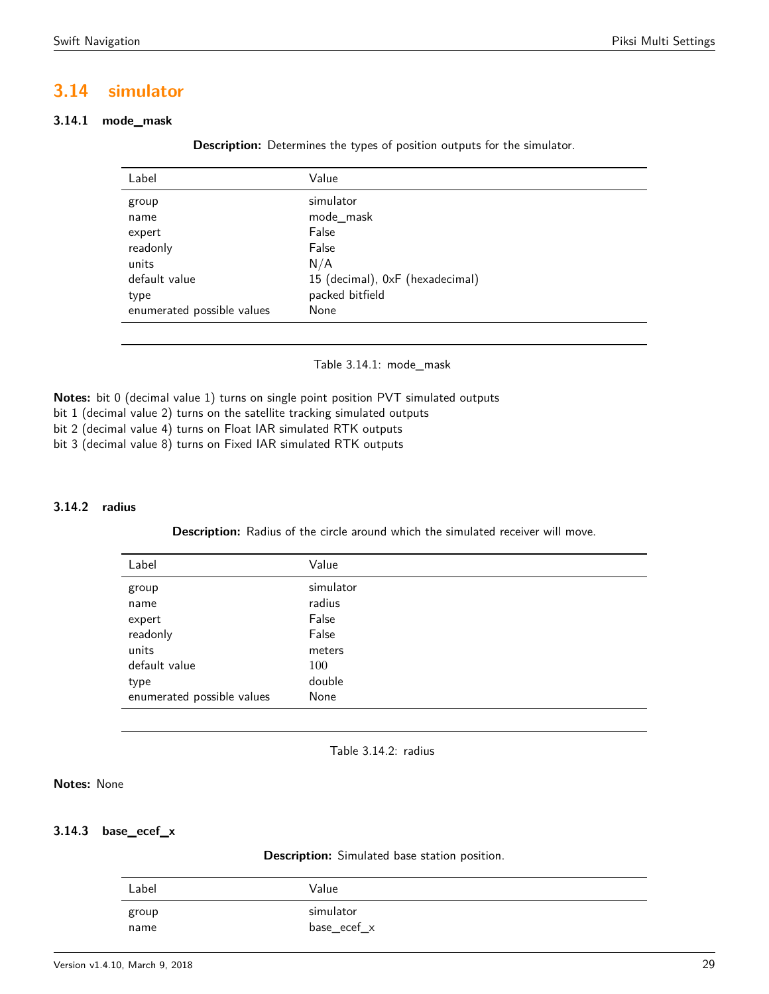# <span id="page-28-0"></span>**3.14 simulator**

# <span id="page-28-1"></span>**3.14.1 mode\_mask**

**Description:** Determines the types of position outputs for the simulator.

| Label                      | Value                           |
|----------------------------|---------------------------------|
| group                      | simulator                       |
| name                       | mode_mask                       |
| expert                     | False                           |
| readonly                   | False                           |
| units                      | N/A                             |
| default value              | 15 (decimal), 0xF (hexadecimal) |
| type                       | packed bitfield                 |
| enumerated possible values | None                            |

Table 3.14.1: mode\_mask

**Notes:** bit 0 (decimal value 1) turns on single point position PVT simulated outputs

bit 1 (decimal value 2) turns on the satellite tracking simulated outputs

bit 2 (decimal value 4) turns on Float IAR simulated RTK outputs

bit 3 (decimal value 8) turns on Fixed IAR simulated RTK outputs

#### <span id="page-28-2"></span>**3.14.2 radius**

**Description:** Radius of the circle around which the simulated receiver will move.

| Label                      | Value     |
|----------------------------|-----------|
| group                      | simulator |
| name                       | radius    |
| expert                     | False     |
| readonly                   | False     |
| units                      | meters    |
| default value              | 100       |
| type                       | double    |
| enumerated possible values | None      |
|                            |           |



#### **Notes:** None

#### <span id="page-28-3"></span>**3.14.3 base\_ecef\_x**

**Description:** Simulated base station position.

| Label | Value           |
|-------|-----------------|
| group | simulator       |
| name  | $base\_ecef\_x$ |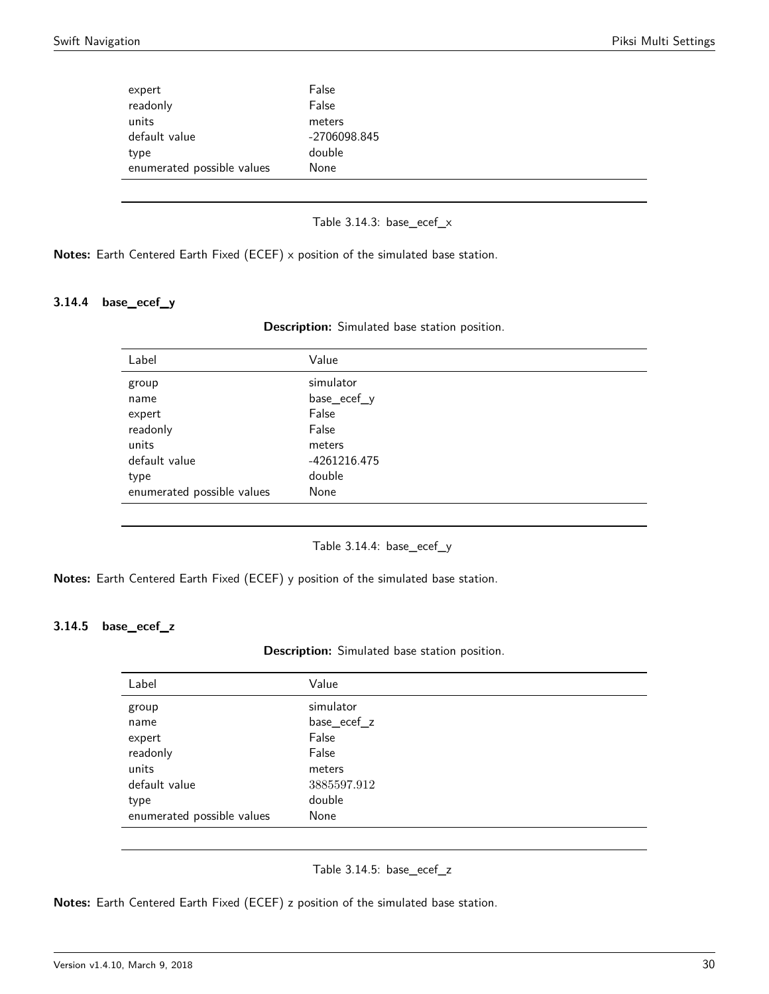| expert                     | False        |
|----------------------------|--------------|
| readonly                   | False        |
| units                      | meters       |
| default value              | -2706098.845 |
| type                       | double       |
| enumerated possible values | None         |
|                            |              |

Table 3.14.3: base\_ecef\_x

**Notes:** Earth Centered Earth Fixed (ECEF) x position of the simulated base station.

### <span id="page-29-0"></span>**3.14.4 base\_ecef\_y**

| Description: Simulated base station position. |  |  |  |  |
|-----------------------------------------------|--|--|--|--|
|-----------------------------------------------|--|--|--|--|

| Label                      | Value        |
|----------------------------|--------------|
| group                      | simulator    |
| name                       | base_ecef_y  |
| expert                     | False        |
| readonly                   | False        |
| units                      | meters       |
| default value              | -4261216.475 |
| type                       | double       |
| enumerated possible values | None         |
|                            |              |

Table 3.14.4: base\_ecef\_y

**Notes:** Earth Centered Earth Fixed (ECEF) y position of the simulated base station.

#### <span id="page-29-1"></span>**3.14.5 base\_ecef\_z**

| Description: Simulated base station position. |  |  |  |  |
|-----------------------------------------------|--|--|--|--|
|-----------------------------------------------|--|--|--|--|

| Label                      | Value       |
|----------------------------|-------------|
| group                      | simulator   |
| name                       | base_ecef_z |
| expert                     | False       |
| readonly                   | False       |
| units                      | meters      |
| default value              | 3885597.912 |
| type                       | double      |
| enumerated possible values | None        |
|                            |             |

Table 3.14.5: base\_ecef\_z

**Notes:** Earth Centered Earth Fixed (ECEF) z position of the simulated base station.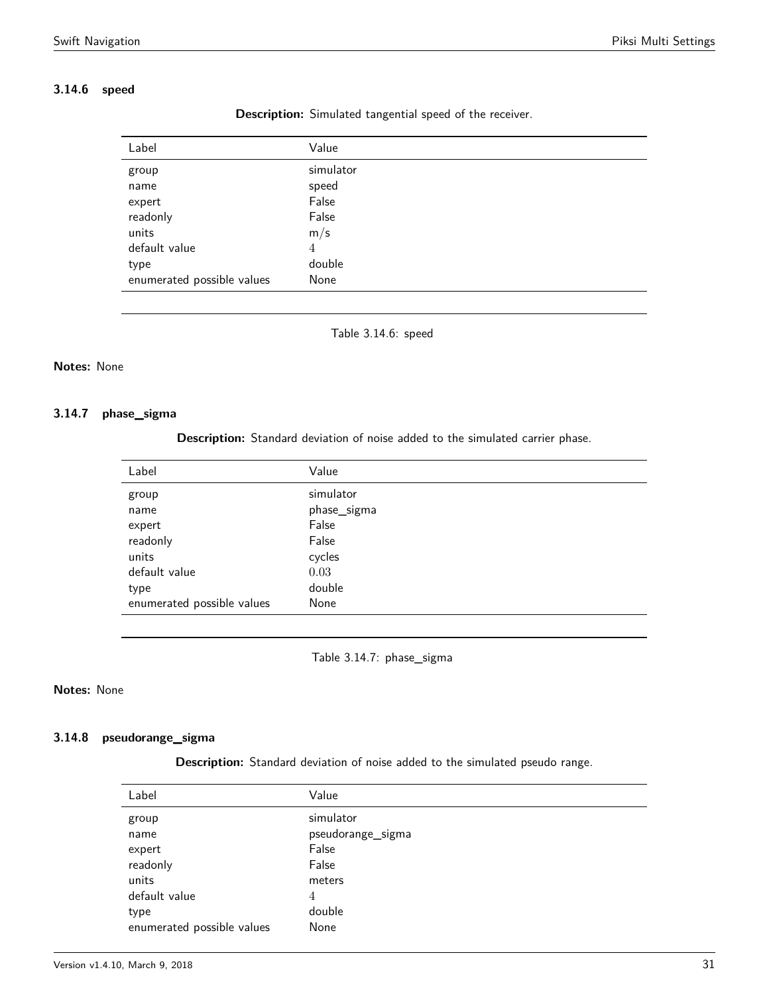### <span id="page-30-0"></span>**3.14.6 speed**

| Label                      | Value     |
|----------------------------|-----------|
| group                      | simulator |
| name                       | speed     |
| expert                     | False     |
| readonly                   | False     |
| units                      | m/s       |
| default value              | 4         |
| type                       | double    |
| enumerated possible values | None      |
|                            |           |

**Description:** Simulated tangential speed of the receiver.

Table 3.14.6: speed

### **Notes:** None

#### <span id="page-30-1"></span>**3.14.7 phase\_sigma**

**Description:** Standard deviation of noise added to the simulated carrier phase.

Table 3.14.7: phase\_sigma

### **Notes:** None

#### <span id="page-30-2"></span>**3.14.8 pseudorange\_sigma**

**Description:** Standard deviation of noise added to the simulated pseudo range.

| Label                      | Value             |
|----------------------------|-------------------|
| group                      | simulator         |
| name                       | pseudorange_sigma |
| expert                     | False             |
| readonly                   | False             |
| units                      | meters            |
| default value              | 4                 |
| type                       | double            |
| enumerated possible values | None              |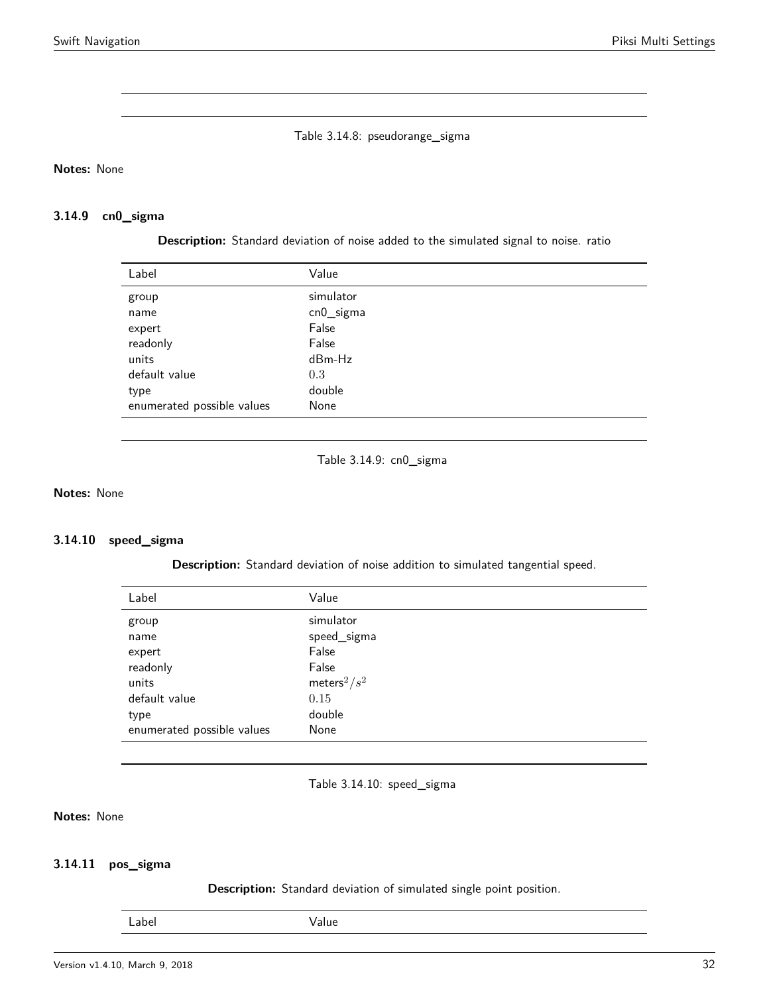Table 3.14.8: pseudorange\_sigma

**Notes:** None

# <span id="page-31-0"></span>**3.14.9 cn0\_sigma**

**Description:** Standard deviation of noise added to the simulated signal to noise. ratio

| Label                      | Value        |
|----------------------------|--------------|
| group                      | simulator    |
| name                       | $cn0$ _sigma |
| expert                     | False        |
| readonly                   | False        |
| units                      | dBm-Hz       |
| default value              | 0.3          |
| type                       | double       |
| enumerated possible values | None         |

Table 3.14.9: cn0\_sigma

**Notes:** None

#### <span id="page-31-1"></span>**3.14.10 speed\_sigma**

**Description:** Standard deviation of noise addition to simulated tangential speed.

| Label                      | Value                       |
|----------------------------|-----------------------------|
| group                      | simulator                   |
| name                       | speed_sigma                 |
| expert                     | False                       |
| readonly                   | False                       |
| units                      | meters <sup>2</sup> / $s^2$ |
| default value              | 0.15                        |
| type                       | double                      |
| enumerated possible values | None                        |

Table 3.14.10: speed\_sigma

# **Notes:** None

# <span id="page-31-2"></span>**3.14.11 pos\_sigma**

**Description:** Standard deviation of simulated single point position.

Label Value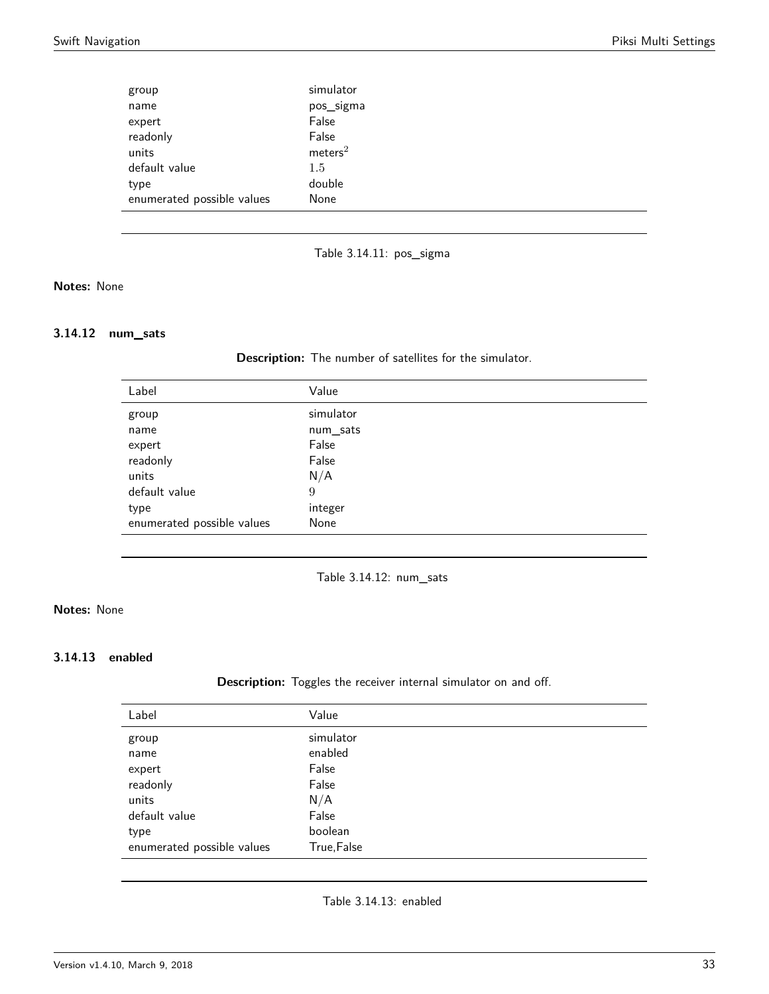| group                      | simulator           |
|----------------------------|---------------------|
| name                       | pos_sigma           |
| expert                     | False               |
| readonly                   | False               |
| units                      | meters <sup>2</sup> |
| default value              | 1.5                 |
| type                       | double              |
| enumerated possible values | None                |

Table 3.14.11: pos\_sigma

# **Notes:** None

#### <span id="page-32-0"></span>**3.14.12 num\_sats**

**Description:** The number of satellites for the simulator.

| Label                      | Value     |
|----------------------------|-----------|
| group                      | simulator |
| name                       | num_sats  |
| expert                     | False     |
| readonly                   | False     |
| units                      | N/A       |
| default value              | 9         |
| type                       | integer   |
| enumerated possible values | None      |
|                            |           |

Table 3.14.12: num\_sats

# **Notes:** None

#### **3.14.13 enabled**

**Description:** Toggles the receiver internal simulator on and off.

| Label                      | Value       |
|----------------------------|-------------|
| group                      | simulator   |
| name                       | enabled     |
| expert                     | False       |
| readonly                   | False       |
| units                      | N/A         |
| default value              | False       |
| type                       | boolean     |
| enumerated possible values | True, False |

Table 3.14.13: enabled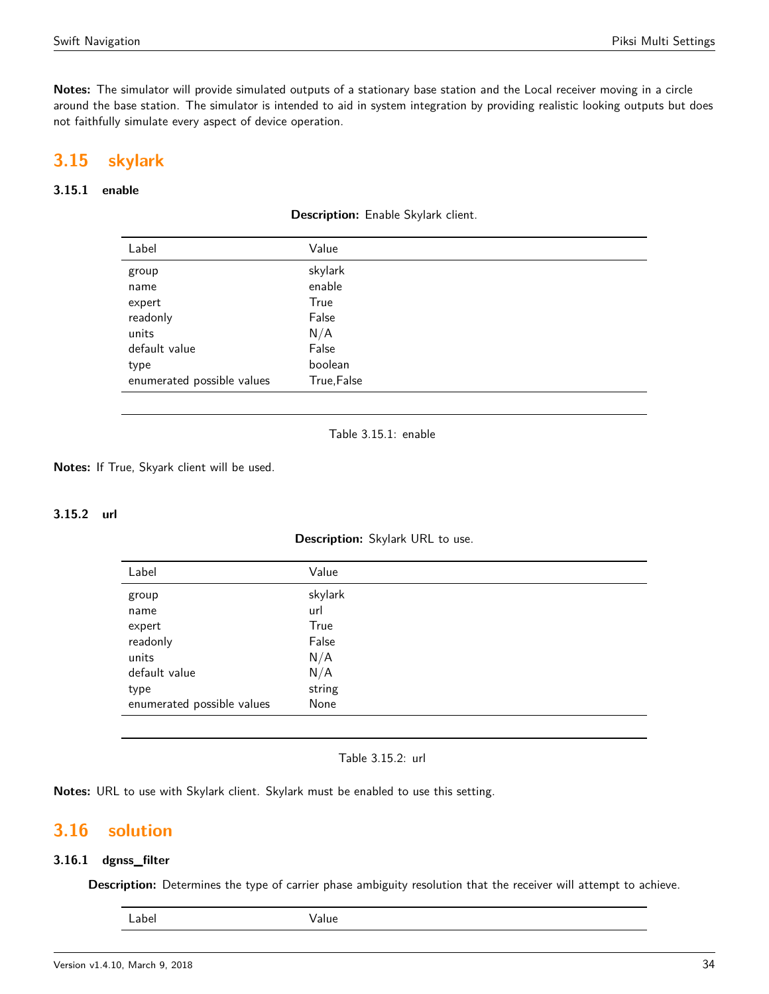**Notes:** The simulator will provide simulated outputs of a stationary base station and the Local receiver moving in a circle around the base station. The simulator is intended to aid in system integration by providing realistic looking outputs but does not faithfully simulate every aspect of device operation.

# <span id="page-33-0"></span>**3.15 skylark**

### <span id="page-33-1"></span>**3.15.1 enable**

| Label                      | Value       |
|----------------------------|-------------|
| group                      | skylark     |
| name                       | enable      |
| expert                     | True        |
| readonly                   | False       |
| units                      | N/A         |
| default value              | False       |
| type                       | boolean     |
| enumerated possible values | True, False |

Table 3.15.1: enable

**Notes:** If True, Skyark client will be used.

### **3.15.2 url**

**Description:** Skylark URL to use.

| Label                      | Value   |
|----------------------------|---------|
| group                      | skylark |
| name                       | url     |
| expert                     | True    |
| readonly                   | False   |
| units                      | N/A     |
| default value              | N/A     |
| type                       | string  |
| enumerated possible values | None    |

Table 3.15.2: url

**Notes:** URL to use with Skylark client. Skylark must be enabled to use this setting.

# <span id="page-33-2"></span>**3.16 solution**

### **3.16.1 dgnss\_filter**

<span id="page-33-3"></span>**Description:** Determines the type of carrier phase ambiguity resolution that the receiver will attempt to achieve.

| <br>×<br>×<br>۰.<br>۰, |
|------------------------|
|------------------------|

Value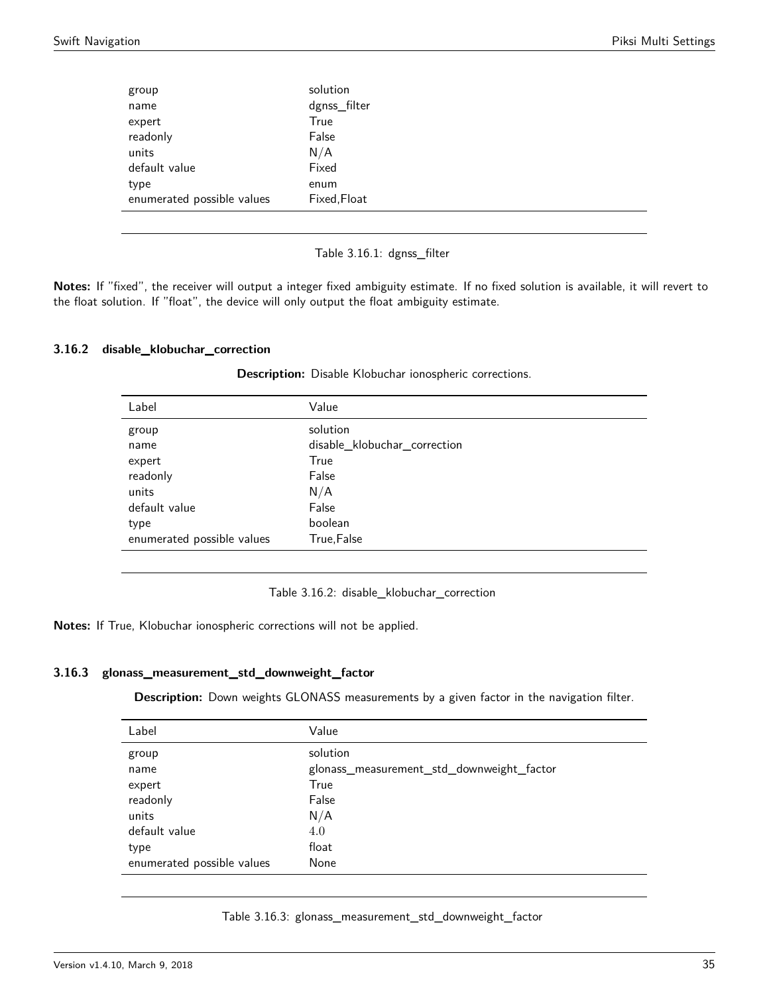| solution     |
|--------------|
| dgnss_filter |
| True         |
| False        |
| N/A          |
| Fixed        |
| enum         |
| Fixed, Float |
|              |

Table 3.16.1: dgnss\_filter

**Notes:** If "fixed", the receiver will output a integer fixed ambiguity estimate. If no fixed solution is available, it will revert to the float solution. If "float", the device will only output the float ambiguity estimate.

### <span id="page-34-0"></span>**3.16.2 disable\_klobuchar\_correction**

| Label                      | Value                        |
|----------------------------|------------------------------|
| group                      | solution                     |
| name                       | disable_klobuchar_correction |
| expert                     | True                         |
| readonly                   | False                        |
| units                      | N/A                          |
| default value              | False                        |
| type                       | boolean                      |
| enumerated possible values | True, False                  |

**Description:** Disable Klobuchar ionospheric corrections.

Table 3.16.2: disable\_klobuchar\_correction

**Notes:** If True, Klobuchar ionospheric corrections will not be applied.

#### <span id="page-34-1"></span>**3.16.3 glonass\_measurement\_std\_downweight\_factor**

**Description:** Down weights GLONASS measurements by a given factor in the navigation filter.

| Label                      | Value                                     |
|----------------------------|-------------------------------------------|
| group                      | solution                                  |
| name                       | glonass_measurement_std_downweight_factor |
| expert                     | True                                      |
| readonly                   | False                                     |
| units                      | N/A                                       |
| default value              | 4.0                                       |
| type                       | float                                     |
| enumerated possible values | None                                      |

#### Table 3.16.3: glonass\_measurement\_std\_downweight\_factor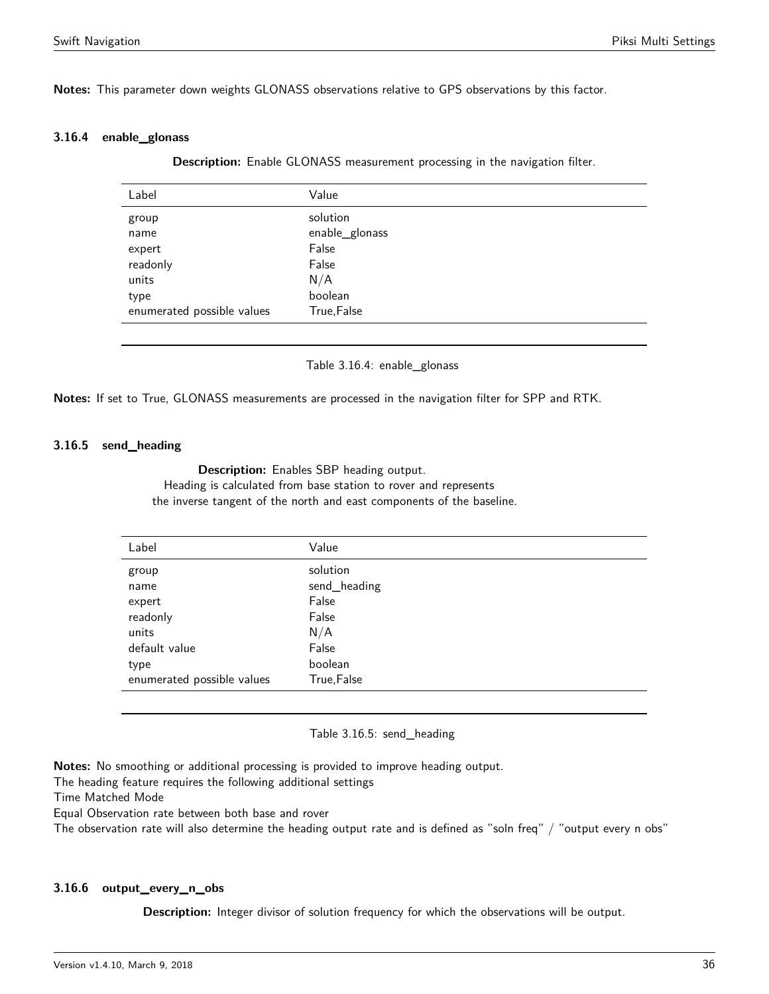**Notes:** This parameter down weights GLONASS observations relative to GPS observations by this factor.

#### <span id="page-35-0"></span>**3.16.4 enable\_glonass**

**Description:** Enable GLONASS measurement processing in the navigation filter.

| Label                      | Value          |
|----------------------------|----------------|
| group                      | solution       |
| name                       | enable_glonass |
| expert                     | False          |
| readonly                   | False          |
| units                      | N/A            |
| type                       | boolean        |
| enumerated possible values | True, False    |
|                            |                |

Table 3.16.4: enable\_glonass

**Notes:** If set to True, GLONASS measurements are processed in the navigation filter for SPP and RTK.

#### **3.16.5 send\_heading**

**Description:** Enables SBP heading output. Heading is calculated from base station to rover and represents the inverse tangent of the north and east components of the baseline.

<span id="page-35-1"></span>

| Label                      | Value        |
|----------------------------|--------------|
| group                      | solution     |
| name                       | send_heading |
| expert                     | False        |
| readonly                   | False        |
| units                      | N/A          |
| default value              | False        |
| type                       | boolean      |
| enumerated possible values | True, False  |

#### Table 3.16.5: send\_heading

**Notes:** No smoothing or additional processing is provided to improve heading output.

The heading feature requires the following additional settings

Time Matched Mode

Equal Observation rate between both base and rover

The observation rate will also determine the heading output rate and is defined as "soln freq" / "output every n obs"

### <span id="page-35-2"></span>**3.16.6 output\_every\_n\_obs**

**Description:** Integer divisor of solution frequency for which the observations will be output.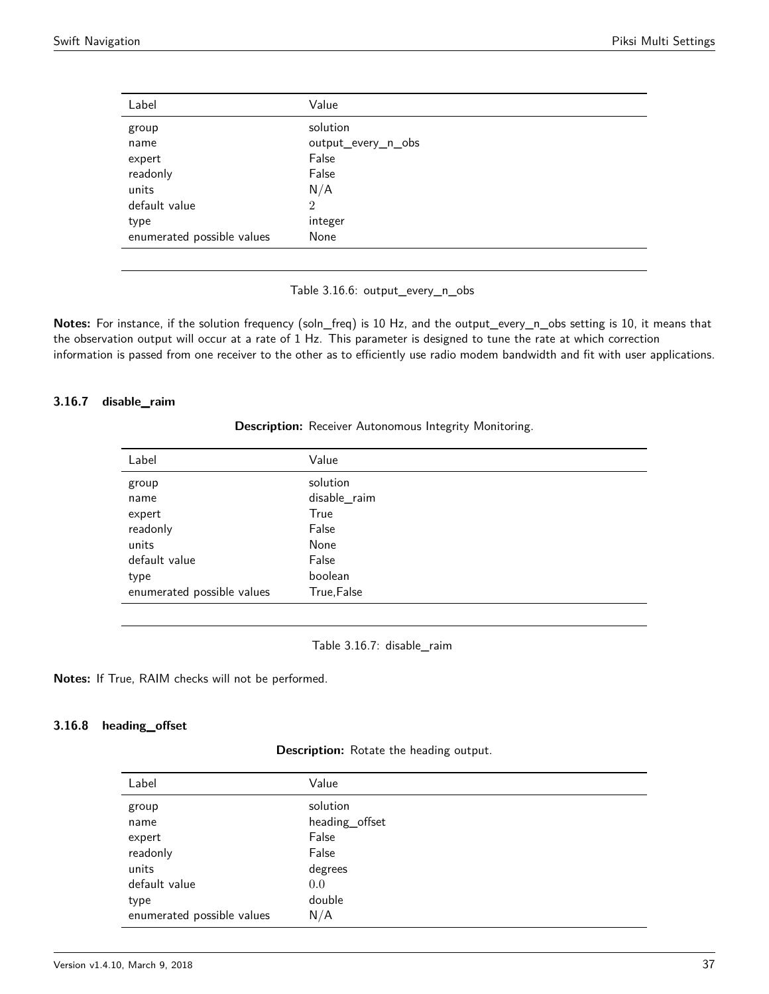| Label                      | Value              |
|----------------------------|--------------------|
| group                      | solution           |
| name                       | output_every_n_obs |
| expert                     | False              |
| readonly                   | False              |
| units                      | N/A                |
| default value              | $\overline{2}$     |
| type                       | integer            |
| enumerated possible values | None               |

Table 3.16.6: output\_every\_n\_obs

**Notes:** For instance, if the solution frequency (soln\_freq) is 10 Hz, and the output\_every\_n\_obs setting is 10, it means that the observation output will occur at a rate of 1 Hz. This parameter is designed to tune the rate at which correction information is passed from one receiver to the other as to efficiently use radio modem bandwidth and fit with user applications.

#### <span id="page-36-0"></span>**3.16.7 disable\_raim**

**Description:** Receiver Autonomous Integrity Monitoring.

| Label                      | Value        |
|----------------------------|--------------|
| group                      | solution     |
| name                       | disable_raim |
| expert                     | True         |
| readonly                   | False        |
| units                      | None         |
| default value              | False        |
| type                       | boolean      |
| enumerated possible values | True, False  |
|                            |              |

Table 3.16.7: disable\_raim

**Notes:** If True, RAIM checks will not be performed.

### <span id="page-36-1"></span>**3.16.8 heading\_offset**

**Description:** Rotate the heading output.

| Label                      | Value          |
|----------------------------|----------------|
| group                      | solution       |
| name                       | heading_offset |
| expert                     | False          |
| readonly                   | False          |
| units                      | degrees        |
| default value              | 0.0            |
| type                       | double         |
| enumerated possible values | N/A            |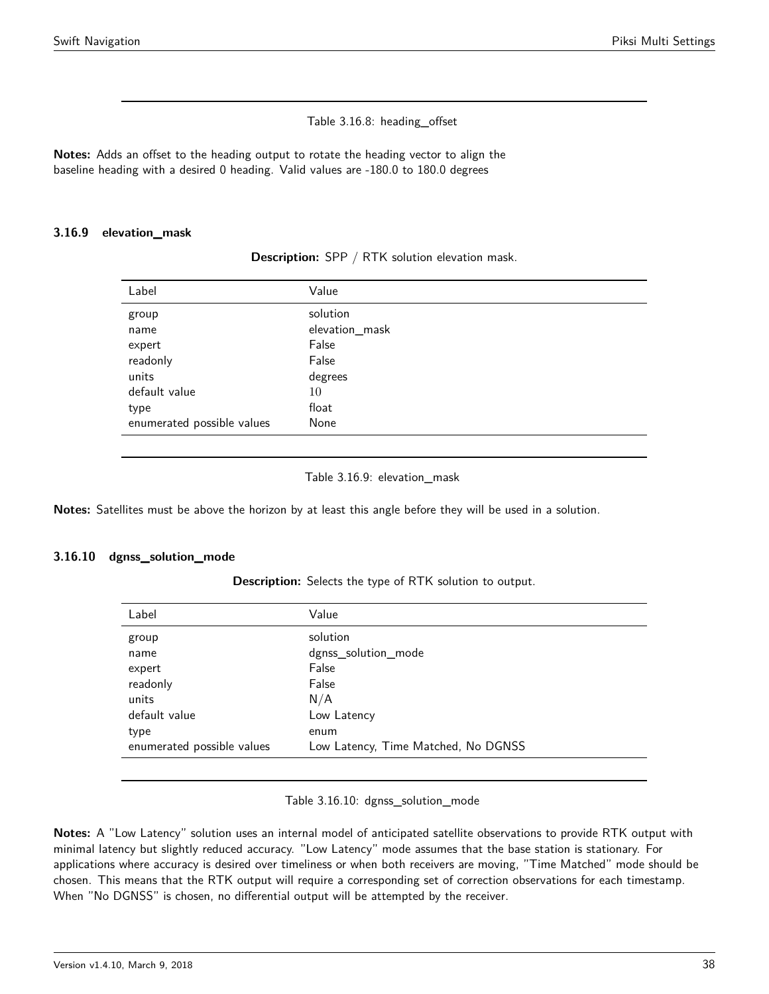### Table 3.16.8: heading\_offset

**Notes:** Adds an offset to the heading output to rotate the heading vector to align the baseline heading with a desired 0 heading. Valid values are -180.0 to 180.0 degrees

#### <span id="page-37-0"></span>**3.16.9 elevation\_mask**

**Description:** SPP / RTK solution elevation mask.

| Value          |
|----------------|
| solution       |
| elevation_mask |
| False          |
| False          |
| degrees        |
| 10             |
| float          |
| None           |
|                |

#### Table 3.16.9: elevation\_mask

**Notes:** Satellites must be above the horizon by at least this angle before they will be used in a solution.

### <span id="page-37-1"></span>**3.16.10 dgnss\_solution\_mode**

**Description:** Selects the type of RTK solution to output.

| Label                      | Value                               |
|----------------------------|-------------------------------------|
| group                      | solution                            |
| name                       | dgnss_solution_mode                 |
| expert                     | False                               |
| readonly                   | False                               |
| units                      | N/A                                 |
| default value              | Low Latency                         |
| type                       | enum                                |
| enumerated possible values | Low Latency, Time Matched, No DGNSS |
|                            |                                     |

Table 3.16.10: dgnss\_solution\_mode

**Notes:** A "Low Latency" solution uses an internal model of anticipated satellite observations to provide RTK output with minimal latency but slightly reduced accuracy. "Low Latency" mode assumes that the base station is stationary. For applications where accuracy is desired over timeliness or when both receivers are moving, "Time Matched" mode should be chosen. This means that the RTK output will require a corresponding set of correction observations for each timestamp. When "No DGNSS" is chosen, no differential output will be attempted by the receiver.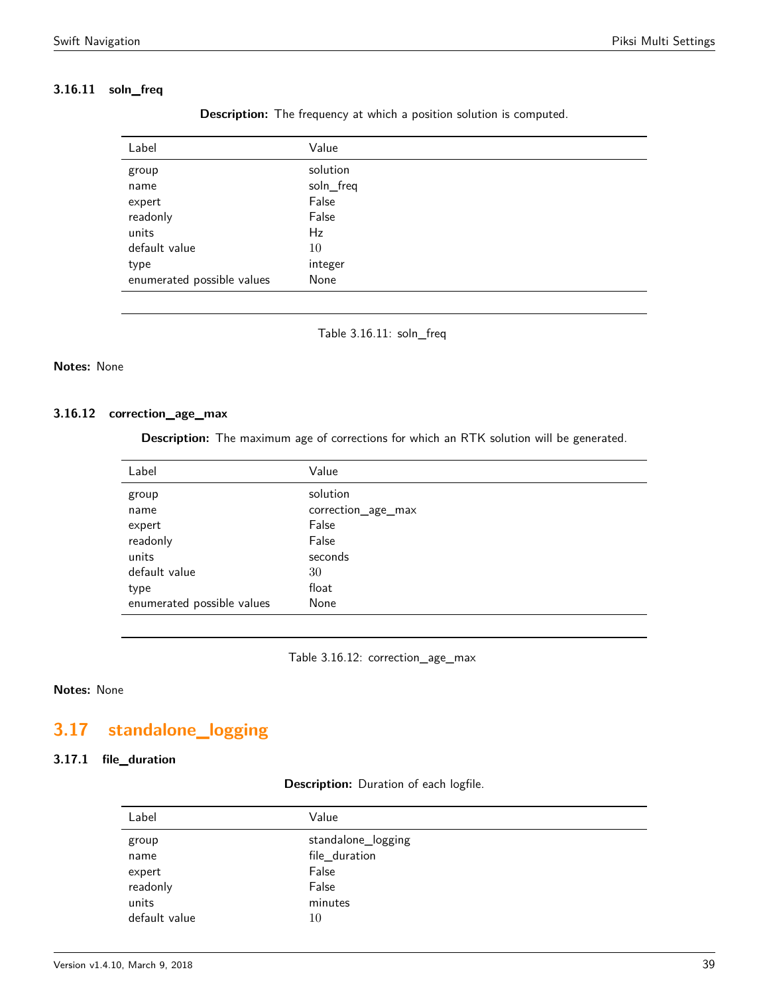# <span id="page-38-0"></span>**3.16.11 soln\_freq**

| Label                      | Value     |
|----------------------------|-----------|
| group                      | solution  |
| name                       | soln_freq |
| expert                     | False     |
| readonly                   | False     |
| units                      | Hz        |
| default value              | 10        |
| type                       | integer   |
| enumerated possible values | None      |

**Description:** The frequency at which a position solution is computed.

Table 3.16.11: soln\_freq

### **Notes:** None

### **3.16.12 correction\_age\_max**

**Description:** The maximum age of corrections for which an RTK solution will be generated.

| Label                      | Value              |
|----------------------------|--------------------|
| group                      | solution           |
| name                       | correction_age_max |
| expert                     | False              |
| readonly                   | False              |
| units                      | seconds            |
| default value              | 30                 |
| type                       | float              |
| enumerated possible values | None               |

Table 3.16.12: correction\_age\_max

# **Notes:** None

# <span id="page-38-1"></span>**3.17 standalone\_logging**

# <span id="page-38-2"></span>**3.17.1 file\_duration**

#### **Description:** Duration of each logfile.

| Label         | Value              |
|---------------|--------------------|
| group         | standalone_logging |
| name          | file_duration      |
| expert        | False              |
| readonly      | False              |
| units         | minutes            |
| default value | 10                 |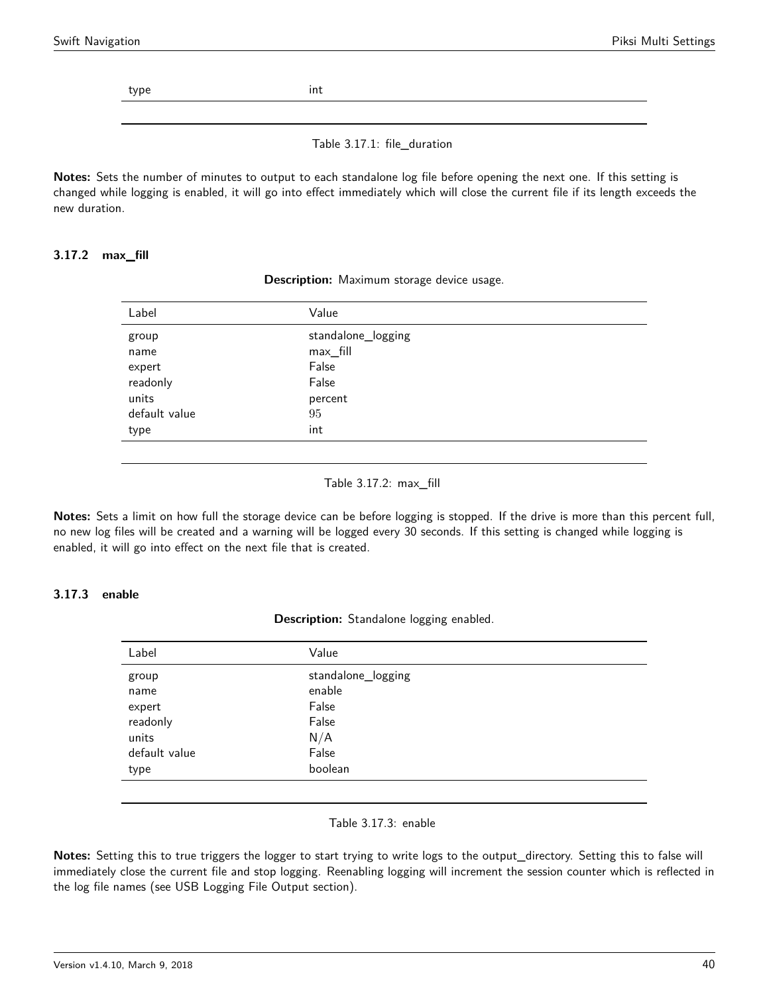type int

Table 3.17.1: file\_duration

**Notes:** Sets the number of minutes to output to each standalone log file before opening the next one. If this setting is changed while logging is enabled, it will go into effect immediately which will close the current file if its length exceeds the new duration.

### <span id="page-39-0"></span>**3.17.2 max\_fill**

| Label         | Value              |
|---------------|--------------------|
| group         | standalone_logging |
| name          | max_fill           |
| expert        | False              |
| readonly      | False              |
| units         | percent            |
| default value | 95                 |
| type          | int                |
|               |                    |

**Description:** Maximum storage device usage.

#### Table 3.17.2: max\_fill

**Notes:** Sets a limit on how full the storage device can be before logging is stopped. If the drive is more than this percent full, no new log files will be created and a warning will be logged every 30 seconds. If this setting is changed while logging is enabled, it will go into effect on the next file that is created.

# <span id="page-39-1"></span>**3.17.3 enable**

**Description:** Standalone logging enabled.

| Label         | Value              |
|---------------|--------------------|
| group         | standalone_logging |
| name          | enable             |
| expert        | False              |
| readonly      | False              |
| units         | N/A                |
| default value | False              |
| type          | boolean            |
|               |                    |

#### Table 3.17.3: enable

**Notes:** Setting this to true triggers the logger to start trying to write logs to the output\_directory. Setting this to false will immediately close the current file and stop logging. Reenabling logging will increment the session counter which is reflected in the log file names (see USB Logging File Output section).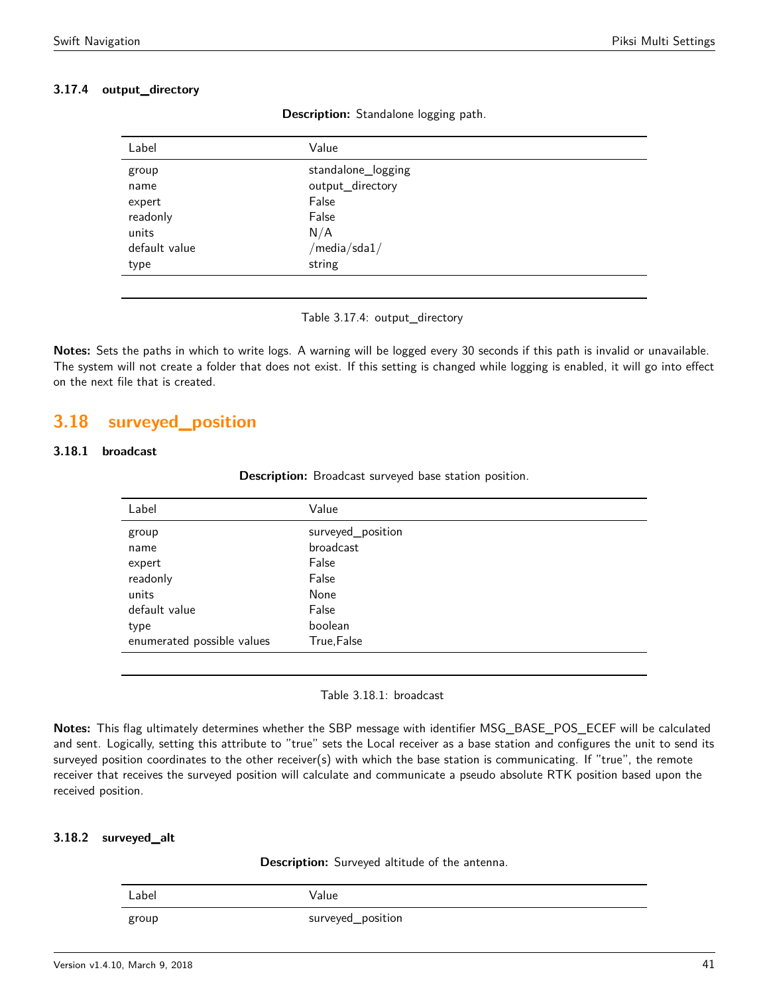# **3.17.4 output\_directory**

| Label         | Value                                      |
|---------------|--------------------------------------------|
| group         | standalone_logging                         |
| name          | output_directory                           |
| expert        | False                                      |
| readonly      | False                                      |
| units         | N/A                                        |
| default value | $\sqrt{m}$ edia $\sqrt{s}$ da $1/\sqrt{m}$ |
| type          | string                                     |
|               |                                            |

**Description:** Standalone logging path.

Table 3.17.4: output\_directory

**Notes:** Sets the paths in which to write logs. A warning will be logged every 30 seconds if this path is invalid or unavailable. The system will not create a folder that does not exist. If this setting is changed while logging is enabled, it will go into effect on the next file that is created.

# <span id="page-40-0"></span>**3.18 surveyed\_position**

# <span id="page-40-1"></span>**3.18.1 broadcast**

| Description: Broadcast surveyed base station position. |  |  |  |  |  |
|--------------------------------------------------------|--|--|--|--|--|
|--------------------------------------------------------|--|--|--|--|--|

| Label                      | Value             |
|----------------------------|-------------------|
| group                      | surveyed_position |
| name                       | broadcast         |
| expert                     | False             |
| readonly                   | False             |
| units                      | None              |
| default value              | False             |
| type                       | boolean           |
| enumerated possible values | True, False       |
|                            |                   |

Table 3.18.1: broadcast

**Notes:** This flag ultimately determines whether the SBP message with identifier MSG\_BASE\_POS\_ECEF will be calculated and sent. Logically, setting this attribute to "true" sets the Local receiver as a base station and configures the unit to send its surveyed position coordinates to the other receiver(s) with which the base station is communicating. If "true", the remote receiver that receives the surveyed position will calculate and communicate a pseudo absolute RTK position based upon the received position.

### <span id="page-40-2"></span>**3.18.2 surveyed\_alt**

**Description:** Surveyed altitude of the antenna.

| Label | Value             |
|-------|-------------------|
| group | surveyed_position |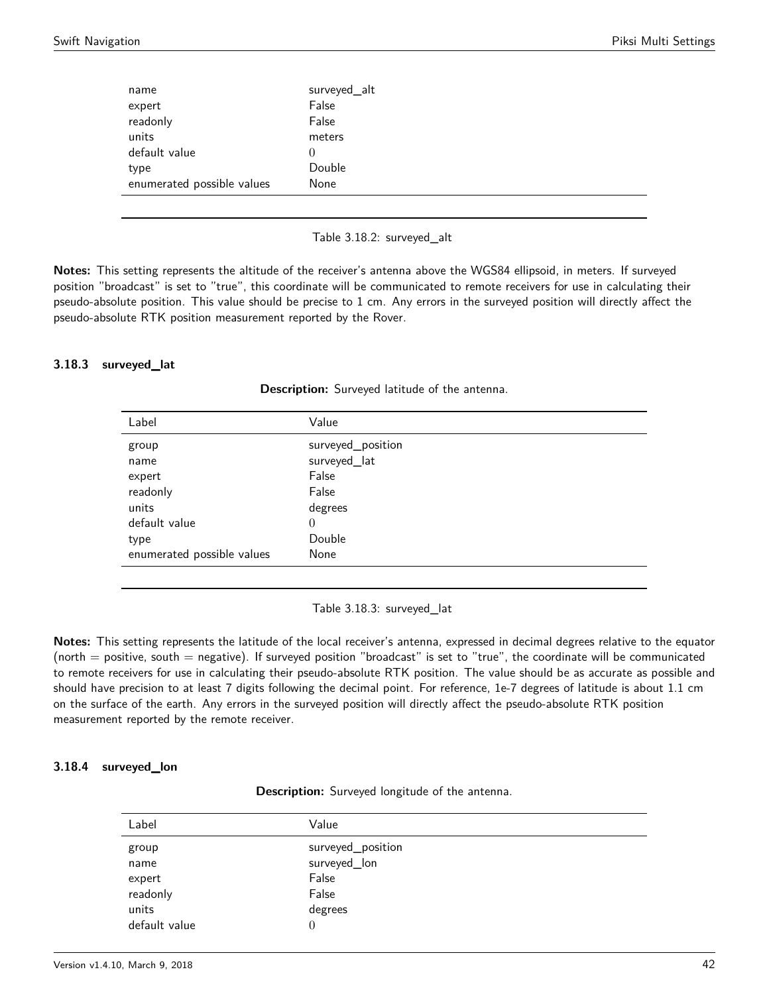| name                       | surveyed_alt |
|----------------------------|--------------|
| expert                     | False        |
| readonly                   | False        |
| units                      | meters       |
| default value              | $\theta$     |
| type                       | Double       |
| enumerated possible values | None         |
|                            |              |

#### Table 3.18.2: surveyed\_alt

**Notes:** This setting represents the altitude of the receiver's antenna above the WGS84 ellipsoid, in meters. If surveyed position "broadcast" is set to "true", this coordinate will be communicated to remote receivers for use in calculating their pseudo-absolute position. This value should be precise to 1 cm. Any errors in the surveyed position will directly affect the pseudo-absolute RTK position measurement reported by the Rover.

#### <span id="page-41-0"></span>**3.18.3 surveyed\_lat**

| Label                      | Value             |
|----------------------------|-------------------|
| group                      | surveyed_position |
| name                       | surveyed_lat      |
| expert                     | False             |
| readonly                   | False             |
| units                      | degrees           |
| default value              | $\theta$          |
| type                       | Double            |
| enumerated possible values | None              |
|                            |                   |

**Description:** Surveyed latitude of the antenna.

Table 3.18.3: surveyed\_lat

**Notes:** This setting represents the latitude of the local receiver's antenna, expressed in decimal degrees relative to the equator (north  $=$  positive, south  $=$  negative). If surveyed position "broadcast" is set to "true", the coordinate will be communicated to remote receivers for use in calculating their pseudo-absolute RTK position. The value should be as accurate as possible and should have precision to at least 7 digits following the decimal point. For reference, 1e-7 degrees of latitude is about 1.1 cm on the surface of the earth. Any errors in the surveyed position will directly affect the pseudo-absolute RTK position measurement reported by the remote receiver.

### **3.18.4 surveyed\_lon**

**Description:** Surveyed longitude of the antenna.

| Label         | Value             |
|---------------|-------------------|
| group         | surveyed_position |
| name          | surveyed_lon      |
| expert        | False             |
| readonly      | False             |
| units         | degrees           |
| default value | 0                 |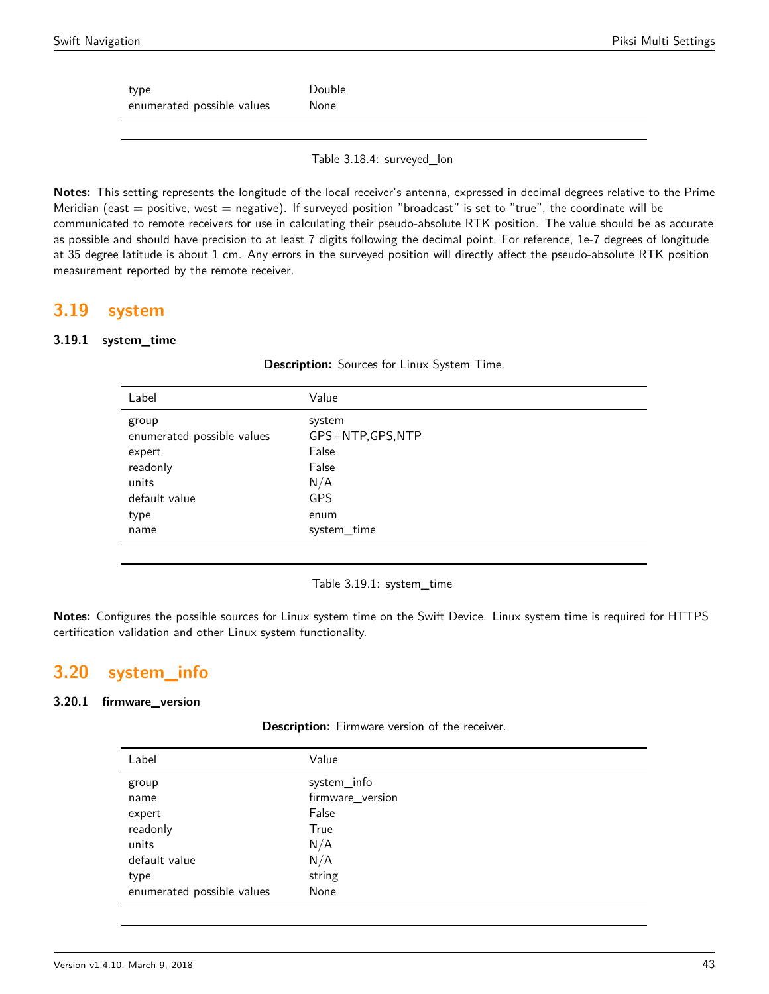type Double enumerated possible values Mone

Table 3.18.4: surveyed\_lon

**Notes:** This setting represents the longitude of the local receiver's antenna, expressed in decimal degrees relative to the Prime Meridian (east  $=$  positive, west  $=$  negative). If surveyed position "broadcast" is set to "true", the coordinate will be communicated to remote receivers for use in calculating their pseudo-absolute RTK position. The value should be as accurate as possible and should have precision to at least 7 digits following the decimal point. For reference, 1e-7 degrees of longitude at 35 degree latitude is about 1 cm. Any errors in the surveyed position will directly affect the pseudo-absolute RTK position measurement reported by the remote receiver.

# <span id="page-42-0"></span>**3.19 system**

### **3.19.1 system\_time**

| Label                                                                                               | Value                                                                            |
|-----------------------------------------------------------------------------------------------------|----------------------------------------------------------------------------------|
| group<br>enumerated possible values<br>expert<br>readonly<br>units<br>default value<br>type<br>name | system<br>GPS+NTP,GPS,NTP<br>False<br>False<br>N/A<br>GPS<br>enum<br>system_time |
|                                                                                                     |                                                                                  |

**Description:** Sources for Linux System Time.

Table 3.19.1: system\_time

**Notes:** Configures the possible sources for Linux system time on the Swift Device. Linux system time is required for HTTPS certification validation and other Linux system functionality.

# <span id="page-42-1"></span>**3.20 system\_info**

### <span id="page-42-2"></span>**3.20.1 firmware\_version**

| Description: Firmware version of the receiver. |  |  |  |  |  |
|------------------------------------------------|--|--|--|--|--|
|------------------------------------------------|--|--|--|--|--|

| Label                      | Value            |
|----------------------------|------------------|
| group                      | system_info      |
| name                       | firmware_version |
| expert                     | False            |
| readonly                   | True             |
| units                      | N/A              |
| default value              | N/A              |
| type                       | string           |
| enumerated possible values | None             |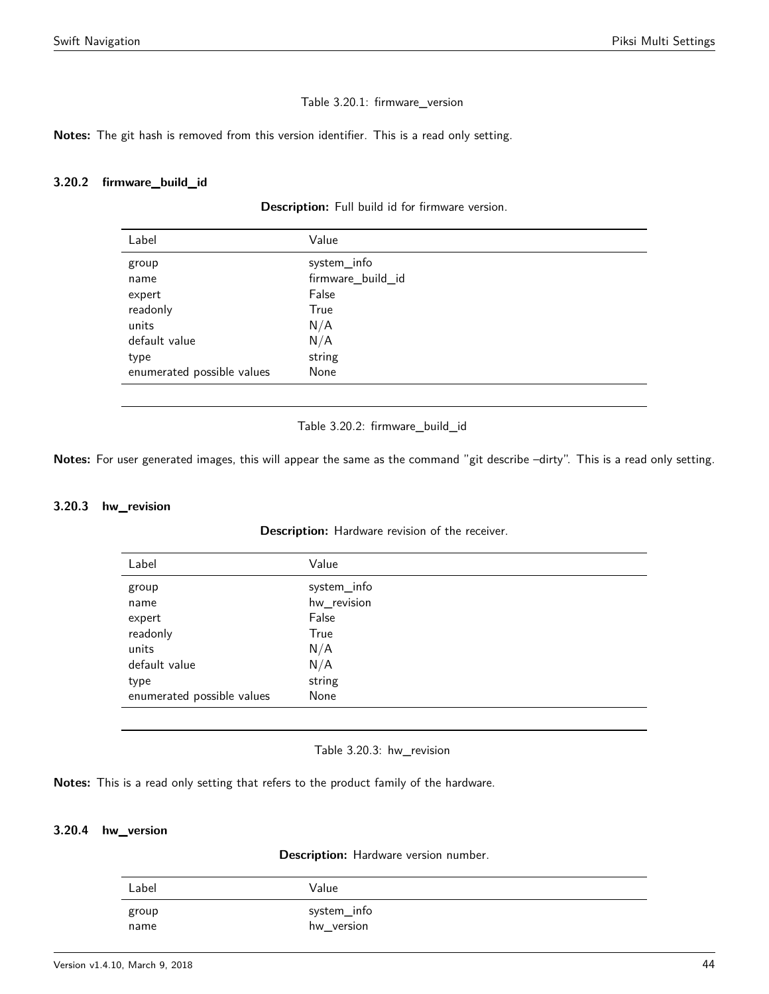#### Table 3.20.1: firmware\_version

**Notes:** The git hash is removed from this version identifier. This is a read only setting.

#### <span id="page-43-0"></span>**3.20.2 firmware\_build\_id**

#### **Description:** Full build id for firmware version.

| Label                      | Value             |
|----------------------------|-------------------|
| group                      | system_info       |
| name                       | firmware_build_id |
| expert                     | False             |
| readonly                   | True              |
| units                      | N/A               |
| default value              | N/A               |
| type                       | string            |
| enumerated possible values | None              |

Table 3.20.2: firmware\_build\_id

**Notes:** For user generated images, this will appear the same as the command "git describe –dirty". This is a read only setting.

#### <span id="page-43-1"></span>**3.20.3 hw\_revision**

**Description:** Hardware revision of the receiver.

| Label                      | Value       |  |
|----------------------------|-------------|--|
| group                      | system_info |  |
| name                       | hw_revision |  |
| expert                     | False       |  |
| readonly                   | True        |  |
| units                      | N/A         |  |
| default value              | N/A         |  |
| type                       | string      |  |
| enumerated possible values | None        |  |

Table 3.20.3: hw\_revision

**Notes:** This is a read only setting that refers to the product family of the hardware.

### <span id="page-43-2"></span>**3.20.4 hw\_version**

**Description:** Hardware version number.

| Label | Value       |
|-------|-------------|
| group | system_info |
| name  | hw_version  |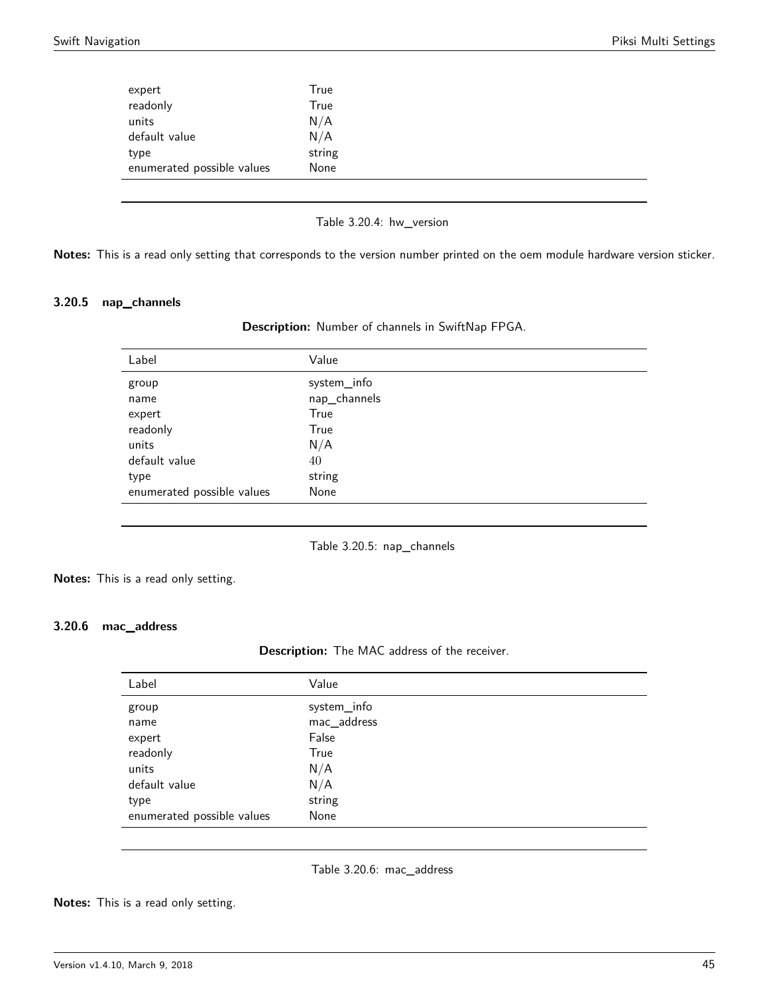| expert                     | True   |  |
|----------------------------|--------|--|
| readonly                   | True   |  |
| units                      | N/A    |  |
| default value              | N/A    |  |
| type                       | string |  |
| enumerated possible values | None   |  |

Table 3.20.4: hw\_version

**Notes:** This is a read only setting that corresponds to the version number printed on the oem module hardware version sticker.

#### <span id="page-44-0"></span>**3.20.5 nap\_channels**

| Description: Number of channels in SwiftNap FPGA. |  |  |  |  |  |  |
|---------------------------------------------------|--|--|--|--|--|--|
|---------------------------------------------------|--|--|--|--|--|--|

| Label                      | Value        |
|----------------------------|--------------|
| group                      | system_info  |
| name                       | nap_channels |
| expert                     | True         |
| readonly                   | True         |
| units                      | N/A          |
| default value              | 40           |
| type                       | string       |
| enumerated possible values | None         |
|                            |              |

Table 3.20.5: nap\_channels

**Notes:** This is a read only setting.

# <span id="page-44-1"></span>**3.20.6 mac\_address**

# **Description:** The MAC address of the receiver.

| Label                      | Value       |
|----------------------------|-------------|
| group                      | system_info |
| name                       | mac_address |
| expert                     | False       |
| readonly                   | True        |
| units                      | N/A         |
| default value              | N/A         |
| type                       | string      |
| enumerated possible values | None        |
|                            |             |

Table 3.20.6: mac\_address

**Notes:** This is a read only setting.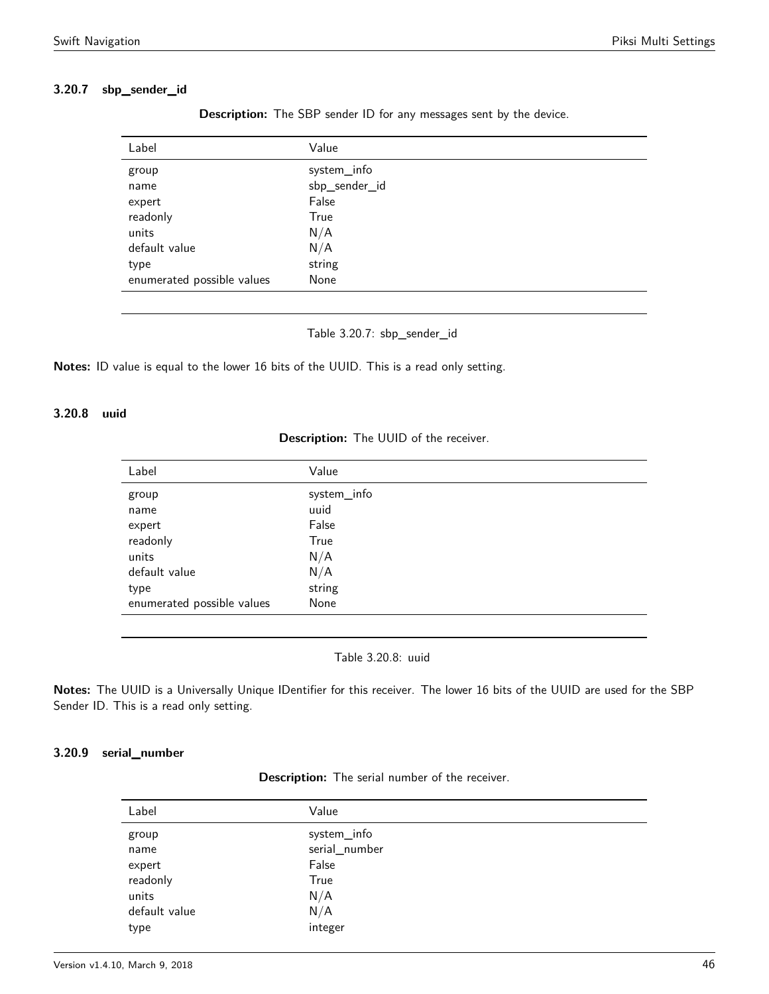### <span id="page-45-0"></span>**3.20.7 sbp\_sender\_id**

| Label                      | Value         |
|----------------------------|---------------|
| group                      | system_info   |
| name                       | sbp_sender_id |
| expert                     | False         |
| readonly                   | True          |
| units                      | N/A           |
| default value              | N/A           |
| type                       | string        |
| enumerated possible values | None          |

**Description:** The SBP sender ID for any messages sent by the device.

Table 3.20.7: sbp\_sender\_id

**Notes:** ID value is equal to the lower 16 bits of the UUID. This is a read only setting.

# <span id="page-45-1"></span>**3.20.8 uuid**

**Description:** The UUID of the receiver.

| Value       |
|-------------|
| system_info |
| uuid        |
| False       |
| True        |
| N/A         |
| N/A         |
| string      |
| None        |
|             |

Table 3.20.8: uuid

**Notes:** The UUID is a Universally Unique IDentifier for this receiver. The lower 16 bits of the UUID are used for the SBP Sender ID. This is a read only setting.

# <span id="page-45-2"></span>**3.20.9 serial\_number**

| <b>Description:</b> The serial number of the receiver. |  |  |  |
|--------------------------------------------------------|--|--|--|
|--------------------------------------------------------|--|--|--|

| Label         | Value         |
|---------------|---------------|
| group         | system_info   |
| name          | serial_number |
| expert        | False         |
| readonly      | True          |
| units         | N/A           |
| default value | N/A           |
| type          | integer       |
|               |               |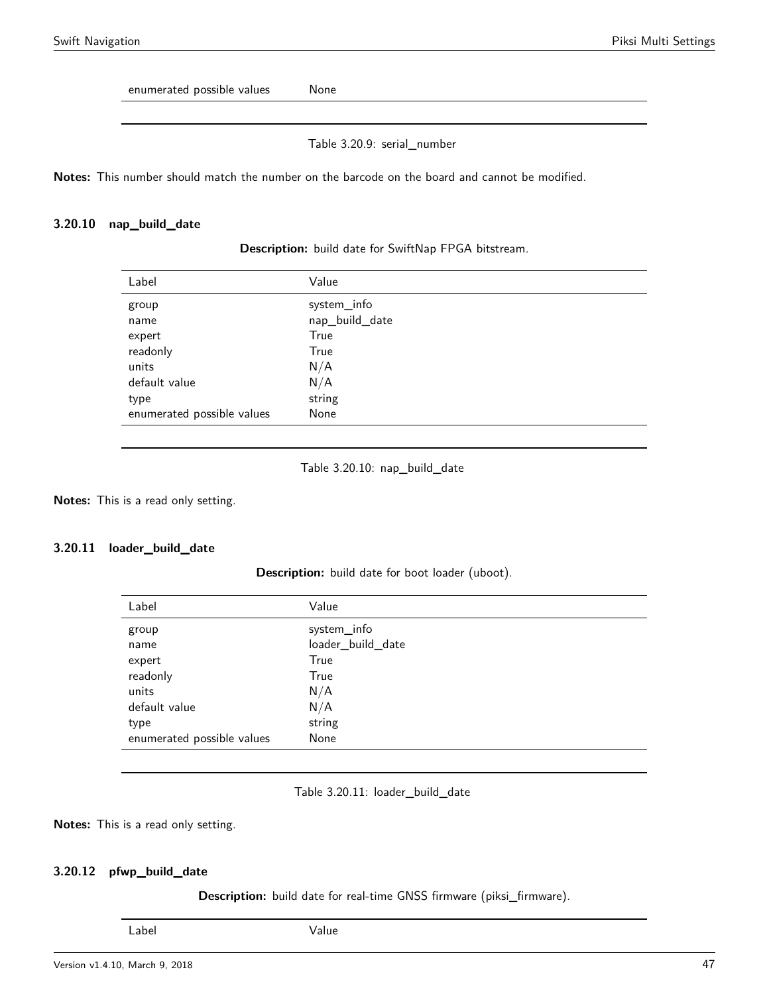enumerated possible values Mone

Table 3.20.9: serial\_number

**Notes:** This number should match the number on the barcode on the board and cannot be modified.

#### <span id="page-46-0"></span>**3.20.10 nap\_build\_date**

| Label                      | Value          |
|----------------------------|----------------|
| group                      | system_info    |
| name                       | nap_build_date |
| expert                     | True           |
| readonly                   | True           |
| units                      | N/A            |
| default value              | N/A            |
| type                       | string         |
| enumerated possible values | None           |
|                            |                |

**Description:** build date for SwiftNap FPGA bitstream.

```
Table 3.20.10: nap_build_date
```
**Notes:** This is a read only setting.

#### <span id="page-46-1"></span>**3.20.11 loader\_build\_date**

**Description:** build date for boot loader (uboot).

| Label                      | Value             |
|----------------------------|-------------------|
| group                      | system_info       |
| name                       | loader_build_date |
| expert                     | True              |
| readonly                   | True              |
| units                      | N/A               |
| default value              | N/A               |
| type                       | string            |
| enumerated possible values | None              |

Table 3.20.11: loader\_build\_date

**Notes:** This is a read only setting.

#### <span id="page-46-2"></span>**3.20.12 pfwp\_build\_date**

**Description:** build date for real-time GNSS firmware (piksi\_firmware).

Label Value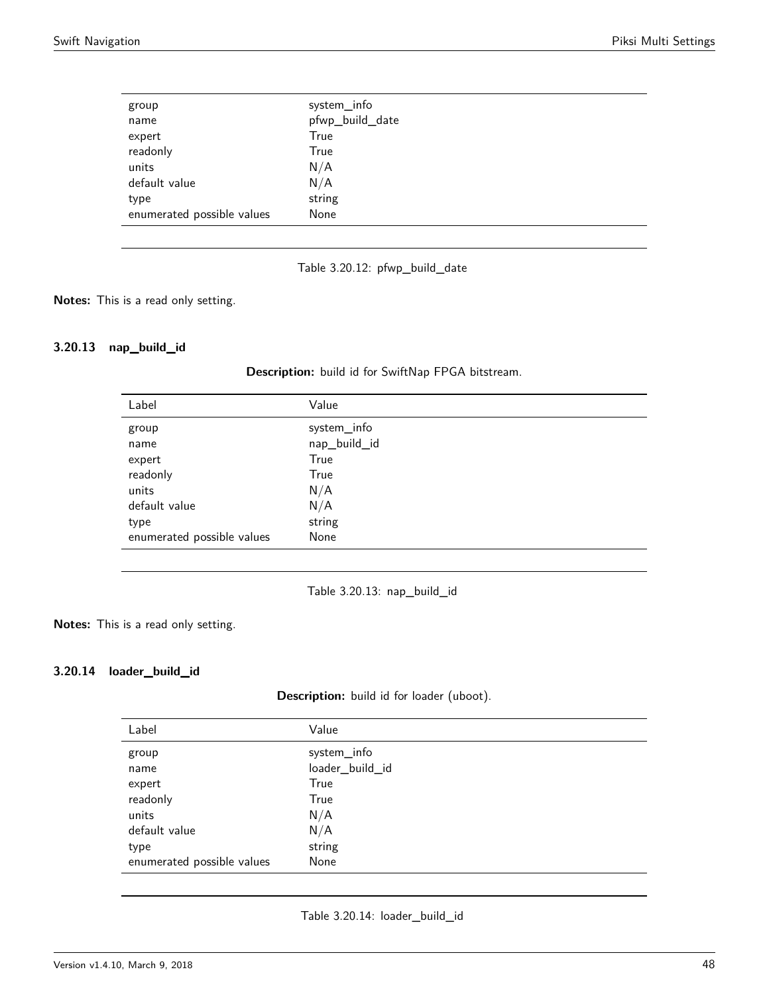| group                      | system_info     |
|----------------------------|-----------------|
| name                       | pfwp_build_date |
| expert                     | True            |
| readonly                   | True            |
| units                      | N/A             |
| default value              | N/A             |
| type                       | string          |
| enumerated possible values | None            |
|                            |                 |

Table 3.20.12: pfwp\_build\_date

**Notes:** This is a read only setting.

# <span id="page-47-0"></span>**3.20.13 nap\_build\_id**

| Label                      | Value        |
|----------------------------|--------------|
| group                      | system_info  |
| name                       | nap_build_id |
| expert                     | True         |
| readonly                   | True         |
| units                      | N/A          |
| default value              | N/A          |
| type                       | string       |
| enumerated possible values | None         |
|                            |              |

**Description:** build id for SwiftNap FPGA bitstream.

Table 3.20.13: nap\_build\_id

**Notes:** This is a read only setting.

# <span id="page-47-1"></span>**3.20.14 loader\_build\_id**

| Description: build id for loader (uboot). |  |  |  |  |  |  |
|-------------------------------------------|--|--|--|--|--|--|
|-------------------------------------------|--|--|--|--|--|--|

| Label                      | Value           |
|----------------------------|-----------------|
| group                      | system_info     |
| name                       | loader_build_id |
| expert                     | True            |
| readonly                   | True            |
| units                      | N/A             |
| default value              | N/A             |
| type                       | string          |
| enumerated possible values | None            |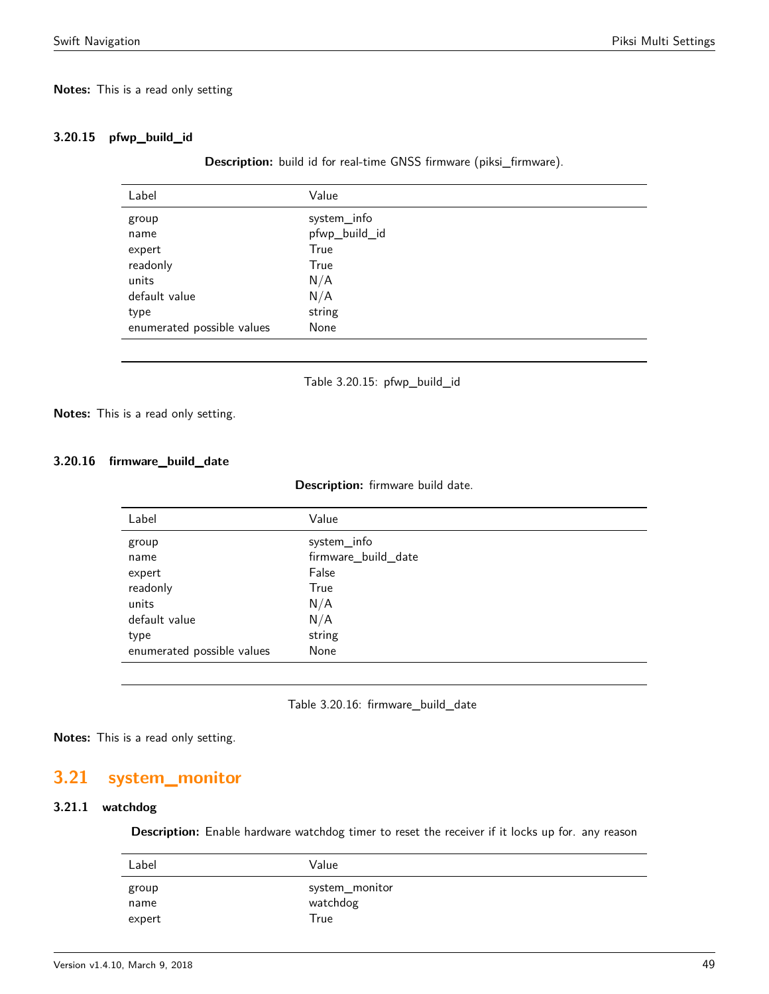#### **Notes:** This is a read only setting

### <span id="page-48-0"></span>**3.20.15 pfwp\_build\_id**

**Description:** build id for real-time GNSS firmware (piksi\_firmware).

| Label                      | Value         |
|----------------------------|---------------|
| group                      | system_info   |
| name                       | pfwp_build_id |
| expert                     | True          |
| readonly                   | True          |
| units                      | N/A           |
| default value              | N/A           |
| type                       | string        |
| enumerated possible values | None          |
|                            |               |

Table 3.20.15: pfwp\_build\_id

**Notes:** This is a read only setting.

#### **3.20.16 firmware\_build\_date**

#### **Description:** firmware build date.

| Label                      | Value               |
|----------------------------|---------------------|
| group                      | system_info         |
| name                       | firmware_build_date |
| expert                     | False               |
| readonly                   | True                |
| units                      | N/A                 |
| default value              | N/A                 |
| type                       | string              |
| enumerated possible values | None                |
|                            |                     |

Table 3.20.16: firmware\_build\_date

**Notes:** This is a read only setting.

# <span id="page-48-1"></span>**3.21 system\_monitor**

# <span id="page-48-2"></span>**3.21.1 watchdog**

**Description:** Enable hardware watchdog timer to reset the receiver if it locks up for. any reason

| Label         | Value                      |
|---------------|----------------------------|
| group<br>name | system_monitor<br>watchdog |
| expert        | True                       |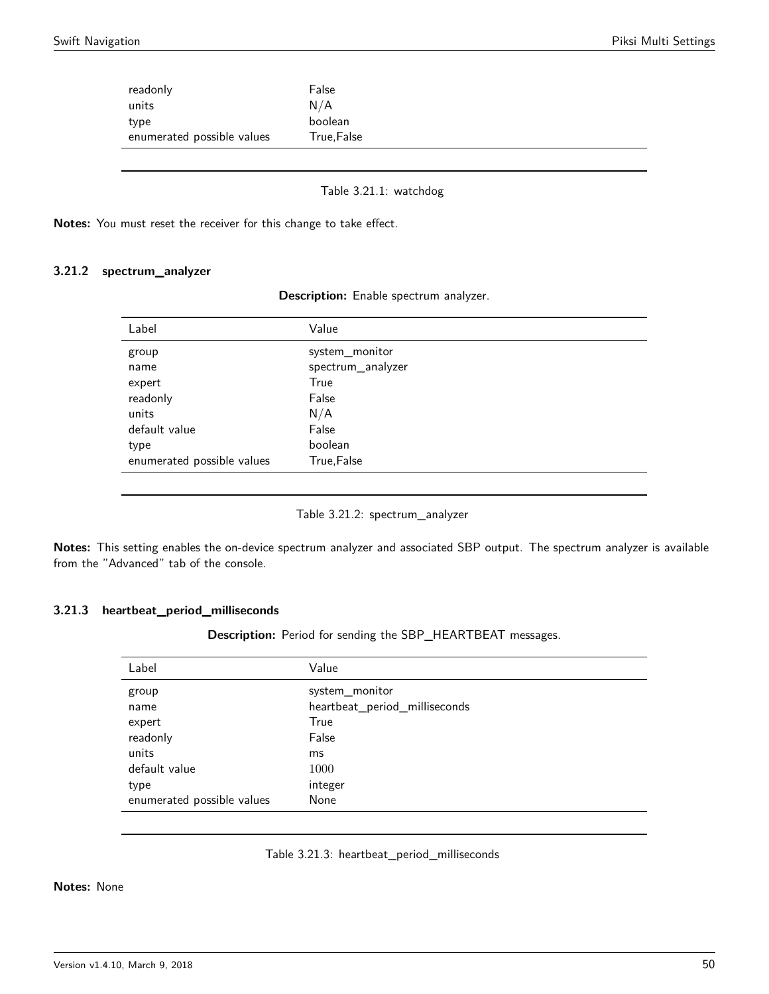| readonly<br>units          | False<br>N/A |
|----------------------------|--------------|
| type                       | boolean      |
| enumerated possible values | True, False  |
|                            |              |

Table 3.21.1: watchdog

**Notes:** You must reset the receiver for this change to take effect.

#### <span id="page-49-0"></span>**3.21.2 spectrum\_analyzer**

|  |  | Description: Enable spectrum analyzer. |
|--|--|----------------------------------------|
|--|--|----------------------------------------|

| Label                      | Value             |
|----------------------------|-------------------|
| group                      | system_monitor    |
| name                       | spectrum_analyzer |
| expert                     | True              |
| readonly                   | False             |
| units                      | N/A               |
| default value              | False             |
| type                       | boolean           |
| enumerated possible values | True, False       |

Table 3.21.2: spectrum\_analyzer

**Notes:** This setting enables the on-device spectrum analyzer and associated SBP output. The spectrum analyzer is available from the "Advanced" tab of the console.

#### **3.21.3 heartbeat\_period\_milliseconds**

**Description:** Period for sending the SBP\_HEARTBEAT messages.

| Label                      | Value                         |
|----------------------------|-------------------------------|
| group                      | system_monitor                |
| name                       | heartbeat_period_milliseconds |
| expert                     | True                          |
| readonly                   | False                         |
| units                      | ms                            |
| default value              | 1000                          |
| type                       | integer                       |
| enumerated possible values | None                          |

#### Table 3.21.3: heartbeat\_period\_milliseconds

<span id="page-49-1"></span>**Notes:** None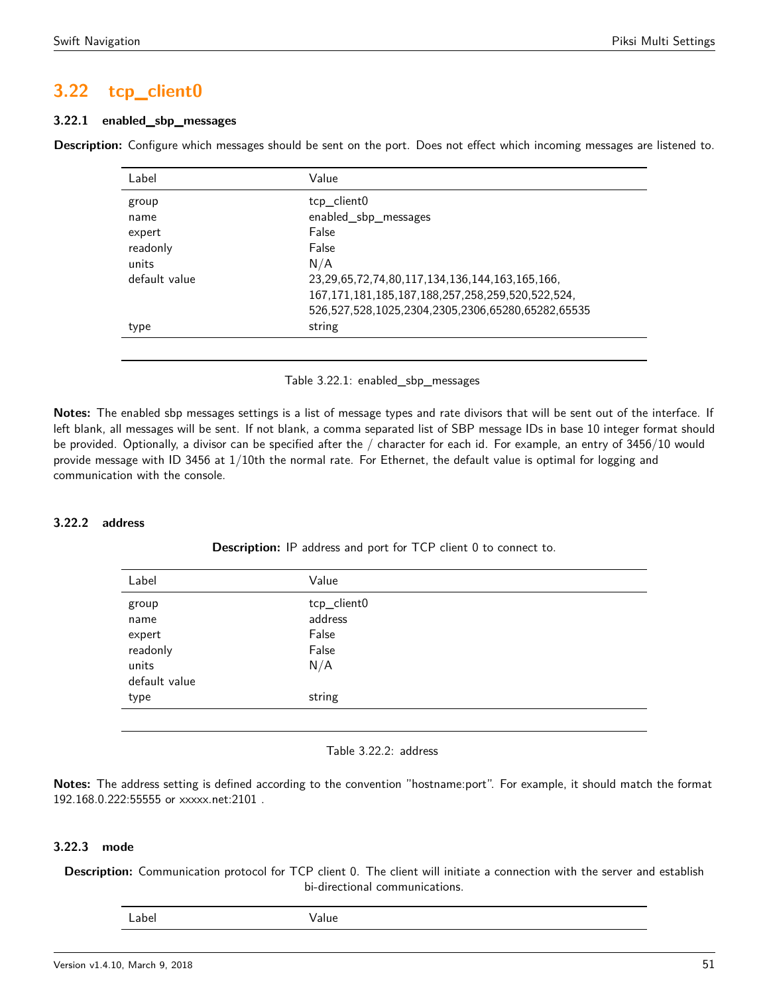# **3.22 tcp\_client0**

#### **3.22.1 enabled\_sbp\_messages**

<span id="page-50-0"></span>**Description:** Configure which messages should be sent on the port. Does not effect which incoming messages are listened to.

| Label         | Value                                                       |
|---------------|-------------------------------------------------------------|
| group         | tcp_client0                                                 |
| name          | enabled_sbp_messages                                        |
| expert        | False                                                       |
| readonly      | False                                                       |
| units         | N/A                                                         |
| default value | 23, 29, 65, 72, 74, 80, 117, 134, 136, 144, 163, 165, 166,  |
|               | 167, 171, 181, 185, 187, 188, 257, 258, 259, 520, 522, 524, |
|               | 526,527,528,1025,2304,2305,2306,65280,65282,65535           |
| type          | string                                                      |

Table 3.22.1: enabled\_sbp\_messages

**Notes:** The enabled sbp messages settings is a list of message types and rate divisors that will be sent out of the interface. If left blank, all messages will be sent. If not blank, a comma separated list of SBP message IDs in base 10 integer format should be provided. Optionally, a divisor can be specified after the / character for each id. For example, an entry of 3456/10 would provide message with ID 3456 at 1/10th the normal rate. For Ethernet, the default value is optimal for logging and communication with the console.

### <span id="page-50-1"></span>**3.22.2 address**

**Description:** IP address and port for TCP client 0 to connect to.

| Label             | Value                  |
|-------------------|------------------------|
| group<br>name     | tcp_client0<br>address |
| expert            | False                  |
| readonly<br>units | False<br>N/A           |
| default value     |                        |
| type              | string                 |
|                   |                        |

#### Table 3.22.2: address

**Notes:** The address setting is defined according to the convention "hostname:port". For example, it should match the format 192.168.0.222:55555 or xxxxx.net:2101 .

### **3.22.3 mode**

**Description:** Communication protocol for TCP client 0. The client will initiate a connection with the server and establish bi-directional communications.

Label Value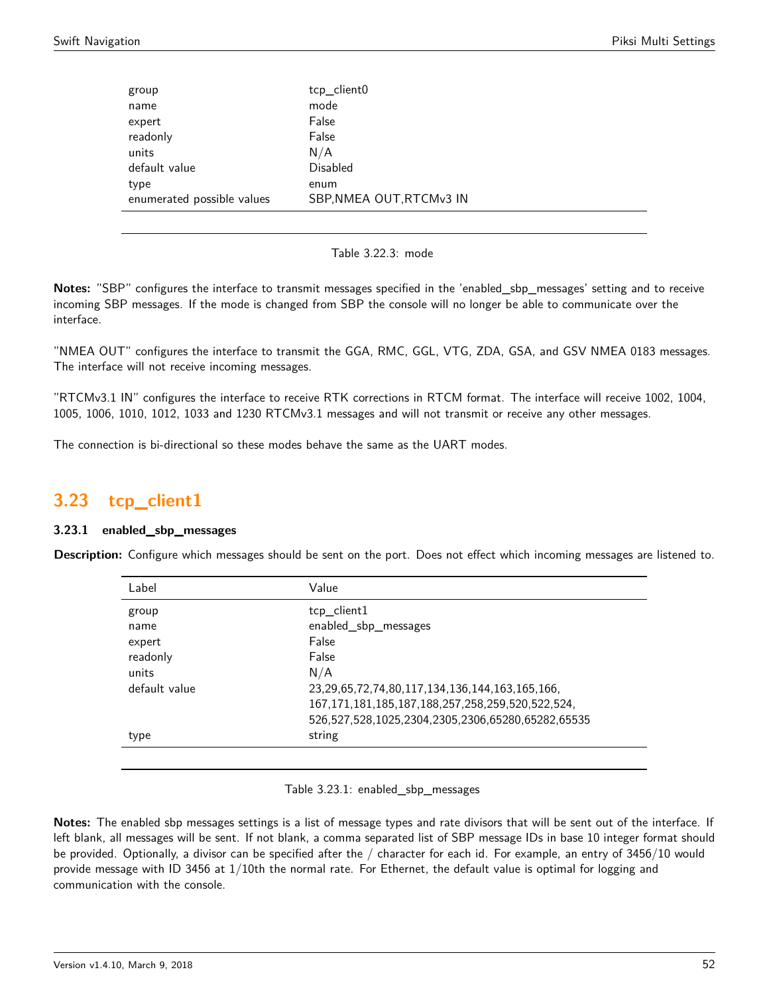| group                      | tcp_client0              |
|----------------------------|--------------------------|
| name                       | mode                     |
| expert                     | False                    |
| readonly                   | False                    |
| units                      | N/A                      |
| default value              | <b>Disabled</b>          |
| type                       | enum                     |
| enumerated possible values | SBP, NMEA OUT, RTCMv3 IN |

Table 3.22.3: mode

**Notes:** "SBP" configures the interface to transmit messages specified in the 'enabled\_sbp\_messages' setting and to receive incoming SBP messages. If the mode is changed from SBP the console will no longer be able to communicate over the interface.

"NMEA OUT" configures the interface to transmit the GGA, RMC, GGL, VTG, ZDA, GSA, and GSV NMEA 0183 messages. The interface will not receive incoming messages.

"RTCMv3.1 IN" configures the interface to receive RTK corrections in RTCM format. The interface will receive 1002, 1004, 1005, 1006, 1010, 1012, 1033 and 1230 RTCMv3.1 messages and will not transmit or receive any other messages.

The connection is bi-directional so these modes behave the same as the UART modes.

# <span id="page-51-0"></span>**3.23 tcp\_client1**

### **3.23.1 enabled\_sbp\_messages**

<span id="page-51-1"></span>**Description:** Configure which messages should be sent on the port. Does not effect which incoming messages are listened to.

| Label         | Value                                                       |
|---------------|-------------------------------------------------------------|
| group         | tcp_client1                                                 |
| name          | enabled_sbp_messages                                        |
| expert        | False                                                       |
| readonly      | False                                                       |
| units         | N/A                                                         |
| default value | 23, 29, 65, 72, 74, 80, 117, 134, 136, 144, 163, 165, 166,  |
|               | 167, 171, 181, 185, 187, 188, 257, 258, 259, 520, 522, 524, |
|               | 526,527,528,1025,2304,2305,2306,65280,65282,65535           |
| type          | string                                                      |
|               |                                                             |

#### Table 3.23.1: enabled\_sbp\_messages

**Notes:** The enabled sbp messages settings is a list of message types and rate divisors that will be sent out of the interface. If left blank, all messages will be sent. If not blank, a comma separated list of SBP message IDs in base 10 integer format should be provided. Optionally, a divisor can be specified after the / character for each id. For example, an entry of 3456/10 would provide message with ID 3456 at 1/10th the normal rate. For Ethernet, the default value is optimal for logging and communication with the console.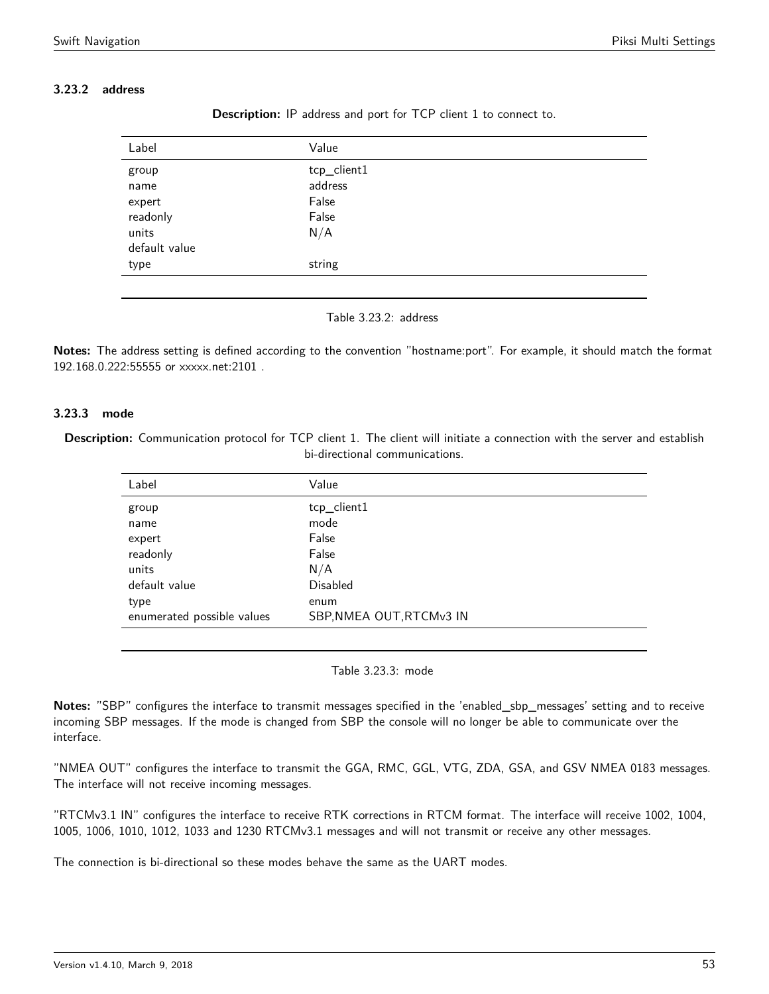# <span id="page-52-0"></span>**3.23.2 address**

| Label                                        | Value                                           |
|----------------------------------------------|-------------------------------------------------|
| group<br>name<br>expert<br>readonly<br>units | tcp_client1<br>address<br>False<br>False<br>N/A |
| default value<br>type                        | string                                          |
|                                              |                                                 |

**Description:** IP address and port for TCP client 1 to connect to.

Table 3.23.2: address

**Notes:** The address setting is defined according to the convention "hostname:port". For example, it should match the format 192.168.0.222:55555 or xxxxx.net:2101 .

### **3.23.3 mode**

Description: Communication protocol for TCP client 1. The client will initiate a connection with the server and establish bi-directional communications.

| Label                      | Value                    |
|----------------------------|--------------------------|
| group                      | tcp_client1              |
| name                       | mode                     |
| expert                     | False                    |
| readonly                   | False                    |
| units                      | N/A                      |
| default value              | <b>Disabled</b>          |
| type                       | enum                     |
| enumerated possible values | SBP, NMEA OUT, RTCMv3 IN |

Table 3.23.3: mode

**Notes:** "SBP" configures the interface to transmit messages specified in the 'enabled\_sbp\_messages' setting and to receive incoming SBP messages. If the mode is changed from SBP the console will no longer be able to communicate over the interface.

"NMEA OUT" configures the interface to transmit the GGA, RMC, GGL, VTG, ZDA, GSA, and GSV NMEA 0183 messages. The interface will not receive incoming messages.

"RTCMv3.1 IN" configures the interface to receive RTK corrections in RTCM format. The interface will receive 1002, 1004, 1005, 1006, 1010, 1012, 1033 and 1230 RTCMv3.1 messages and will not transmit or receive any other messages.

<span id="page-52-1"></span>The connection is bi-directional so these modes behave the same as the UART modes.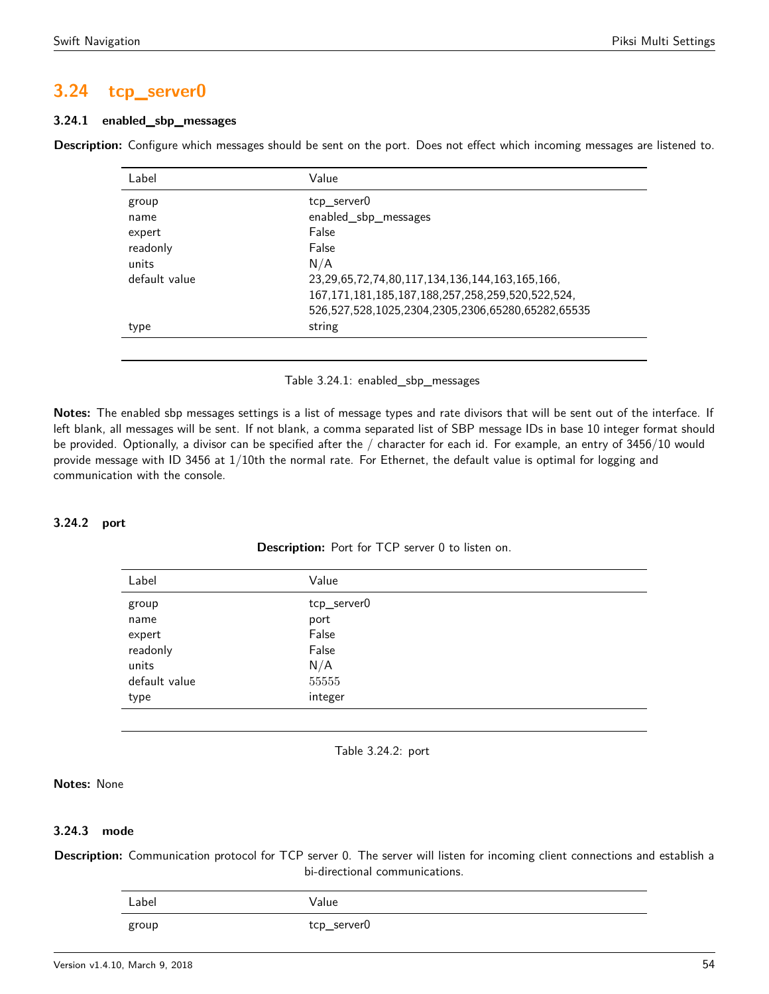# **3.24 tcp\_server0**

# **3.24.1 enabled\_sbp\_messages**

<span id="page-53-0"></span>**Description:** Configure which messages should be sent on the port. Does not effect which incoming messages are listened to.

| Label         | Value                                                       |
|---------------|-------------------------------------------------------------|
| group         | tcp server0                                                 |
| name          | enabled_sbp_messages                                        |
| expert        | False                                                       |
| readonly      | False                                                       |
| units         | N/A                                                         |
| default value | 23, 29, 65, 72, 74, 80, 117, 134, 136, 144, 163, 165, 166,  |
|               | 167, 171, 181, 185, 187, 188, 257, 258, 259, 520, 522, 524, |
|               | 526,527,528,1025,2304,2305,2306,65280,65282,65535           |
| type          | string                                                      |
|               |                                                             |

Table 3.24.1: enabled\_sbp\_messages

**Notes:** The enabled sbp messages settings is a list of message types and rate divisors that will be sent out of the interface. If left blank, all messages will be sent. If not blank, a comma separated list of SBP message IDs in base 10 integer format should be provided. Optionally, a divisor can be specified after the / character for each id. For example, an entry of 3456/10 would provide message with ID 3456 at 1/10th the normal rate. For Ethernet, the default value is optimal for logging and communication with the console.

### <span id="page-53-1"></span>**3.24.2 port**

| <b>Description:</b> Port for TCP server 0 to listen on. |  |  |  |
|---------------------------------------------------------|--|--|--|
|---------------------------------------------------------|--|--|--|

| Label         | Value       |
|---------------|-------------|
| group         | tcp_server0 |
| name          | port        |
| expert        | False       |
| readonly      | False       |
| units         | N/A         |
| default value | 55555       |
| type          | integer     |
|               |             |

Table 3.24.2: port

### **Notes:** None

### **3.24.3 mode**

**Description:** Communication protocol for TCP server 0. The server will listen for incoming client connections and establish a bi-directional communications.

| Label | alue/       |
|-------|-------------|
| group | tcp_server0 |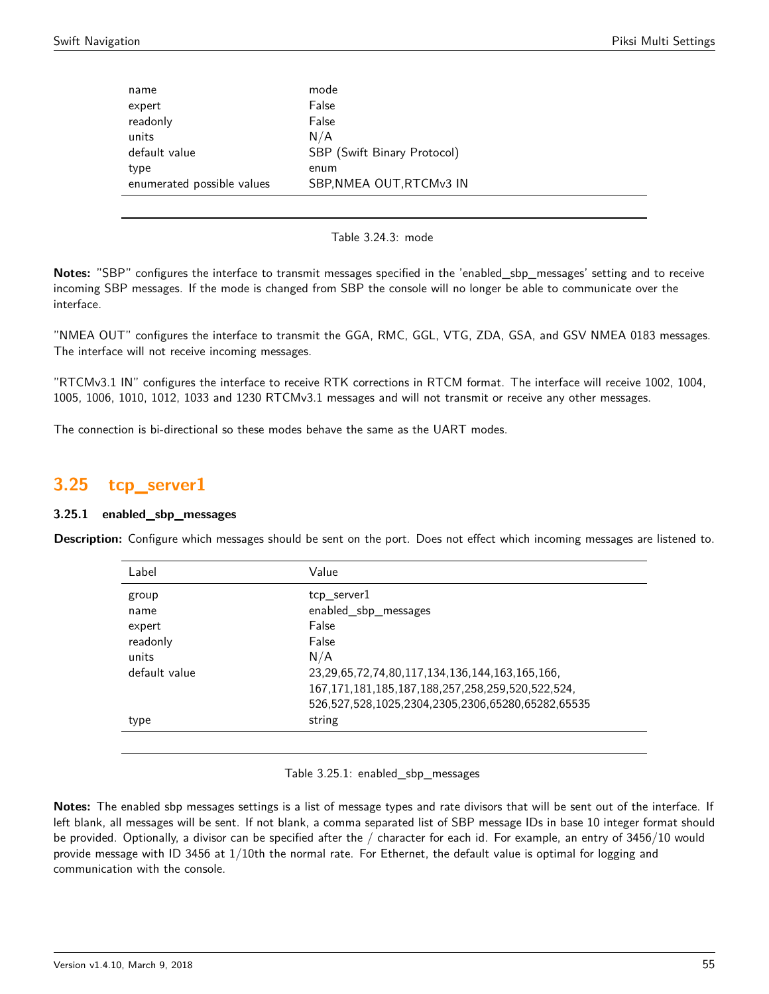| name                       | mode                        |
|----------------------------|-----------------------------|
| expert                     | False                       |
| readonly                   | False                       |
| units                      | N/A                         |
| default value              | SBP (Swift Binary Protocol) |
| type                       | enum                        |
| enumerated possible values | SBP, NMEA OUT, RTCMv3 IN    |

Table 3.24.3: mode

**Notes:** "SBP" configures the interface to transmit messages specified in the 'enabled\_sbp\_messages' setting and to receive incoming SBP messages. If the mode is changed from SBP the console will no longer be able to communicate over the interface.

"NMEA OUT" configures the interface to transmit the GGA, RMC, GGL, VTG, ZDA, GSA, and GSV NMEA 0183 messages. The interface will not receive incoming messages.

"RTCMv3.1 IN" configures the interface to receive RTK corrections in RTCM format. The interface will receive 1002, 1004, 1005, 1006, 1010, 1012, 1033 and 1230 RTCMv3.1 messages and will not transmit or receive any other messages.

The connection is bi-directional so these modes behave the same as the UART modes.

# <span id="page-54-0"></span>**3.25 tcp\_server1**

### **3.25.1 enabled\_sbp\_messages**

<span id="page-54-1"></span>**Description:** Configure which messages should be sent on the port. Does not effect which incoming messages are listened to.

| Label         | Value                                                       |
|---------------|-------------------------------------------------------------|
| group         | tcp server1                                                 |
| name          | enabled_sbp_messages                                        |
| expert        | False                                                       |
| readonly      | False                                                       |
| units         | N/A                                                         |
| default value | 23, 29, 65, 72, 74, 80, 117, 134, 136, 144, 163, 165, 166,  |
|               | 167, 171, 181, 185, 187, 188, 257, 258, 259, 520, 522, 524, |
|               | 526,527,528,1025,2304,2305,2306,65280,65282,65535           |
| type          | string                                                      |
|               |                                                             |

Table 3.25.1: enabled\_sbp\_messages

**Notes:** The enabled sbp messages settings is a list of message types and rate divisors that will be sent out of the interface. If left blank, all messages will be sent. If not blank, a comma separated list of SBP message IDs in base 10 integer format should be provided. Optionally, a divisor can be specified after the / character for each id. For example, an entry of 3456/10 would provide message with ID 3456 at 1/10th the normal rate. For Ethernet, the default value is optimal for logging and communication with the console.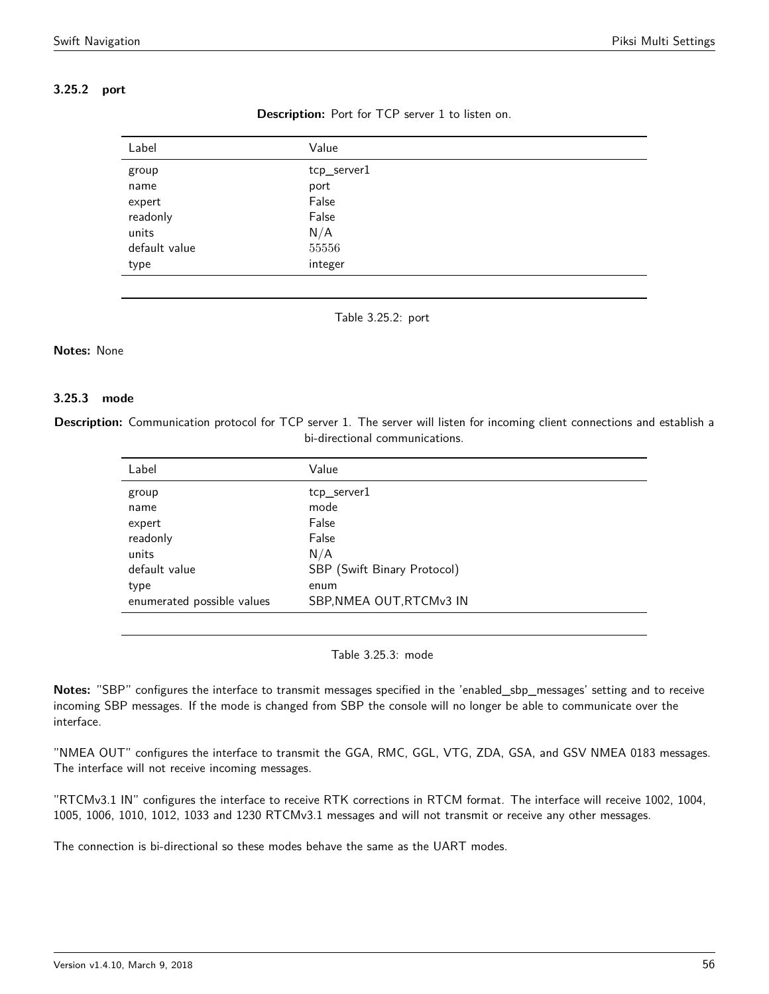# <span id="page-55-0"></span>**3.25.2 port**

| Label         | Value       |
|---------------|-------------|
| group         | tcp_server1 |
| name          | port        |
| expert        | False       |
| readonly      | False       |
| units         | N/A         |
| default value | 55556       |
| type          | integer     |



Table 3.25.2: port

#### **Notes:** None

#### **3.25.3 mode**

**Description:** Communication protocol for TCP server 1. The server will listen for incoming client connections and establish a bi-directional communications.

| Value                       |
|-----------------------------|
| tcp_server1                 |
| mode                        |
| False                       |
| False                       |
| N/A                         |
| SBP (Swift Binary Protocol) |
| enum                        |
| SBP, NMEA OUT, RTCMv3 IN    |
|                             |

Table 3.25.3: mode

**Notes:** "SBP" configures the interface to transmit messages specified in the 'enabled\_sbp\_messages' setting and to receive incoming SBP messages. If the mode is changed from SBP the console will no longer be able to communicate over the interface.

"NMEA OUT" configures the interface to transmit the GGA, RMC, GGL, VTG, ZDA, GSA, and GSV NMEA 0183 messages. The interface will not receive incoming messages.

"RTCMv3.1 IN" configures the interface to receive RTK corrections in RTCM format. The interface will receive 1002, 1004, 1005, 1006, 1010, 1012, 1033 and 1230 RTCMv3.1 messages and will not transmit or receive any other messages.

<span id="page-55-1"></span>The connection is bi-directional so these modes behave the same as the UART modes.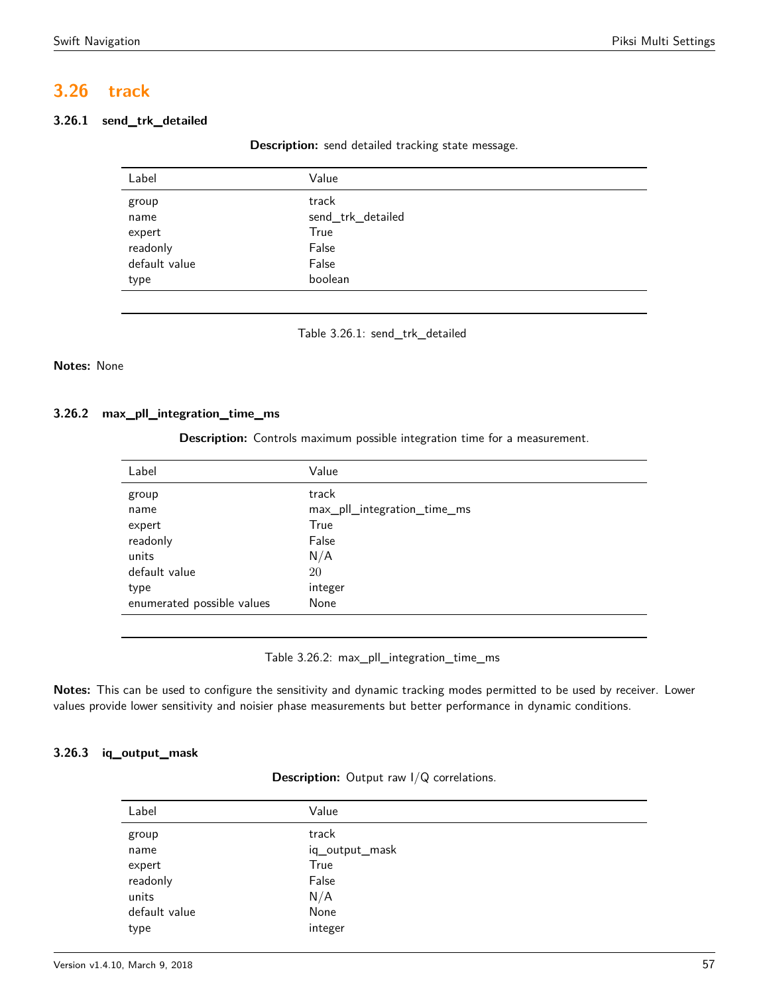# **3.26 track**

# <span id="page-56-0"></span>**3.26.1 send\_trk\_detailed**

**Description:** send detailed tracking state message.

| Label         | Value             |  |
|---------------|-------------------|--|
| group         | track             |  |
| name          | send_trk_detailed |  |
| expert        | True              |  |
| readonly      | False             |  |
| default value | False             |  |
| type          | boolean           |  |
|               |                   |  |

Table 3.26.1: send\_trk\_detailed

# **Notes:** None

# <span id="page-56-1"></span>**3.26.2 max\_pll\_integration\_time\_ms**

**Description:** Controls maximum possible integration time for a measurement.

| Label                      | Value                       |
|----------------------------|-----------------------------|
| group                      | track                       |
| name                       | max_pll_integration_time_ms |
| expert                     | True                        |
| readonly                   | False                       |
| units                      | N/A                         |
| default value              | 20                          |
| type                       | integer                     |
| enumerated possible values | None                        |
|                            |                             |

Table 3.26.2: max\_pll\_integration\_time\_ms

**Notes:** This can be used to configure the sensitivity and dynamic tracking modes permitted to be used by receiver. Lower values provide lower sensitivity and noisier phase measurements but better performance in dynamic conditions.

# <span id="page-56-2"></span>**3.26.3 iq\_output\_mask**

| <b>Description:</b> Output raw $I/Q$ correlations. |  |  |  |
|----------------------------------------------------|--|--|--|
|----------------------------------------------------|--|--|--|

| Value          |
|----------------|
| track          |
| iq_output_mask |
| True           |
| False          |
| N/A            |
| None           |
| integer        |
|                |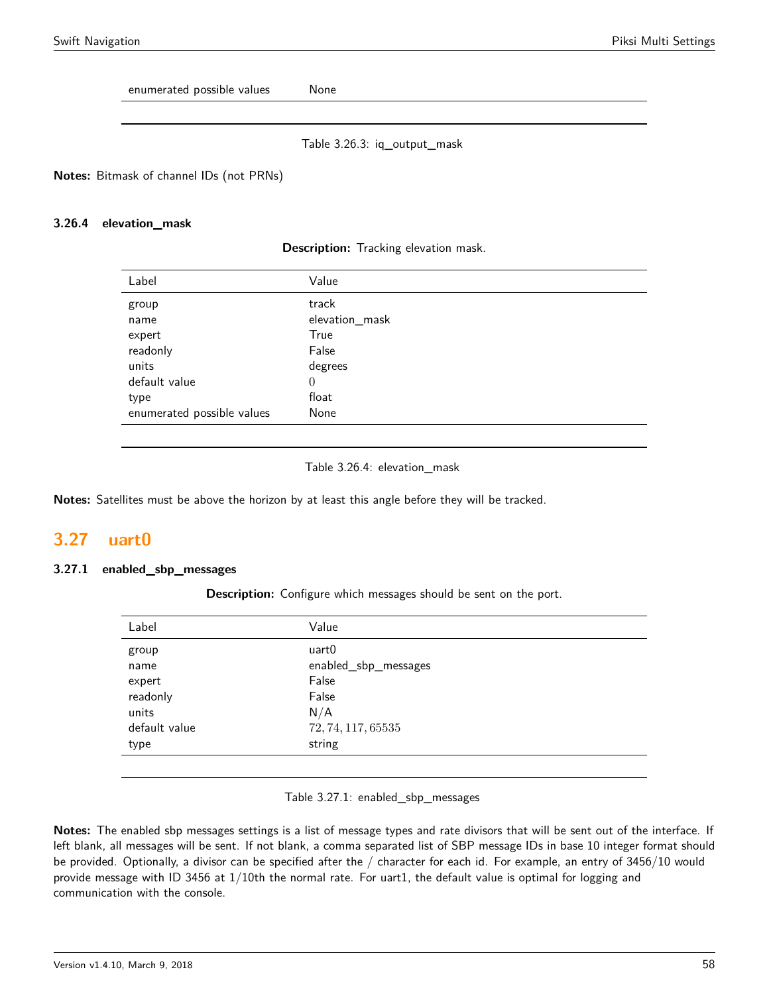enumerated possible values Mone

Table 3.26.3: iq\_output\_mask

**Notes:** Bitmask of channel IDs (not PRNs)

#### **3.26.4 elevation\_mask**

| <b>Description:</b> Tracking elevation mask. |  |  |  |
|----------------------------------------------|--|--|--|
|----------------------------------------------|--|--|--|

| Label                      | Value          |
|----------------------------|----------------|
| group                      | track          |
| name                       | elevation_mask |
| expert                     | True           |
| readonly                   | False          |
| units                      | degrees        |
| default value              | $\theta$       |
| type                       | float          |
| enumerated possible values | None           |

#### Table 3.26.4: elevation\_mask

**Notes:** Satellites must be above the horizon by at least this angle before they will be tracked.

# <span id="page-57-0"></span>**3.27 uart0**

### <span id="page-57-1"></span>**3.27.1 enabled\_sbp\_messages**

**Description:** Configure which messages should be sent on the port.

| Label         | Value                |
|---------------|----------------------|
| group         | uart0                |
| name          | enabled_sbp_messages |
| expert        | False                |
| readonly      | False                |
| units         | N/A                  |
| default value | 72, 74, 117, 65535   |
| type          | string               |
|               |                      |

#### Table 3.27.1: enabled\_sbp\_messages

**Notes:** The enabled sbp messages settings is a list of message types and rate divisors that will be sent out of the interface. If left blank, all messages will be sent. If not blank, a comma separated list of SBP message IDs in base 10 integer format should be provided. Optionally, a divisor can be specified after the / character for each id. For example, an entry of 3456/10 would provide message with ID 3456 at 1/10th the normal rate. For uart1, the default value is optimal for logging and communication with the console.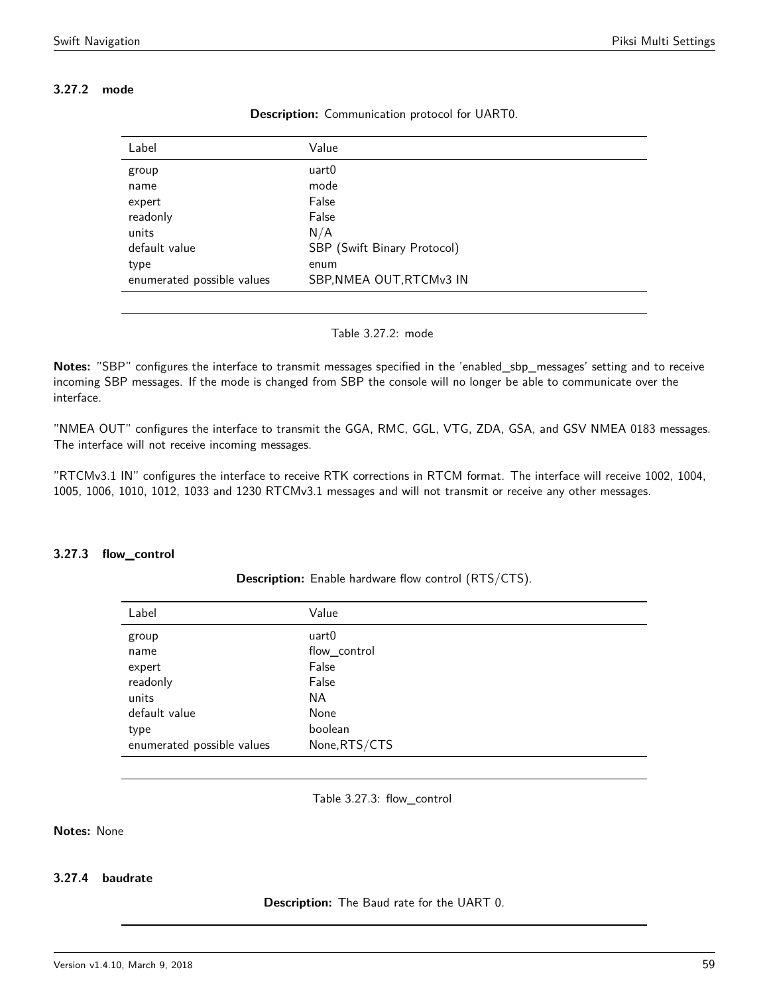# <span id="page-58-0"></span>**3.27.2 mode**

| Label                      | Value                       |
|----------------------------|-----------------------------|
| group                      | uart0                       |
| name                       | mode                        |
| expert                     | False                       |
| readonly                   | False                       |
| units                      | N/A                         |
| default value              | SBP (Swift Binary Protocol) |
| type                       | enum                        |
| enumerated possible values | SBP, NMEA OUT, RTCMv3 IN    |
|                            |                             |

**Description:** Communication protocol for UART0.

Table 3.27.2: mode

**Notes:** "SBP" configures the interface to transmit messages specified in the 'enabled\_sbp\_messages' setting and to receive incoming SBP messages. If the mode is changed from SBP the console will no longer be able to communicate over the interface.

"NMEA OUT" configures the interface to transmit the GGA, RMC, GGL, VTG, ZDA, GSA, and GSV NMEA 0183 messages. The interface will not receive incoming messages.

"RTCMv3.1 IN" configures the interface to receive RTK corrections in RTCM format. The interface will receive 1002, 1004, 1005, 1006, 1010, 1012, 1033 and 1230 RTCMv3.1 messages and will not transmit or receive any other messages.

### <span id="page-58-1"></span>**3.27.3 flow\_control**

**Description:** Enable hardware flow control (RTS/CTS).

| Label                      | Value         |
|----------------------------|---------------|
| group                      | uart0         |
| name                       | flow_control  |
| expert                     | False         |
| readonly                   | False         |
| units                      | NA.           |
| default value              | None          |
| type                       | boolean       |
| enumerated possible values | None, RTS/CTS |
|                            |               |

Table 3.27.3: flow\_control

# **Notes:** None

### **3.27.4 baudrate**

**Description:** The Baud rate for the UART 0.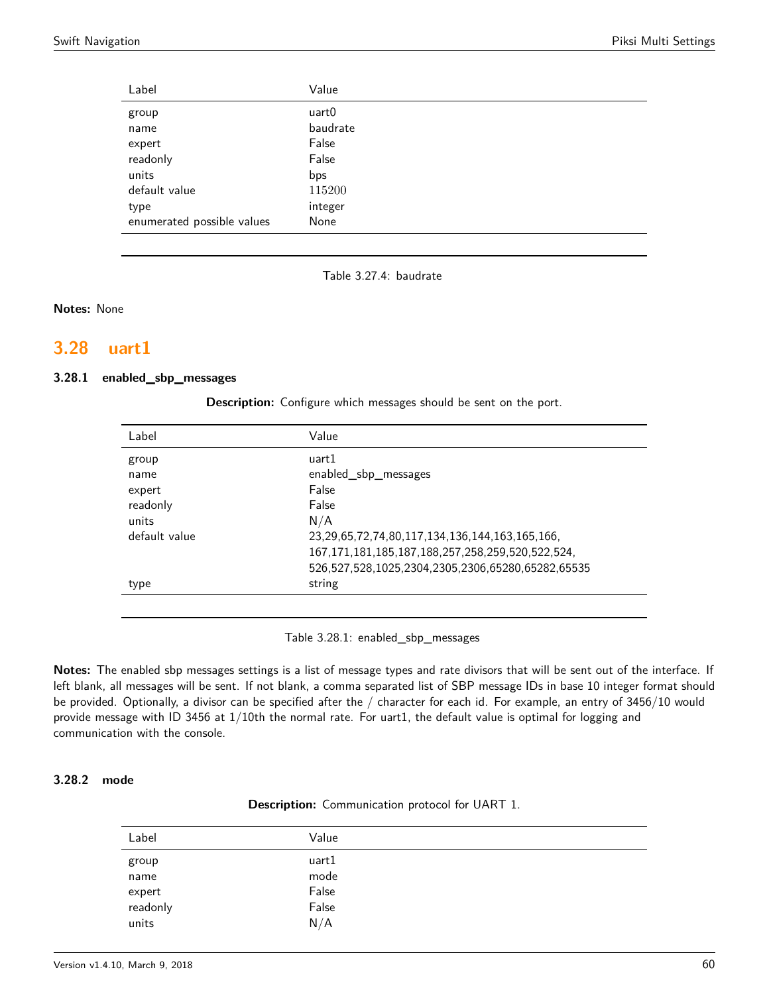| Label                      | Value    |
|----------------------------|----------|
| group                      | uart0    |
| name                       | baudrate |
| expert                     | False    |
| readonly                   | False    |
| units                      | bps      |
| default value              | 115200   |
| type                       | integer  |
| enumerated possible values | None     |

Table 3.27.4: baudrate

**Notes:** None

# <span id="page-59-0"></span>**3.28 uart1**

#### <span id="page-59-1"></span>**3.28.1 enabled\_sbp\_messages**

**Description:** Configure which messages should be sent on the port.

| Label         | Value                                                       |
|---------------|-------------------------------------------------------------|
| group         | uart1                                                       |
| name          | enabled_sbp_messages                                        |
| expert        | False                                                       |
| readonly      | False                                                       |
| units         | N/A                                                         |
| default value | 23, 29, 65, 72, 74, 80, 117, 134, 136, 144, 163, 165, 166,  |
|               | 167, 171, 181, 185, 187, 188, 257, 258, 259, 520, 522, 524, |
|               | 526,527,528,1025,2304,2305,2306,65280,65282,65535           |
| type          | string                                                      |
|               |                                                             |

Table 3.28.1: enabled\_sbp\_messages

**Notes:** The enabled sbp messages settings is a list of message types and rate divisors that will be sent out of the interface. If left blank, all messages will be sent. If not blank, a comma separated list of SBP message IDs in base 10 integer format should be provided. Optionally, a divisor can be specified after the / character for each id. For example, an entry of 3456/10 would provide message with ID 3456 at 1/10th the normal rate. For uart1, the default value is optimal for logging and communication with the console.

### <span id="page-59-2"></span>**3.28.2 mode**

|  | <b>Description:</b> Communication protocol for UART 1. |  |  |
|--|--------------------------------------------------------|--|--|
|--|--------------------------------------------------------|--|--|

| Label    | Value |  |
|----------|-------|--|
| group    | uart1 |  |
| name     | mode  |  |
| expert   | False |  |
| readonly | False |  |
| units    | N/A   |  |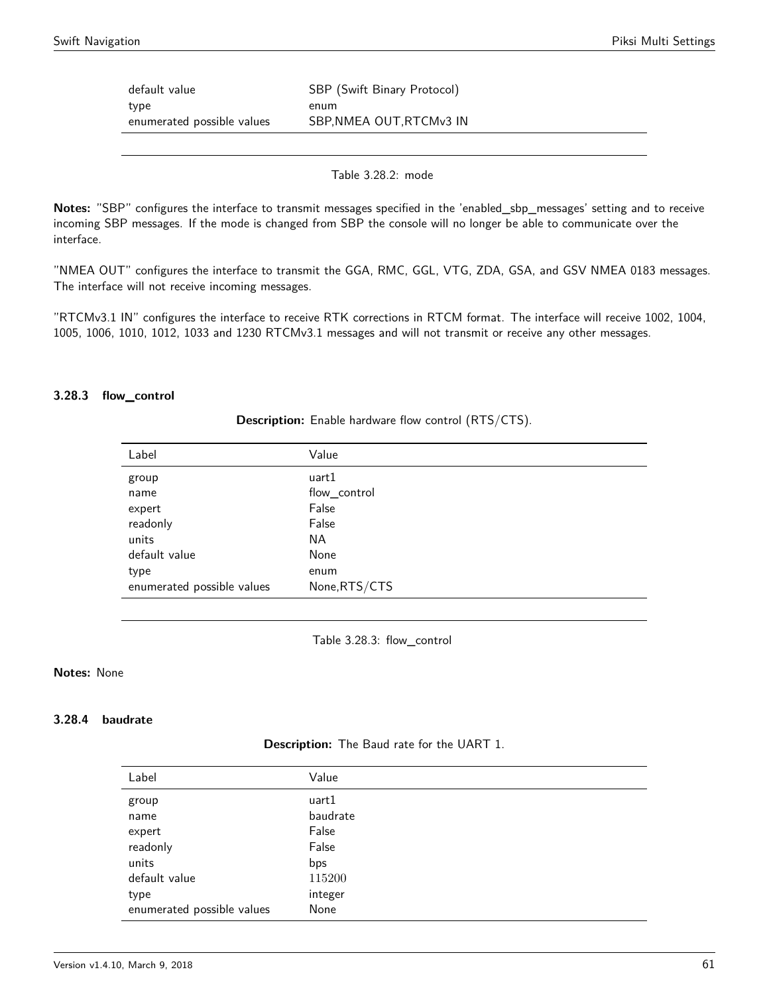| default value                      | SBP (Swift Binary Protocol)      |
|------------------------------------|----------------------------------|
| type<br>enumerated possible values | enum<br>SBP, NMEA OUT, RTCMv3 IN |
|                                    |                                  |

Table 3.28.2: mode

**Notes:** "SBP" configures the interface to transmit messages specified in the 'enabled\_sbp\_messages' setting and to receive incoming SBP messages. If the mode is changed from SBP the console will no longer be able to communicate over the interface.

"NMEA OUT" configures the interface to transmit the GGA, RMC, GGL, VTG, ZDA, GSA, and GSV NMEA 0183 messages. The interface will not receive incoming messages.

"RTCMv3.1 IN" configures the interface to receive RTK corrections in RTCM format. The interface will receive 1002, 1004, 1005, 1006, 1010, 1012, 1033 and 1230 RTCMv3.1 messages and will not transmit or receive any other messages.

#### <span id="page-60-0"></span>**3.28.3 flow\_control**

**Description:** Enable hardware flow control (RTS/CTS).

| Label                      | Value         |
|----------------------------|---------------|
| group                      | uart1         |
| name                       | flow_control  |
| expert                     | False         |
| readonly                   | False         |
| units                      | ΝA            |
| default value              | None          |
| type                       | enum          |
| enumerated possible values | None, RTS/CTS |

Table 3.28.3: flow\_control

#### **Notes:** None

#### **3.28.4 baudrate**

**Description:** The Baud rate for the UART 1.

| Label                      | Value    |
|----------------------------|----------|
| group                      | uart1    |
| name                       | baudrate |
| expert                     | False    |
| readonly                   | False    |
| units                      | bps      |
| default value              | 115200   |
| type                       | integer  |
| enumerated possible values | None     |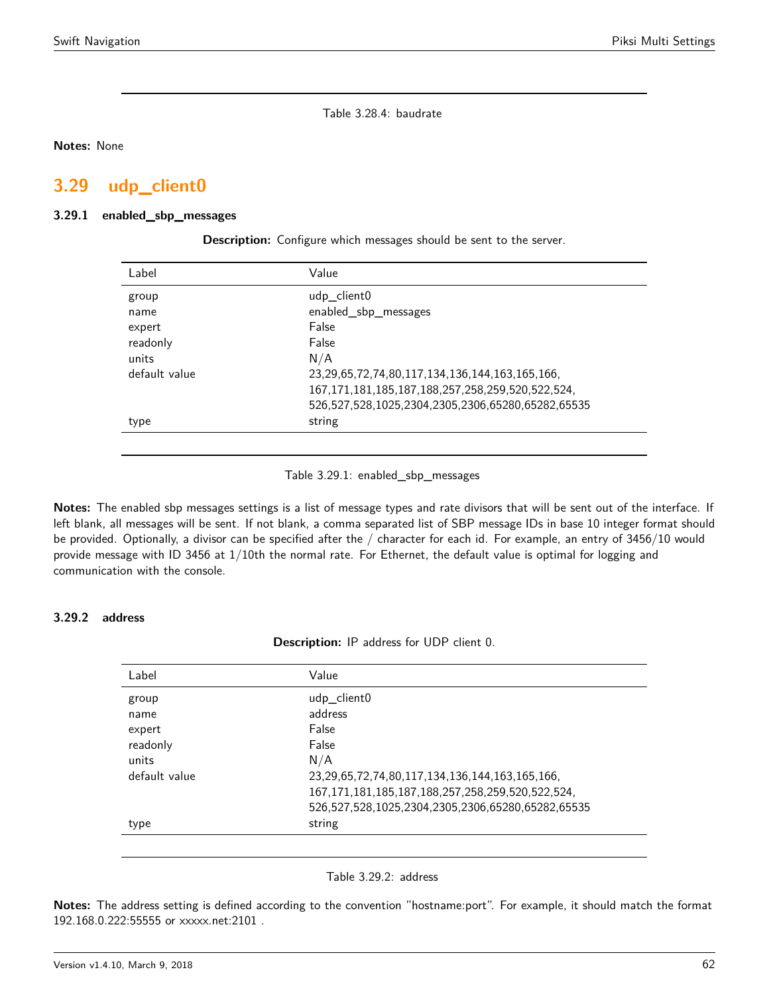Table 3.28.4: baudrate

**Notes:** None

# <span id="page-61-0"></span>**3.29 udp\_client0**

#### <span id="page-61-1"></span>**3.29.1 enabled\_sbp\_messages**

| Label         | Value                                                       |
|---------------|-------------------------------------------------------------|
| group         | udp_client0                                                 |
| name          | enabled_sbp_messages                                        |
| expert        | False                                                       |
| readonly      | False                                                       |
| units         | N/A                                                         |
| default value | 23, 29, 65, 72, 74, 80, 117, 134, 136, 144, 163, 165, 166,  |
|               | 167, 171, 181, 185, 187, 188, 257, 258, 259, 520, 522, 524, |
|               | 526,527,528,1025,2304,2305,2306,65280,65282,65535           |
| type          | string                                                      |
|               |                                                             |

**Description:** Configure which messages should be sent to the server.

Table 3.29.1: enabled\_sbp\_messages

**Notes:** The enabled sbp messages settings is a list of message types and rate divisors that will be sent out of the interface. If left blank, all messages will be sent. If not blank, a comma separated list of SBP message IDs in base 10 integer format should be provided. Optionally, a divisor can be specified after the / character for each id. For example, an entry of 3456/10 would provide message with ID 3456 at 1/10th the normal rate. For Ethernet, the default value is optimal for logging and communication with the console.

### <span id="page-61-2"></span>**3.29.2 address**

**Description:** IP address for UDP client 0.

| Label         | Value                                                       |
|---------------|-------------------------------------------------------------|
| group         | udp_client0                                                 |
| name          | address                                                     |
| expert        | False                                                       |
| readonly      | False                                                       |
| units         | N/A                                                         |
| default value | 23, 29, 65, 72, 74, 80, 117, 134, 136, 144, 163, 165, 166,  |
|               | 167, 171, 181, 185, 187, 188, 257, 258, 259, 520, 522, 524, |
|               | 526,527,528,1025,2304,2305,2306,65280,65282,65535           |
| type          | string                                                      |

### Table 3.29.2: address

**Notes:** The address setting is defined according to the convention "hostname:port". For example, it should match the format 192.168.0.222:55555 or xxxxx.net:2101 .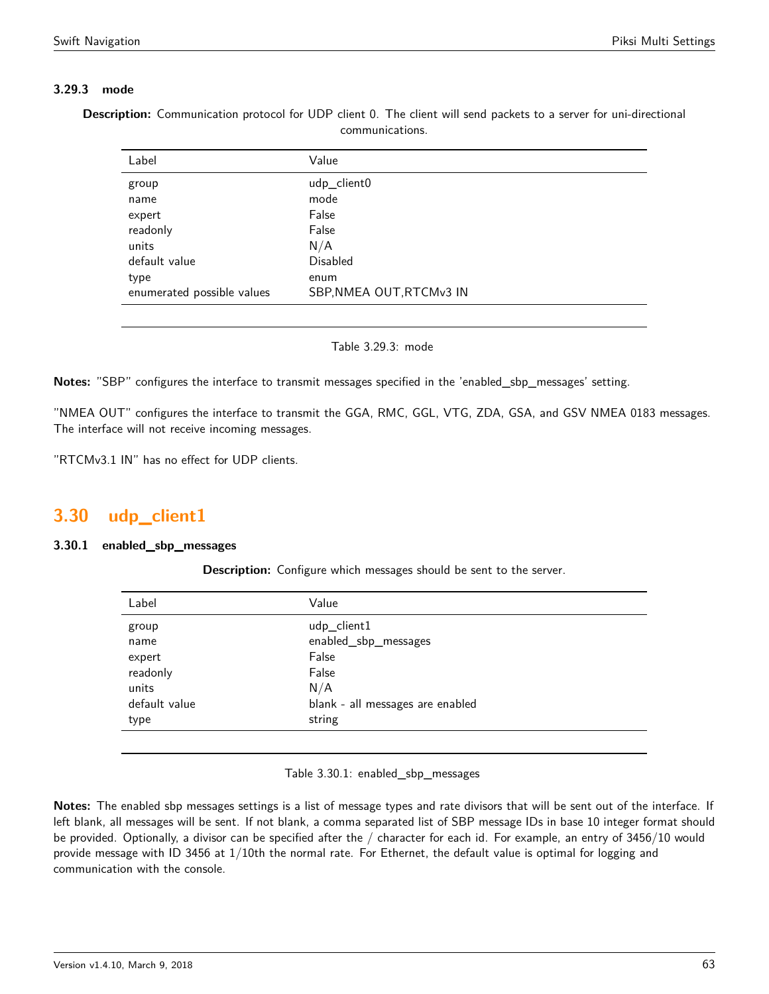# **3.29.3 mode**

**Description:** Communication protocol for UDP client 0. The client will send packets to a server for uni-directional communications.

| Label                      | Value                    |
|----------------------------|--------------------------|
| group                      | udp_client0              |
| name                       | mode                     |
| expert                     | False                    |
| readonly                   | False                    |
| units                      | N/A                      |
| default value              | Disabled                 |
| type                       | enum                     |
| enumerated possible values | SBP, NMEA OUT, RTCMv3 IN |
|                            |                          |

Table 3.29.3: mode

**Notes:** "SBP" configures the interface to transmit messages specified in the 'enabled\_sbp\_messages' setting.

"NMEA OUT" configures the interface to transmit the GGA, RMC, GGL, VTG, ZDA, GSA, and GSV NMEA 0183 messages. The interface will not receive incoming messages.

"RTCMv3.1 IN" has no effect for UDP clients.

# <span id="page-62-0"></span>**3.30 udp\_client1**

### <span id="page-62-1"></span>**3.30.1 enabled\_sbp\_messages**

**Description:** Configure which messages should be sent to the server.

| Label         | Value                            |
|---------------|----------------------------------|
| group         | udp_client1                      |
| name          | enabled_sbp_messages             |
| expert        | False                            |
| readonly      | False                            |
| units         | N/A                              |
| default value | blank - all messages are enabled |
| type          | string                           |
|               |                                  |

Table 3.30.1: enabled\_sbp\_messages

**Notes:** The enabled sbp messages settings is a list of message types and rate divisors that will be sent out of the interface. If left blank, all messages will be sent. If not blank, a comma separated list of SBP message IDs in base 10 integer format should be provided. Optionally, a divisor can be specified after the / character for each id. For example, an entry of 3456/10 would provide message with ID 3456 at 1/10th the normal rate. For Ethernet, the default value is optimal for logging and communication with the console.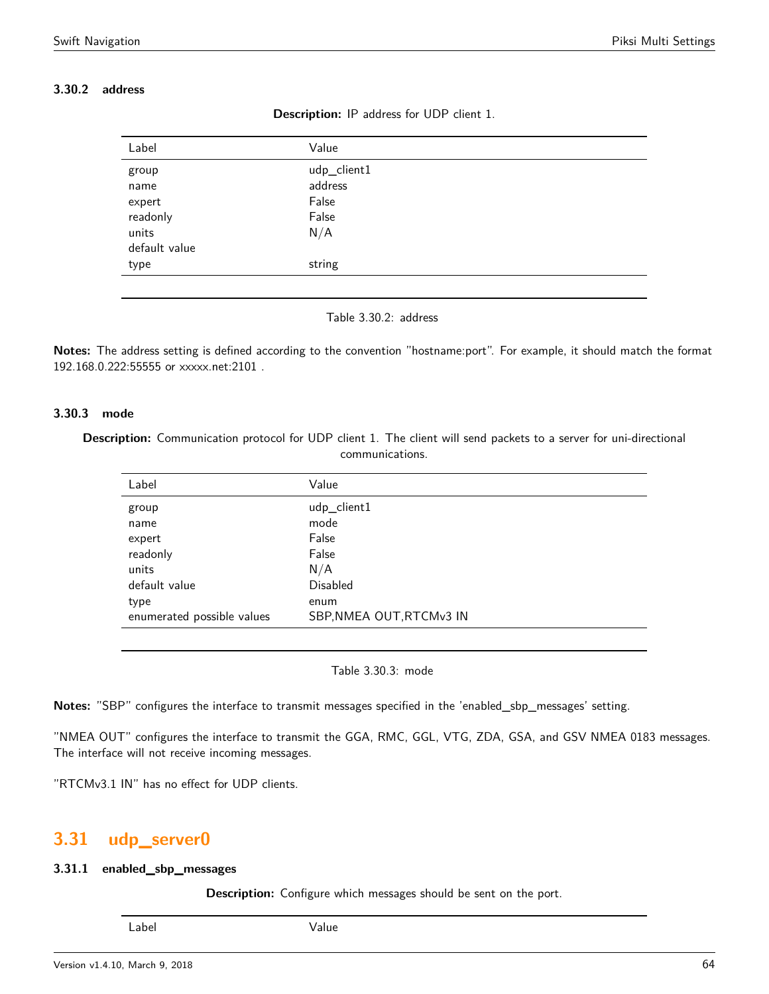# <span id="page-63-0"></span>**3.30.2 address**

| <b>Description:</b> IP address for UDP client 1. |  |  |  |  |  |
|--------------------------------------------------|--|--|--|--|--|
|--------------------------------------------------|--|--|--|--|--|

| Label                                                         | Value                                           |
|---------------------------------------------------------------|-------------------------------------------------|
| group<br>name<br>expert<br>readonly<br>units<br>default value | udp_client1<br>address<br>False<br>False<br>N/A |
| type                                                          | string                                          |



**Notes:** The address setting is defined according to the convention "hostname:port". For example, it should match the format 192.168.0.222:55555 or xxxxx.net:2101 .

#### **3.30.3 mode**

**Description:** Communication protocol for UDP client 1. The client will send packets to a server for uni-directional communications.

| Label                      | Value                    |
|----------------------------|--------------------------|
| group                      | udp_client1              |
| name                       | mode                     |
| expert                     | False                    |
| readonly                   | False                    |
| units                      | N/A                      |
| default value              | <b>Disabled</b>          |
| type                       | enum                     |
| enumerated possible values | SBP, NMEA OUT, RTCMv3 IN |

Table 3.30.3: mode

**Notes:** "SBP" configures the interface to transmit messages specified in the 'enabled\_sbp\_messages' setting.

"NMEA OUT" configures the interface to transmit the GGA, RMC, GGL, VTG, ZDA, GSA, and GSV NMEA 0183 messages. The interface will not receive incoming messages.

"RTCMv3.1 IN" has no effect for UDP clients.

# <span id="page-63-1"></span>**3.31 udp\_server0**

### <span id="page-63-2"></span>**3.31.1 enabled\_sbp\_messages**

**Description:** Configure which messages should be sent on the port.

Label Value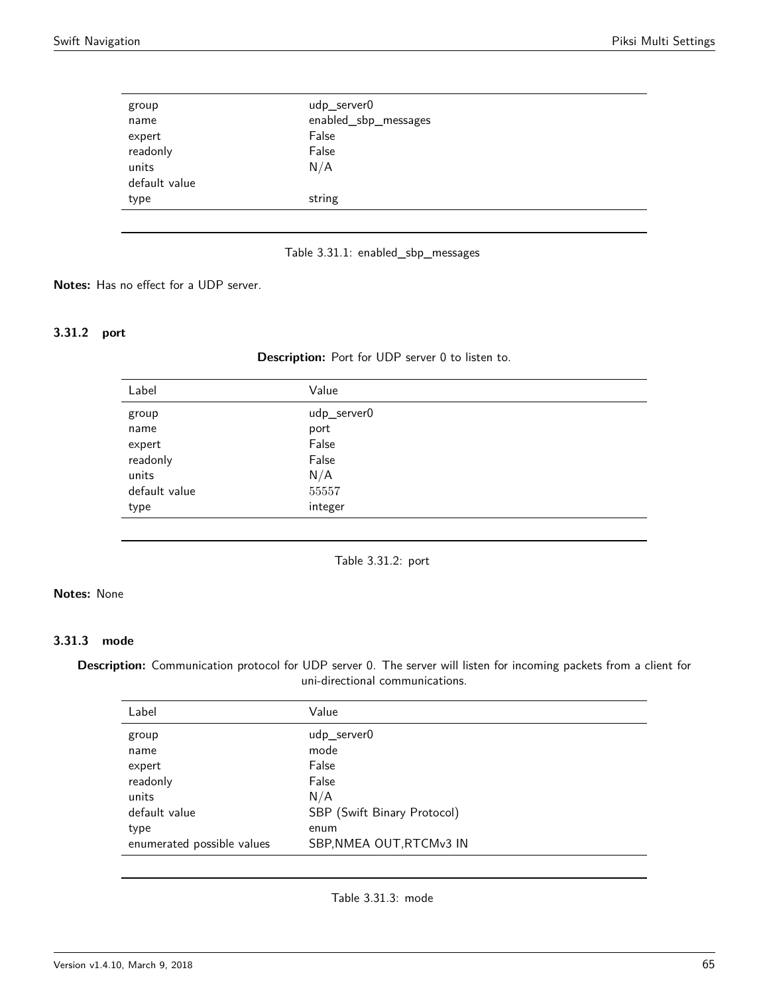| group         | udp_server0          |
|---------------|----------------------|
| name          | enabled_sbp_messages |
| expert        | False                |
| readonly      | False                |
| units         | N/A                  |
| default value |                      |
| type          | string               |
|               |                      |

Table 3.31.1: enabled\_sbp\_messages

**Notes:** Has no effect for a UDP server.

# <span id="page-64-0"></span>**3.31.2 port**

**Description:** Port for UDP server 0 to listen to.

| Value       |
|-------------|
| udp_server0 |
| port        |
| False       |
| False       |
| N/A         |
| 55557       |
| integer     |
|             |

Table 3.31.2: port

# **Notes:** None

### **3.31.3 mode**

**Description:** Communication protocol for UDP server 0. The server will listen for incoming packets from a client for uni-directional communications.

| Label                      | Value                       |
|----------------------------|-----------------------------|
| group                      | udp server0                 |
| name                       | mode                        |
| expert                     | False                       |
| readonly                   | False                       |
| units                      | N/A                         |
| default value              | SBP (Swift Binary Protocol) |
| type                       | enum                        |
| enumerated possible values | SBP, NMEA OUT, RTCMv3 IN    |

Table 3.31.3: mode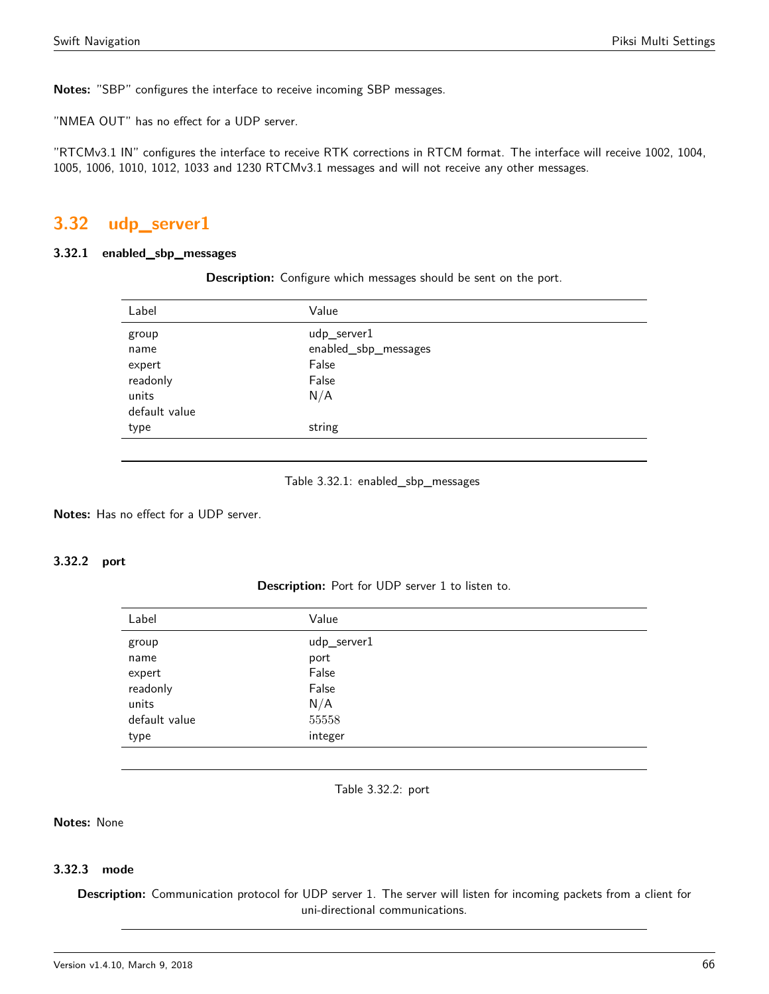**Notes:** "SBP" configures the interface to receive incoming SBP messages.

"NMEA OUT" has no effect for a UDP server.

"RTCMv3.1 IN" configures the interface to receive RTK corrections in RTCM format. The interface will receive 1002, 1004, 1005, 1006, 1010, 1012, 1033 and 1230 RTCMv3.1 messages and will not receive any other messages.

# <span id="page-65-0"></span>**3.32 udp\_server1**

#### <span id="page-65-1"></span>**3.32.1 enabled\_sbp\_messages**

**Description:** Configure which messages should be sent on the port.

| Label         | Value                |
|---------------|----------------------|
| group         | udp_server1          |
| name          | enabled_sbp_messages |
| expert        | False                |
| readonly      | False                |
| units         | N/A                  |
| default value |                      |
| type          | string               |
|               |                      |

#### Table 3.32.1: enabled\_sbp\_messages

**Notes:** Has no effect for a UDP server.

# <span id="page-65-2"></span>**3.32.2 port**

**Description:** Port for UDP server 1 to listen to.

| Label         | Value       |
|---------------|-------------|
| group         | udp_server1 |
| name          | port        |
| expert        | False       |
| readonly      | False       |
| units         | N/A         |
| default value | 55558       |
| type          | integer     |

Table 3.32.2: port

#### **Notes:** None

### **3.32.3 mode**

**Description:** Communication protocol for UDP server 1. The server will listen for incoming packets from a client for uni-directional communications.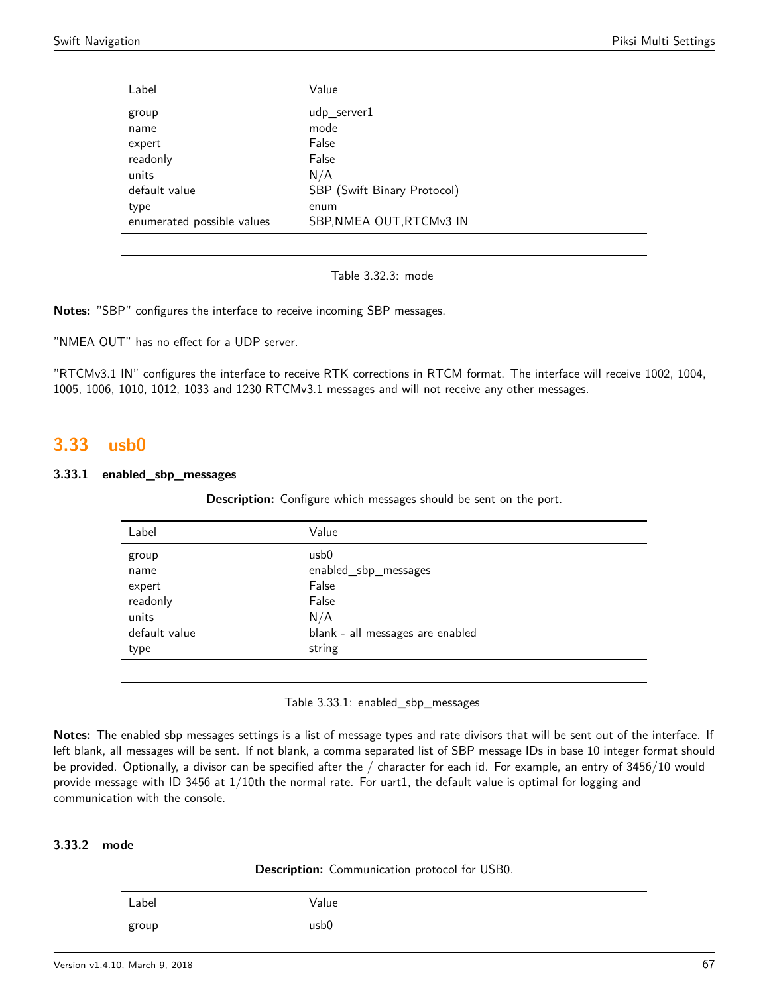| Label                      | Value                       |
|----------------------------|-----------------------------|
| group                      | udp_server1                 |
| name                       | mode                        |
| expert                     | False                       |
| readonly                   | False                       |
| units                      | N/A                         |
| default value              | SBP (Swift Binary Protocol) |
| type                       | enum                        |
| enumerated possible values | SBP, NMEA OUT, RTCMv3 IN    |
|                            |                             |

Table 3.32.3: mode

**Notes:** "SBP" configures the interface to receive incoming SBP messages.

"NMEA OUT" has no effect for a UDP server.

"RTCMv3.1 IN" configures the interface to receive RTK corrections in RTCM format. The interface will receive 1002, 1004, 1005, 1006, 1010, 1012, 1033 and 1230 RTCMv3.1 messages and will not receive any other messages.

# <span id="page-66-0"></span>**3.33 usb0**

#### <span id="page-66-1"></span>**3.33.1 enabled\_sbp\_messages**

**Description:** Configure which messages should be sent on the port.

| Label         | Value                            |
|---------------|----------------------------------|
| group         | usb <sub>0</sub>                 |
| name          | enabled_sbp_messages             |
| expert        | False                            |
| readonly      | False                            |
| units         | N/A                              |
| default value | blank - all messages are enabled |
| type          | string                           |
|               |                                  |

Table 3.33.1: enabled\_sbp\_messages

**Notes:** The enabled sbp messages settings is a list of message types and rate divisors that will be sent out of the interface. If left blank, all messages will be sent. If not blank, a comma separated list of SBP message IDs in base 10 integer format should be provided. Optionally, a divisor can be specified after the / character for each id. For example, an entry of 3456/10 would provide message with ID 3456 at 1/10th the normal rate. For uart1, the default value is optimal for logging and communication with the console.

# **3.33.2 mode**

|  | <b>Description:</b> Communication protocol for USB0. |  |  |
|--|------------------------------------------------------|--|--|
|--|------------------------------------------------------|--|--|

| Label | Value            |
|-------|------------------|
| group | usb <sub>0</sub> |